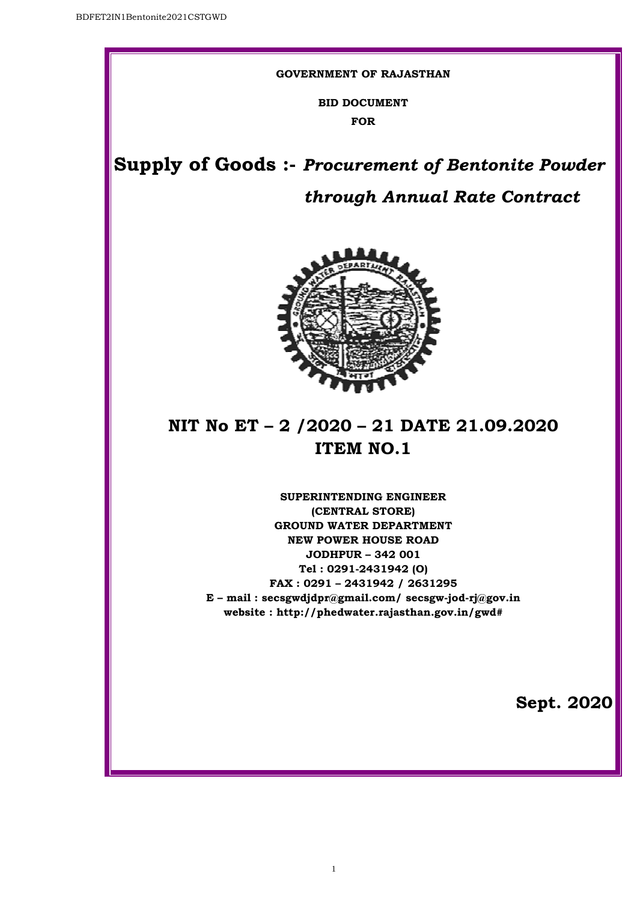#### **GOVERNMENT OF RAJASTHAN**

**BID DOCUMENT FOR** 

**Supply of Goods Goods :-** *Procurement of Bentonite Powder*

# *through Annual Rate Contract*



# **NIT No ET – 2 /2020 – 21 DATE 21.09.2020 ITEM NO.1**

**E – mail : secsgwdjdpr@gmail.com/ secsgw-jod jod-rj@gov.in website : http://phedwater.rajasthan.gov.in http://phedwater.rajasthan.gov.in/gwd# SUPERINTENDING ENGINEER (CENTRAL STORE) GROUND WATER DEPARTMENT NEW POWER HOUSE ROAD JODHPUR – 342 001 Tel : 0291-2431942 (O) FAX : 0291 – 2431942 / 2631295**

1

**Sept. 2020**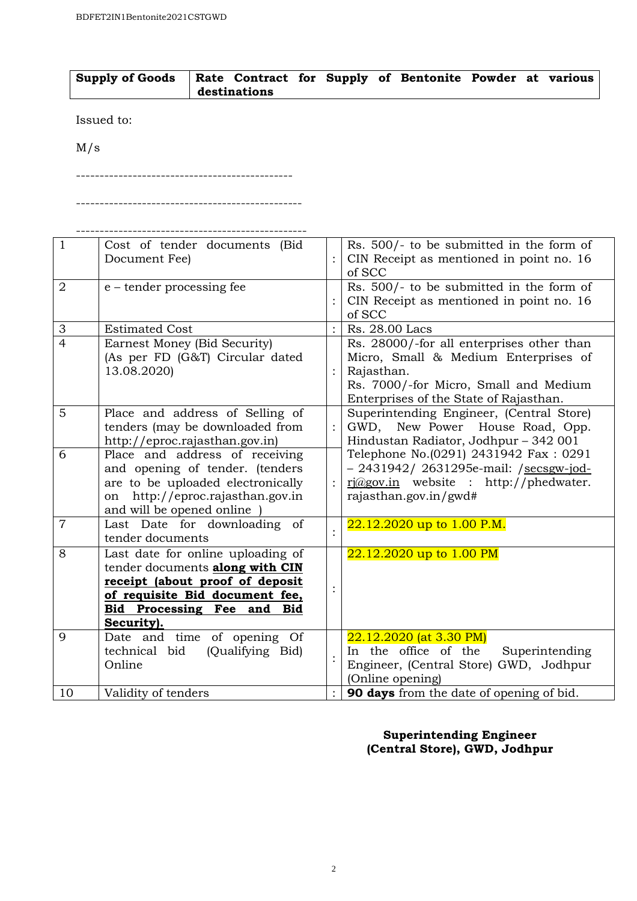| Supply of Goods   Rate Contract for Supply of Bentonite Powder at various |              |  |  |  |  |
|---------------------------------------------------------------------------|--------------|--|--|--|--|
|                                                                           | destinations |  |  |  |  |

Issued to:

M/s

----------------------------------------------

------------------------------------------------

| $\mathbf{1}$              | Cost of tender documents (Bid<br>Document Fee)                                                                                                                                           | Rs. $500/-$ to be submitted in the form of<br>CIN Receipt as mentioned in point no. 16<br>of SCC                                                                                   |
|---------------------------|------------------------------------------------------------------------------------------------------------------------------------------------------------------------------------------|------------------------------------------------------------------------------------------------------------------------------------------------------------------------------------|
| $\overline{2}$            | e – tender processing fee                                                                                                                                                                | Rs. 500/- to be submitted in the form of<br>CIN Receipt as mentioned in point no. 16<br>of SCC                                                                                     |
| $\ensuremath{\mathsf{3}}$ | <b>Estimated Cost</b>                                                                                                                                                                    | Rs. 28.00 Lacs                                                                                                                                                                     |
| $\overline{4}$            | Earnest Money (Bid Security)<br>(As per FD (G&T) Circular dated<br>13.08.2020)                                                                                                           | Rs. 28000/-for all enterprises other than<br>Micro, Small & Medium Enterprises of<br>Rajasthan.<br>Rs. 7000/-for Micro, Small and Medium<br>Enterprises of the State of Rajasthan. |
| 5                         | Place and address of Selling of<br>tenders (may be downloaded from<br>http://eproc.rajasthan.gov.in)                                                                                     | Superintending Engineer, (Central Store)<br>GWD, New Power House Road, Opp.<br>Hindustan Radiator, Jodhpur - 342 001                                                               |
| 6                         | Place and address of receiving<br>and opening of tender. (tenders<br>are to be uploaded electronically<br>on http://eproc.rajasthan.gov.in<br>and will be opened online                  | Telephone No.(0291) 2431942 Fax: 0291<br>- 2431942/ 2631295e-mail: /secsgw-jod-<br>$ri(\partial g$ ov.in website : http://phedwater.<br>rajasthan.gov.in/gwd#                      |
| $\overline{7}$            | Last Date for downloading of<br>tender documents                                                                                                                                         | 22.12.2020 up to 1.00 P.M.                                                                                                                                                         |
| 8                         | Last date for online uploading of<br>tender documents along with CIN<br>receipt (about proof of deposit<br>of requisite Bid document fee,<br>Bid Processing Fee and<br>Bid<br>Security). | 22.12.2020 up to 1.00 PM                                                                                                                                                           |
| 9                         | Date and time of opening Of<br>(Qualifying Bid)<br>technical bid<br>Online                                                                                                               | 22.12.2020 (at 3.30 PM)<br>In the office of the<br>Superintending<br>Engineer, (Central Store) GWD, Jodhpur<br>(Online opening)                                                    |
| 10                        | Validity of tenders                                                                                                                                                                      | 90 days from the date of opening of bid.                                                                                                                                           |

# **Superintending Engineer (Central Store), GWD, Jodhpur**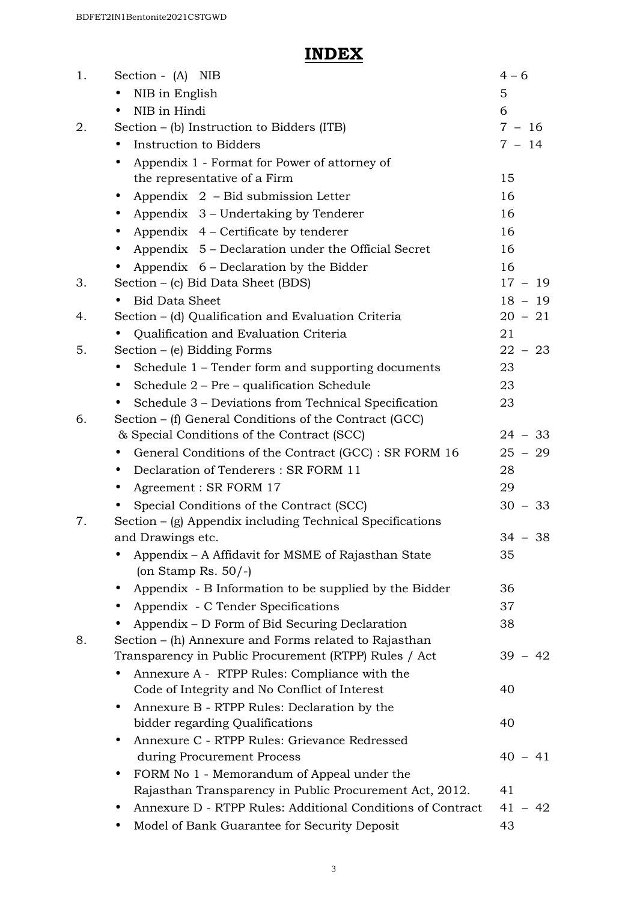# **INDEX**

| 1. | Section - (A) NIB                                                  | $4 - 6$   |
|----|--------------------------------------------------------------------|-----------|
|    | NIB in English                                                     | 5         |
|    | NIB in Hindi<br>$\bullet$                                          | 6         |
| 2. | Section $-$ (b) Instruction to Bidders (ITB)                       | $7 - 16$  |
|    | Instruction to Bidders                                             | $7 - 14$  |
|    | Appendix 1 - Format for Power of attorney of<br>$\bullet$          |           |
|    | the representative of a Firm                                       | 15        |
|    | Appendix 2 - Bid submission Letter<br>$\bullet$                    | 16        |
|    | Appendix 3 – Undertaking by Tenderer<br>$\bullet$                  | 16        |
|    | Appendix $4$ – Certificate by tenderer                             | 16        |
|    | Appendix 5 – Declaration under the Official Secret                 | 16        |
|    | Appendix 6 – Declaration by the Bidder                             | 16        |
| 3. | Section – (c) Bid Data Sheet (BDS)                                 | $17 - 19$ |
|    | <b>Bid Data Sheet</b>                                              | $18 - 19$ |
| 4. | Section - (d) Qualification and Evaluation Criteria                | $20 - 21$ |
|    | Qualification and Evaluation Criteria                              | 21        |
| 5. | Section $-$ (e) Bidding Forms                                      | $22 - 23$ |
|    | Schedule 1 – Tender form and supporting documents<br>$\bullet$     | 23        |
|    | Schedule 2 - Pre - qualification Schedule                          | 23        |
|    | Schedule 3 – Deviations from Technical Specification               | 23        |
| 6. | Section – (f) General Conditions of the Contract (GCC)             |           |
|    | & Special Conditions of the Contract (SCC)                         | $24 - 33$ |
|    | General Conditions of the Contract (GCC) : SR FORM 16<br>$\bullet$ | $25 - 29$ |
|    | Declaration of Tenderers: SR FORM 11<br>$\bullet$                  | 28        |
|    | Agreement : SR FORM 17                                             | 29        |
|    | Special Conditions of the Contract (SCC)                           | $30 - 33$ |
| 7. | Section $-$ (g) Appendix including Technical Specifications        |           |
|    | and Drawings etc.                                                  | $34 - 38$ |
|    | Appendix - A Affidavit for MSME of Rajasthan State                 | 35        |
|    | (on Stamp Rs. $50/-$ )                                             |           |
|    | Appendix - B Information to be supplied by the Bidder              | 36        |
|    | Appendix - C Tender Specifications                                 | 37        |
|    | Appendix – D Form of Bid Securing Declaration                      | 38        |
| 8. | Section – (h) Annexure and Forms related to Rajasthan              |           |
|    | Transparency in Public Procurement (RTPP) Rules / Act              | $39 - 42$ |
|    | Annexure A - RTPP Rules: Compliance with the                       |           |
|    | Code of Integrity and No Conflict of Interest                      | 40        |
|    | Annexure B - RTPP Rules: Declaration by the<br>$\bullet$           |           |
|    | bidder regarding Qualifications                                    | 40        |
|    | Annexure C - RTPP Rules: Grievance Redressed<br>$\bullet$          |           |
|    | during Procurement Process                                         | $40 - 41$ |
|    | FORM No 1 - Memorandum of Appeal under the                         |           |
|    | Rajasthan Transparency in Public Procurement Act, 2012.            | 41        |
|    | Annexure D - RTPP Rules: Additional Conditions of Contract         | $41 - 42$ |
|    | Model of Bank Guarantee for Security Deposit                       | 43        |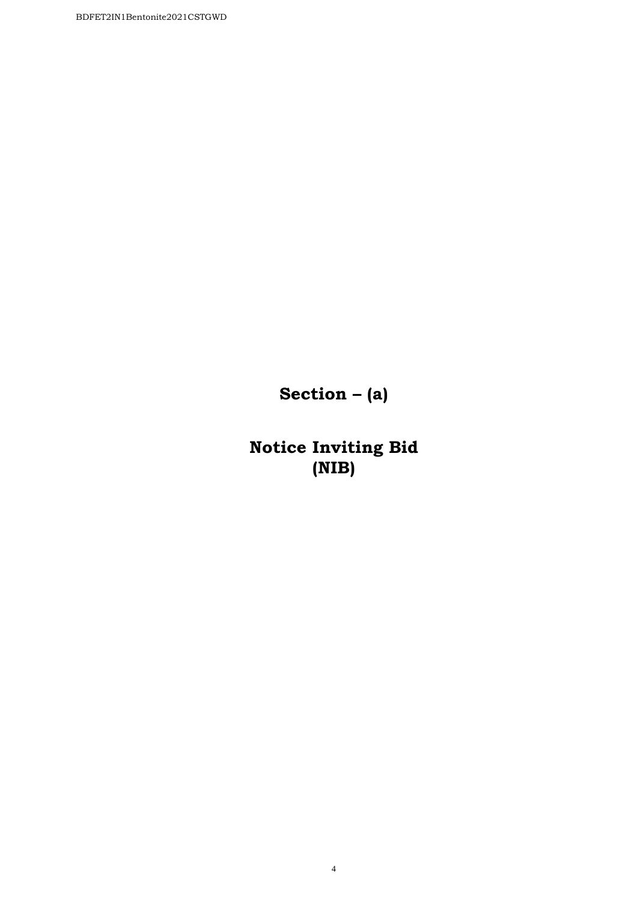**Section – (a)** 

**Notice Inviting Bid (NIB)**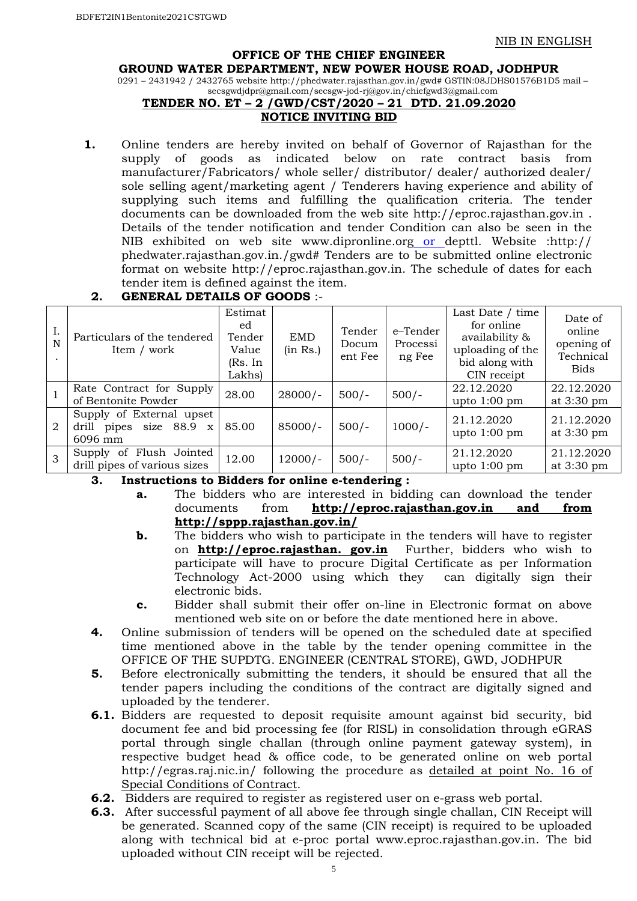#### **OFFICE OF THE CHIEF ENGINEER**

#### **GROUND WATER DEPARTMENT, NEW POWER HOUSE ROAD, JODHPUR**

0291 – 2431942 / 2432765 website http://phedwater.rajasthan.gov.in/gwd# GSTIN:08JDHS01576B1D5 mail – secsgwdjdpr@gmail.com/secsgw-jod-rj@gov.in/chiefgwd3@gmail.com

# **TENDER NO. ET – 2 /GWD/CST/2020 – 21 DTD. 21.09.2020**

#### **NOTICE INVITING BID**

 **1.** Online tenders are hereby invited on behalf of Governor of Rajasthan for the supply of goods as indicated below on rate contract basis from manufacturer/Fabricators/ whole seller/ distributor/ dealer/ authorized dealer/ sole selling agent/marketing agent / Tenderers having experience and ability of supplying such items and fulfilling the qualification criteria. The tender documents can be downloaded from the web site http://eproc.rajasthan.gov.in . Details of the tender notification and tender Condition can also be seen in the NIB exhibited on web site www.dipronline.org or depttl. Website :http:// phedwater.rajasthan.gov.in./gwd# Tenders are to be submitted online electronic format on website http://eproc.rajasthan.gov.in. The schedule of dates for each tender item is defined against the item.

#### I. N . Particulars of the tendered Item / work Estimat ed Tender Value (Rs. In Lakhs) EMD (in Rs.) Tender Docum ent Fee e–Tender Processi ng Fee Last Date / time for online availability & uploading of the bid along with CIN receipt Date of online opening of Technical Bids 1 Rate Contract for Supply 28.00 28000/-  $500/-$  500/-  $22.12.2020$ <br>of Bentonite Powder upto 1:00 pm 22.12.2020 at 3:30 pm 2 Supply of External upset drill pipes size 88.9 x 6096 mm 85.00 85000/- 500/- 1000/- 21.12.2020 upto 1:00 pm 21.12.2020 at 3:30 pm  $3$  Supply of Flush Jointed Supply of Flush Jointed  $\begin{array}{|l|l|l|l|l|} \hline \text{12.00} & \text{12.000/} \hline \end{array}$  500/- 500/-  $\begin{array}{|l|l|l|l|} \hline \text{500/} & \text{21.12.2020} \hline \end{array}$ upto 1:00 pm 21.12.2020 at 3:30 pm

#### **2. GENERAL DETAILS OF GOODS** :-

#### **3. Instructions to Bidders for online e-tendering :**

- **a.** The bidders who are interested in bidding can download the tender documents from **http://eproc.rajasthan.gov.in and from http://sppp.rajasthan.gov.in/**
- **b.** The bidders who wish to participate in the tenders will have to register on **http://eproc.rajasthan. gov.in** Further, bidders who wish to participate will have to procure Digital Certificate as per Information Technology Act-2000 using which they can digitally sign their electronic bids.
- **c.** Bidder shall submit their offer on-line in Electronic format on above mentioned web site on or before the date mentioned here in above.
- **4.** Online submission of tenders will be opened on the scheduled date at specified time mentioned above in the table by the tender opening committee in the OFFICE OF THE SUPDTG. ENGINEER (CENTRAL STORE), GWD, JODHPUR
- **5.** Before electronically submitting the tenders, it should be ensured that all the tender papers including the conditions of the contract are digitally signed and uploaded by the tenderer.
- **6.1.** Bidders are requested to deposit requisite amount against bid security, bid document fee and bid processing fee (for RISL) in consolidation through eGRAS portal through single challan (through online payment gateway system), in respective budget head & office code, to be generated online on web portal http://egras.raj.nic.in/ following the procedure as detailed at point No. 16 of Special Conditions of Contract.
- **6.2.** Bidders are required to register as registered user on e-grass web portal.
- **6.3.** After successful payment of all above fee through single challan, CIN Receipt will be generated. Scanned copy of the same (CIN receipt) is required to be uploaded along with technical bid at e-proc portal www.eproc.rajasthan.gov.in. The bid uploaded without CIN receipt will be rejected.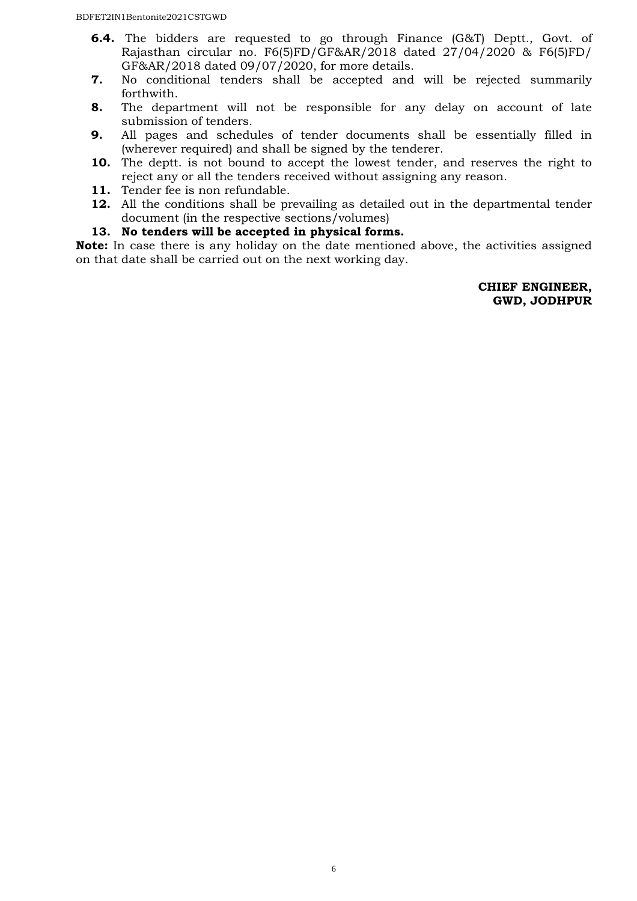- **6.4.** The bidders are requested to go through Finance (G&T) Deptt., Govt. of Rajasthan circular no. F6(5)FD/GF&AR/2018 dated 27/04/2020 & F6(5)FD/ GF&AR/2018 dated 09/07/2020, for more details.
- **7.** No conditional tenders shall be accepted and will be rejected summarily forthwith.
- **8.** The department will not be responsible for any delay on account of late submission of tenders.
- **9.** All pages and schedules of tender documents shall be essentially filled in (wherever required) and shall be signed by the tenderer.
- **10.** The deptt. is not bound to accept the lowest tender, and reserves the right to reject any or all the tenders received without assigning any reason.
- **11.** Tender fee is non refundable.
- **12.** All the conditions shall be prevailing as detailed out in the departmental tender document (in the respective sections/volumes)
- **13. No tenders will be accepted in physical forms.**

**Note:** In case there is any holiday on the date mentioned above, the activities assigned on that date shall be carried out on the next working day.

> **CHIEF ENGINEER, GWD, JODHPUR**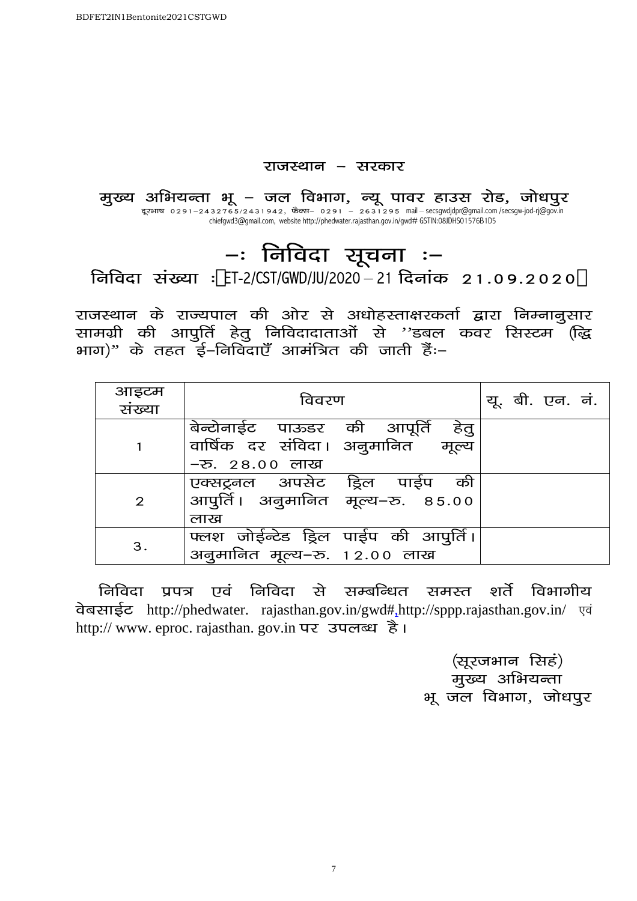## राजस्थान - सरकार

मुख्य अभियन्ता भू – जल विभाग, न्यू पावर हाउस रोड, जोधपुर दूरभाष 0291–2432765/2431942, फैक्स– 0291 – 2631295 mail – secsgwdjdpr@gmail.com /secsgw-jod-rj@gov.in chiefgwd3@gmail.com, website http://phedwater.rajasthan.gov.in/gwd# GSTIN:08JDHS01576B1D5

# -: निविदा सूचना :– निविदा संख्या : ET-2/CST/GWD/JU/2020 – 21 दिनांक 21.09.2020

राजस्थान के राज्यपाल की ओर से अधोहस्ताक्षरकर्ता द्वारा निम्नानुसार सामग्री की आपुर्ति हेतु निविदादाताओं से ''डबल कवर सिस्टम (द्धि भाग)" के तहत ई–निविदाएँ आमंत्रित की जाती हैंः–

| आइटम<br>संख्या | विवरण                                                                                    | यू. बी. एन. नं. |
|----------------|------------------------------------------------------------------------------------------|-----------------|
|                | बेन्टोनाईट पाऊडर की आपूर्ति हेतु<br>वार्षिक दर संविदा। अनुमानित मूल्य<br>- रु. 28.00 लाख |                 |
| $\overline{2}$ | एक्सट्रनल अपसेट ड्रिल पाईप की<br>आपुर्ति। अनुमानित मूल्य–रु. ८५.००<br>लाख                |                 |
| 3.             | फ्लश जोईन्टेड ड्रिल पाईप की आपुर्ति।<br>अनुमानित मूल्य-रु. 12.00 लाख                     |                 |

<u>निविदा प्रपत्र एवं निविदा से सम्बन्धित समस्त शर्ते विभागीय</u> चेबसाईट http://phedwater. rajasthan.gov.in/gwd#,http://sppp.rajasthan.gov.in/ एवं http:// www. eproc. rajasthan. gov.in पर उपलब्ध है।

> (सूरजभान सिहं) मुख्य अभियन्ता भू जल विभाग, जोधपूर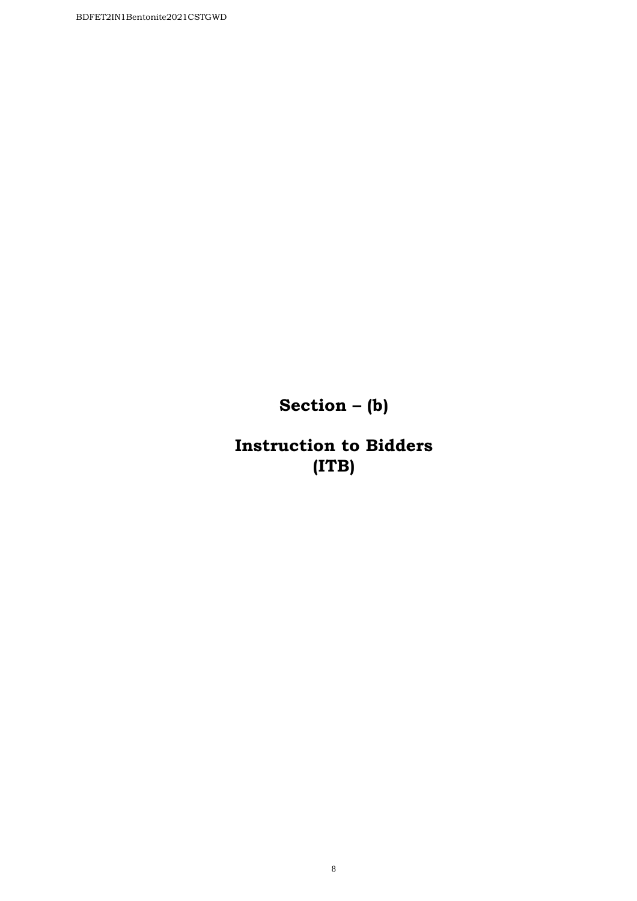**Section – (b)** 

**Instruction to Bidders (ITB)**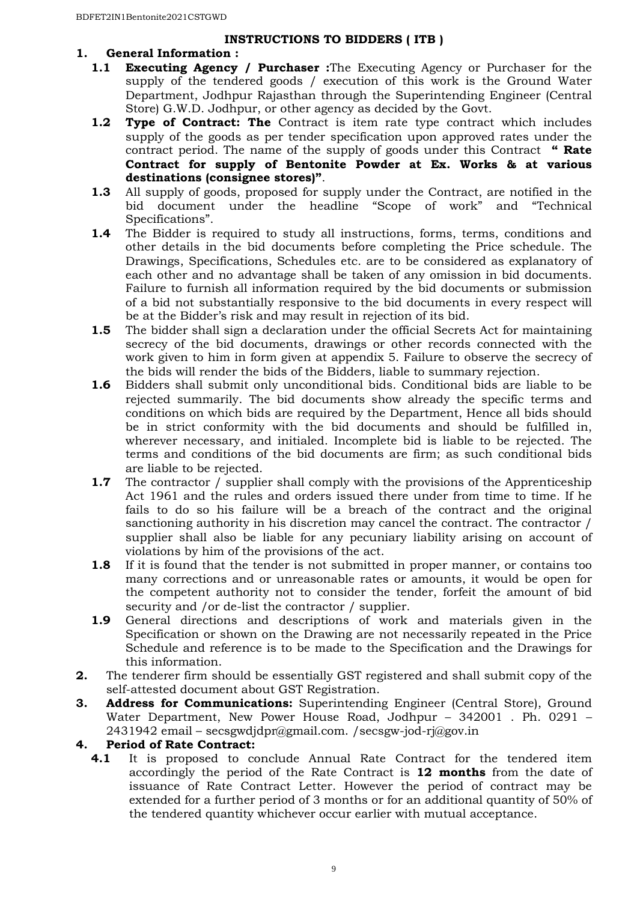#### **INSTRUCTIONS TO BIDDERS ( ITB )**

# **1. General Information :**

- **1.1 Executing Agency / Purchaser :**The Executing Agency or Purchaser for the supply of the tendered goods / execution of this work is the Ground Water Department, Jodhpur Rajasthan through the Superintending Engineer (Central Store) G.W.D. Jodhpur, or other agency as decided by the Govt.
- **1.2 Type of Contract: The** Contract is item rate type contract which includes supply of the goods as per tender specification upon approved rates under the contract period. The name of the supply of goods under this Contract **" Rate Contract for supply of Bentonite Powder at Ex. Works & at various destinations (consignee stores)"**.
- **1.3** All supply of goods, proposed for supply under the Contract, are notified in the bid document under the headline "Scope of work" and "Technical Specifications".
- **1.4** The Bidder is required to study all instructions, forms, terms, conditions and other details in the bid documents before completing the Price schedule. The Drawings, Specifications, Schedules etc. are to be considered as explanatory of each other and no advantage shall be taken of any omission in bid documents. Failure to furnish all information required by the bid documents or submission of a bid not substantially responsive to the bid documents in every respect will be at the Bidder's risk and may result in rejection of its bid.
- **1.5** The bidder shall sign a declaration under the official Secrets Act for maintaining secrecy of the bid documents, drawings or other records connected with the work given to him in form given at appendix 5. Failure to observe the secrecy of the bids will render the bids of the Bidders, liable to summary rejection.
- **1.6** Bidders shall submit only unconditional bids. Conditional bids are liable to be rejected summarily. The bid documents show already the specific terms and conditions on which bids are required by the Department, Hence all bids should be in strict conformity with the bid documents and should be fulfilled in, wherever necessary, and initialed. Incomplete bid is liable to be rejected. The terms and conditions of the bid documents are firm; as such conditional bids are liable to be rejected.
- **1.7** The contractor / supplier shall comply with the provisions of the Apprenticeship Act 1961 and the rules and orders issued there under from time to time. If he fails to do so his failure will be a breach of the contract and the original sanctioning authority in his discretion may cancel the contract. The contractor / supplier shall also be liable for any pecuniary liability arising on account of violations by him of the provisions of the act.
- **1.8** If it is found that the tender is not submitted in proper manner, or contains too many corrections and or unreasonable rates or amounts, it would be open for the competent authority not to consider the tender, forfeit the amount of bid security and /or de-list the contractor / supplier.
- **1.9** General directions and descriptions of work and materials given in the Specification or shown on the Drawing are not necessarily repeated in the Price Schedule and reference is to be made to the Specification and the Drawings for this information.
- **2.** The tenderer firm should be essentially GST registered and shall submit copy of the self-attested document about GST Registration.
- **3. Address for Communications:** Superintending Engineer (Central Store), Ground Water Department, New Power House Road, Jodhpur – 342001 . Ph. 0291 – 2431942 email – secsgwdjdpr@gmail.com. /secsgw-jod-rj@gov.in

#### **4. Period of Rate Contract:**

**4.1** It is proposed to conclude Annual Rate Contract for the tendered item accordingly the period of the Rate Contract is **12 months** from the date of issuance of Rate Contract Letter. However the period of contract may be extended for a further period of 3 months or for an additional quantity of 50% of the tendered quantity whichever occur earlier with mutual acceptance.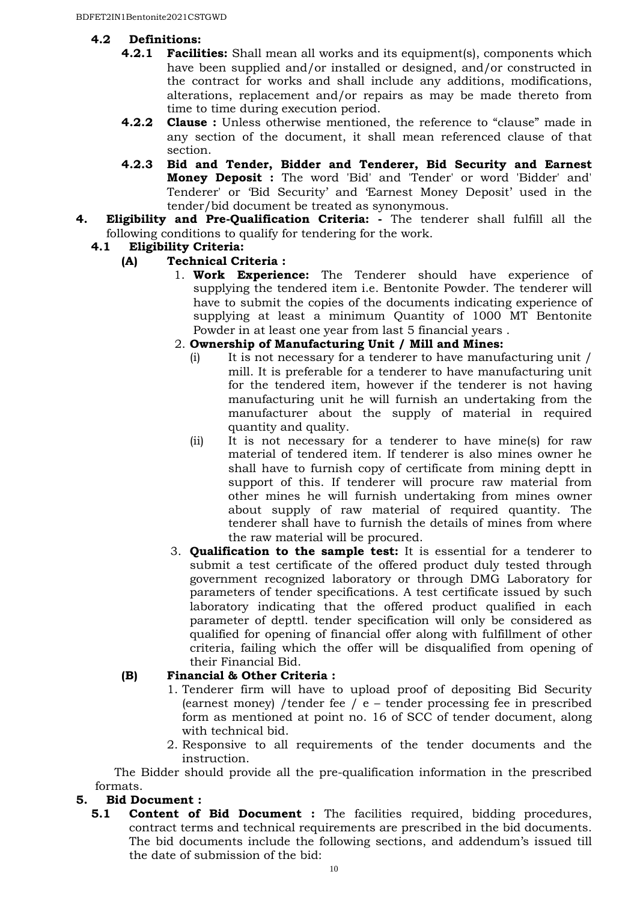# **4.2 Definitions:**

- **4.2.1 Facilities:** Shall mean all works and its equipment(s), components which have been supplied and/or installed or designed, and/or constructed in the contract for works and shall include any additions, modifications, alterations, replacement and/or repairs as may be made thereto from time to time during execution period.
- **4.2.2 Clause :** Unless otherwise mentioned, the reference to "clause" made in any section of the document, it shall mean referenced clause of that section.
- **4.2.3 Bid and Tender, Bidder and Tenderer, Bid Security and Earnest Money Deposit :** The word 'Bid' and 'Tender' or word 'Bidder' and' Tenderer' or 'Bid Security' and 'Earnest Money Deposit' used in the tender/bid document be treated as synonymous.
- **4. Eligibility and Pre-Qualification Criteria:** The tenderer shall fulfill all the following conditions to qualify for tendering for the work.

# **4.1 Eligibility Criteria:**

# **(A) Technical Criteria :**

- 1. **Work Experience:** The Tenderer should have experience of supplying the tendered item i.e. Bentonite Powder. The tenderer will have to submit the copies of the documents indicating experience of supplying at least a minimum Quantity of 1000 MT Bentonite Powder in at least one year from last 5 financial years .
- 2. **Ownership of Manufacturing Unit / Mill and Mines:**
	- (i) It is not necessary for a tenderer to have manufacturing unit / mill. It is preferable for a tenderer to have manufacturing unit for the tendered item, however if the tenderer is not having manufacturing unit he will furnish an undertaking from the manufacturer about the supply of material in required quantity and quality.
	- (ii) It is not necessary for a tenderer to have mine(s) for raw material of tendered item. If tenderer is also mines owner he shall have to furnish copy of certificate from mining deptt in support of this. If tenderer will procure raw material from other mines he will furnish undertaking from mines owner about supply of raw material of required quantity. The tenderer shall have to furnish the details of mines from where the raw material will be procured.
- 3. **Qualification to the sample test:** It is essential for a tenderer to submit a test certificate of the offered product duly tested through government recognized laboratory or through DMG Laboratory for parameters of tender specifications. A test certificate issued by such laboratory indicating that the offered product qualified in each parameter of depttl. tender specification will only be considered as qualified for opening of financial offer along with fulfillment of other criteria, failing which the offer will be disqualified from opening of their Financial Bid.

#### **(B) Financial & Other Criteria :**

- 1. Tenderer firm will have to upload proof of depositing Bid Security (earnest money) / tender fee /  $e$  – tender processing fee in prescribed form as mentioned at point no. 16 of SCC of tender document, along with technical bid.
- 2. Responsive to all requirements of the tender documents and the instruction.

The Bidder should provide all the pre-qualification information in the prescribed formats.

#### **5. Bid Document :**

**5.1 Content of Bid Document :** The facilities required, bidding procedures, contract terms and technical requirements are prescribed in the bid documents. The bid documents include the following sections, and addendum's issued till the date of submission of the bid: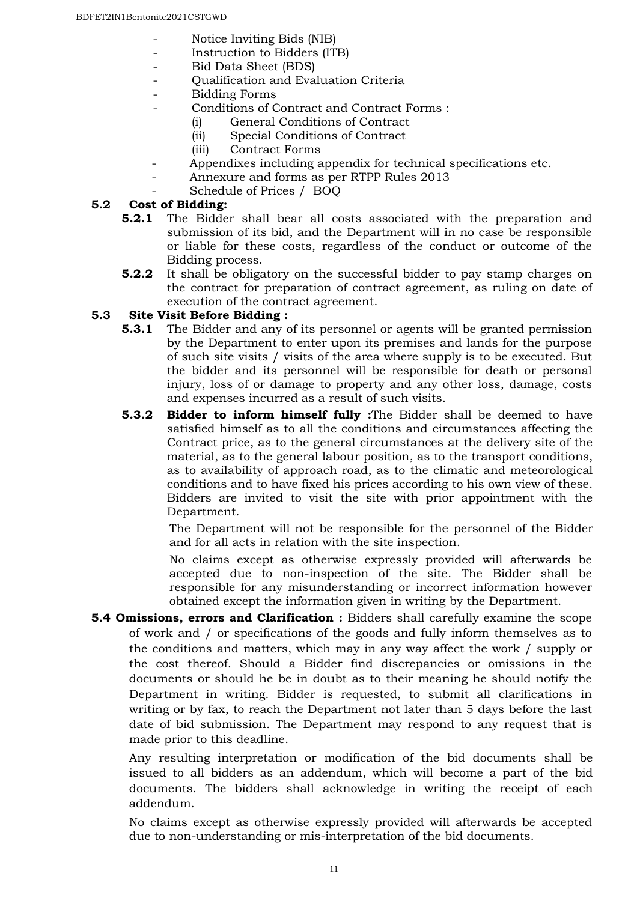- Notice Inviting Bids (NIB)
- Instruction to Bidders (ITB)
- Bid Data Sheet (BDS)
- Qualification and Evaluation Criteria
- Bidding Forms
- Conditions of Contract and Contract Forms :
	- (i) General Conditions of Contract
	- (ii) Special Conditions of Contract
	- (iii) Contract Forms
	- Appendixes including appendix for technical specifications etc.
- Annexure and forms as per RTPP Rules 2013
- Schedule of Prices / BOQ

#### **5.2 Cost of Bidding:**

- **5.2.1** The Bidder shall bear all costs associated with the preparation and submission of its bid, and the Department will in no case be responsible or liable for these costs, regardless of the conduct or outcome of the Bidding process.
- **5.2.2** It shall be obligatory on the successful bidder to pay stamp charges on the contract for preparation of contract agreement, as ruling on date of execution of the contract agreement.

#### **5.3 Site Visit Before Bidding :**

- **5.3.1** The Bidder and any of its personnel or agents will be granted permission by the Department to enter upon its premises and lands for the purpose of such site visits / visits of the area where supply is to be executed. But the bidder and its personnel will be responsible for death or personal injury, loss of or damage to property and any other loss, damage, costs and expenses incurred as a result of such visits.
- **5.3.2 Bidder to inform himself fully :**The Bidder shall be deemed to have satisfied himself as to all the conditions and circumstances affecting the Contract price, as to the general circumstances at the delivery site of the material, as to the general labour position, as to the transport conditions, as to availability of approach road, as to the climatic and meteorological conditions and to have fixed his prices according to his own view of these. Bidders are invited to visit the site with prior appointment with the Department.

The Department will not be responsible for the personnel of the Bidder and for all acts in relation with the site inspection.

No claims except as otherwise expressly provided will afterwards be accepted due to non-inspection of the site. The Bidder shall be responsible for any misunderstanding or incorrect information however obtained except the information given in writing by the Department.

**5.4 Omissions, errors and Clarification :** Bidders shall carefully examine the scope of work and / or specifications of the goods and fully inform themselves as to the conditions and matters, which may in any way affect the work / supply or the cost thereof. Should a Bidder find discrepancies or omissions in the documents or should he be in doubt as to their meaning he should notify the Department in writing. Bidder is requested, to submit all clarifications in writing or by fax, to reach the Department not later than 5 days before the last date of bid submission. The Department may respond to any request that is made prior to this deadline.

Any resulting interpretation or modification of the bid documents shall be issued to all bidders as an addendum, which will become a part of the bid documents. The bidders shall acknowledge in writing the receipt of each addendum.

No claims except as otherwise expressly provided will afterwards be accepted due to non-understanding or mis-interpretation of the bid documents.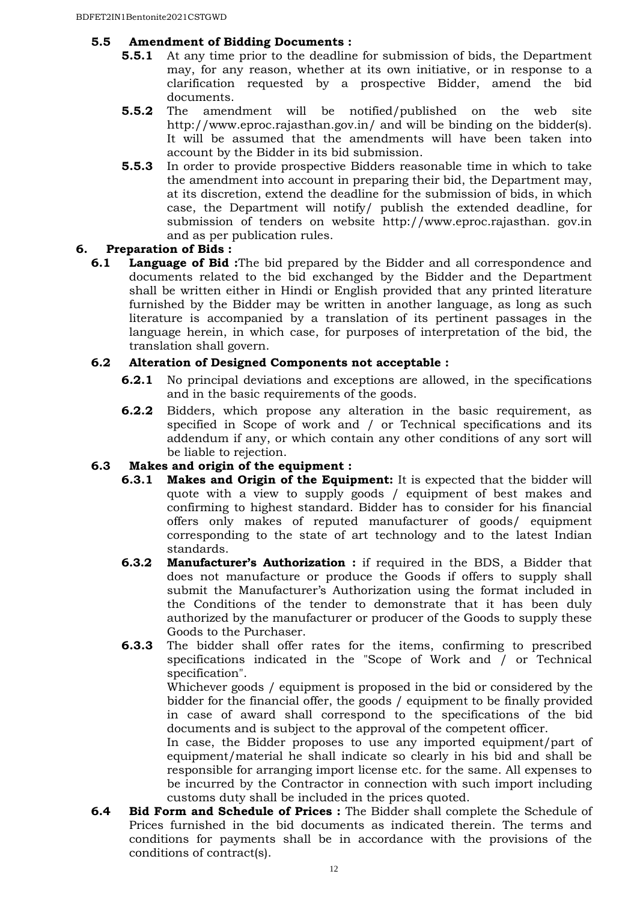#### **5.5 Amendment of Bidding Documents :**

- **5.5.1** At any time prior to the deadline for submission of bids, the Department may, for any reason, whether at its own initiative, or in response to a clarification requested by a prospective Bidder, amend the bid documents.
- **5.5.2** The amendment will be notified/published on the web site http://www.eproc.rajasthan.gov.in/ and will be binding on the bidder(s). It will be assumed that the amendments will have been taken into account by the Bidder in its bid submission.
- **5.5.3** In order to provide prospective Bidders reasonable time in which to take the amendment into account in preparing their bid, the Department may, at its discretion, extend the deadline for the submission of bids, in which case, the Department will notify/ publish the extended deadline, for submission of tenders on website http://www.eproc.rajasthan. gov.in and as per publication rules.

#### **6. Preparation of Bids :**

**6.1 Language of Bid :**The bid prepared by the Bidder and all correspondence and documents related to the bid exchanged by the Bidder and the Department shall be written either in Hindi or English provided that any printed literature furnished by the Bidder may be written in another language, as long as such literature is accompanied by a translation of its pertinent passages in the language herein, in which case, for purposes of interpretation of the bid, the translation shall govern.

#### **6.2 Alteration of Designed Components not acceptable :**

- **6.2.1** No principal deviations and exceptions are allowed, in the specifications and in the basic requirements of the goods.
- **6.2.2** Bidders, which propose any alteration in the basic requirement, as specified in Scope of work and / or Technical specifications and its addendum if any, or which contain any other conditions of any sort will be liable to rejection.

#### **6.3 Makes and origin of the equipment :**

- **6.3.1 Makes and Origin of the Equipment:** It is expected that the bidder will quote with a view to supply goods / equipment of best makes and confirming to highest standard. Bidder has to consider for his financial offers only makes of reputed manufacturer of goods/ equipment corresponding to the state of art technology and to the latest Indian standards.
- **6.3.2 Manufacturer's Authorization :** if required in the BDS, a Bidder that does not manufacture or produce the Goods if offers to supply shall submit the Manufacturer's Authorization using the format included in the Conditions of the tender to demonstrate that it has been duly authorized by the manufacturer or producer of the Goods to supply these Goods to the Purchaser.
- **6.3.3** The bidder shall offer rates for the items, confirming to prescribed specifications indicated in the "Scope of Work and / or Technical specification".

Whichever goods / equipment is proposed in the bid or considered by the bidder for the financial offer, the goods / equipment to be finally provided in case of award shall correspond to the specifications of the bid documents and is subject to the approval of the competent officer.

In case, the Bidder proposes to use any imported equipment/part of equipment/material he shall indicate so clearly in his bid and shall be responsible for arranging import license etc. for the same. All expenses to be incurred by the Contractor in connection with such import including customs duty shall be included in the prices quoted.

**6.4 Bid Form and Schedule of Prices :** The Bidder shall complete the Schedule of Prices furnished in the bid documents as indicated therein. The terms and conditions for payments shall be in accordance with the provisions of the conditions of contract(s).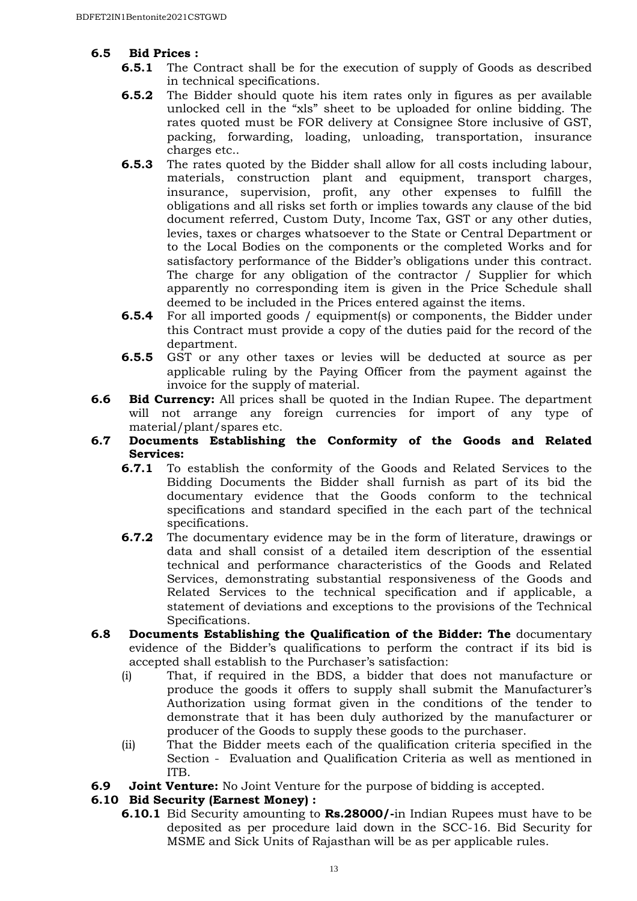## **6.5 Bid Prices :**

- **6.5.1** The Contract shall be for the execution of supply of Goods as described in technical specifications.
- **6.5.2** The Bidder should quote his item rates only in figures as per available unlocked cell in the "xls" sheet to be uploaded for online bidding. The rates quoted must be FOR delivery at Consignee Store inclusive of GST, packing, forwarding, loading, unloading, transportation, insurance charges etc..
- **6.5.3** The rates quoted by the Bidder shall allow for all costs including labour, materials, construction plant and equipment, transport charges, insurance, supervision, profit, any other expenses to fulfill the obligations and all risks set forth or implies towards any clause of the bid document referred, Custom Duty, Income Tax, GST or any other duties, levies, taxes or charges whatsoever to the State or Central Department or to the Local Bodies on the components or the completed Works and for satisfactory performance of the Bidder's obligations under this contract. The charge for any obligation of the contractor / Supplier for which apparently no corresponding item is given in the Price Schedule shall deemed to be included in the Prices entered against the items.
- **6.5.4** For all imported goods / equipment(s) or components, the Bidder under this Contract must provide a copy of the duties paid for the record of the department.
- **6.5.5** GST or any other taxes or levies will be deducted at source as per applicable ruling by the Paying Officer from the payment against the invoice for the supply of material.
- **6.6 Bid Currency:** All prices shall be quoted in the Indian Rupee. The department will not arrange any foreign currencies for import of any type of material/plant/spares etc.
- **6.7 Documents Establishing the Conformity of the Goods and Related Services:** 
	- **6.7.1** To establish the conformity of the Goods and Related Services to the Bidding Documents the Bidder shall furnish as part of its bid the documentary evidence that the Goods conform to the technical specifications and standard specified in the each part of the technical specifications.
	- **6.7.2** The documentary evidence may be in the form of literature, drawings or data and shall consist of a detailed item description of the essential technical and performance characteristics of the Goods and Related Services, demonstrating substantial responsiveness of the Goods and Related Services to the technical specification and if applicable, a statement of deviations and exceptions to the provisions of the Technical Specifications.
- **6.8 Documents Establishing the Qualification of the Bidder: The** documentary evidence of the Bidder's qualifications to perform the contract if its bid is accepted shall establish to the Purchaser's satisfaction:
	- (i) That, if required in the BDS, a bidder that does not manufacture or produce the goods it offers to supply shall submit the Manufacturer's Authorization using format given in the conditions of the tender to demonstrate that it has been duly authorized by the manufacturer or producer of the Goods to supply these goods to the purchaser.
	- (ii) That the Bidder meets each of the qualification criteria specified in the Section - Evaluation and Qualification Criteria as well as mentioned in ITB.
- **6.9 Joint Venture:** No Joint Venture for the purpose of bidding is accepted.

#### **6.10 Bid Security (Earnest Money) :**

**6.10.1** Bid Security amounting to **Rs.28000/-**in Indian Rupees must have to be deposited as per procedure laid down in the SCC-16. Bid Security for MSME and Sick Units of Rajasthan will be as per applicable rules.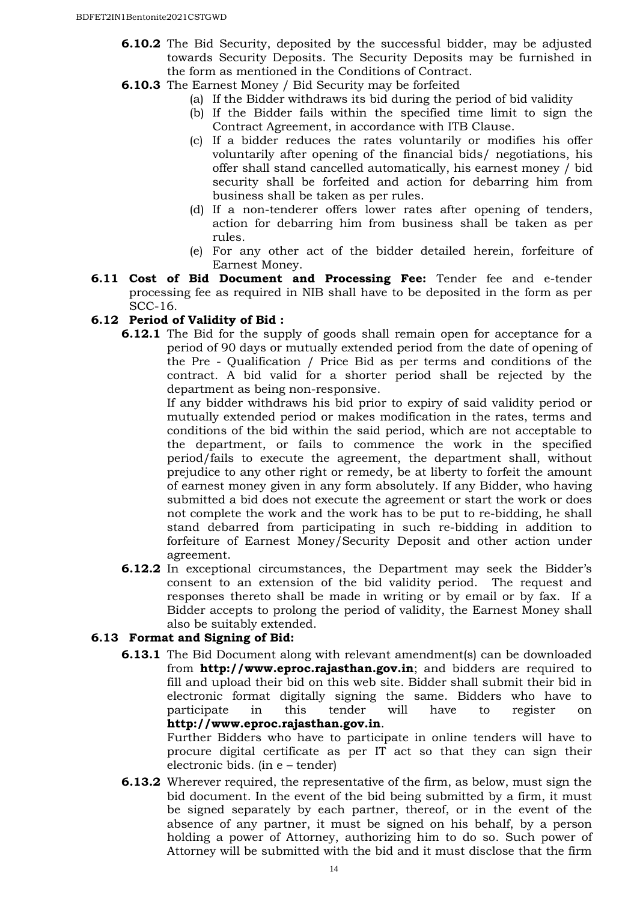- **6.10.2** The Bid Security, deposited by the successful bidder, may be adjusted towards Security Deposits. The Security Deposits may be furnished in the form as mentioned in the Conditions of Contract.
- **6.10.3** The Earnest Money / Bid Security may be forfeited
	- (a) If the Bidder withdraws its bid during the period of bid validity
		- (b) If the Bidder fails within the specified time limit to sign the Contract Agreement, in accordance with ITB Clause.
		- (c) If a bidder reduces the rates voluntarily or modifies his offer voluntarily after opening of the financial bids/ negotiations, his offer shall stand cancelled automatically, his earnest money / bid security shall be forfeited and action for debarring him from business shall be taken as per rules.
		- (d) If a non-tenderer offers lower rates after opening of tenders, action for debarring him from business shall be taken as per rules.
		- (e) For any other act of the bidder detailed herein, forfeiture of Earnest Money.
- **6.11 Cost of Bid Document and Processing Fee:** Tender fee and e-tender processing fee as required in NIB shall have to be deposited in the form as per SCC-16.

#### **6.12 Period of Validity of Bid :**

**6.12.1** The Bid for the supply of goods shall remain open for acceptance for a period of 90 days or mutually extended period from the date of opening of the Pre - Qualification / Price Bid as per terms and conditions of the contract. A bid valid for a shorter period shall be rejected by the department as being non-responsive.

If any bidder withdraws his bid prior to expiry of said validity period or mutually extended period or makes modification in the rates, terms and conditions of the bid within the said period, which are not acceptable to the department, or fails to commence the work in the specified period/fails to execute the agreement, the department shall, without prejudice to any other right or remedy, be at liberty to forfeit the amount of earnest money given in any form absolutely. If any Bidder, who having submitted a bid does not execute the agreement or start the work or does not complete the work and the work has to be put to re-bidding, he shall stand debarred from participating in such re-bidding in addition to forfeiture of Earnest Money/Security Deposit and other action under agreement.

**6.12.2** In exceptional circumstances, the Department may seek the Bidder's consent to an extension of the bid validity period. The request and responses thereto shall be made in writing or by email or by fax. If a Bidder accepts to prolong the period of validity, the Earnest Money shall also be suitably extended.

#### **6.13 Format and Signing of Bid:**

**6.13.1** The Bid Document along with relevant amendment(s) can be downloaded from **http://www.eproc.rajasthan.gov.in**; and bidders are required to fill and upload their bid on this web site. Bidder shall submit their bid in electronic format digitally signing the same. Bidders who have to participate in this tender will have to register on **http://www.eproc.rajasthan.gov.in**.

Further Bidders who have to participate in online tenders will have to procure digital certificate as per IT act so that they can sign their electronic bids. (in e – tender)

**6.13.2** Wherever required, the representative of the firm, as below, must sign the bid document. In the event of the bid being submitted by a firm, it must be signed separately by each partner, thereof, or in the event of the absence of any partner, it must be signed on his behalf, by a person holding a power of Attorney, authorizing him to do so. Such power of Attorney will be submitted with the bid and it must disclose that the firm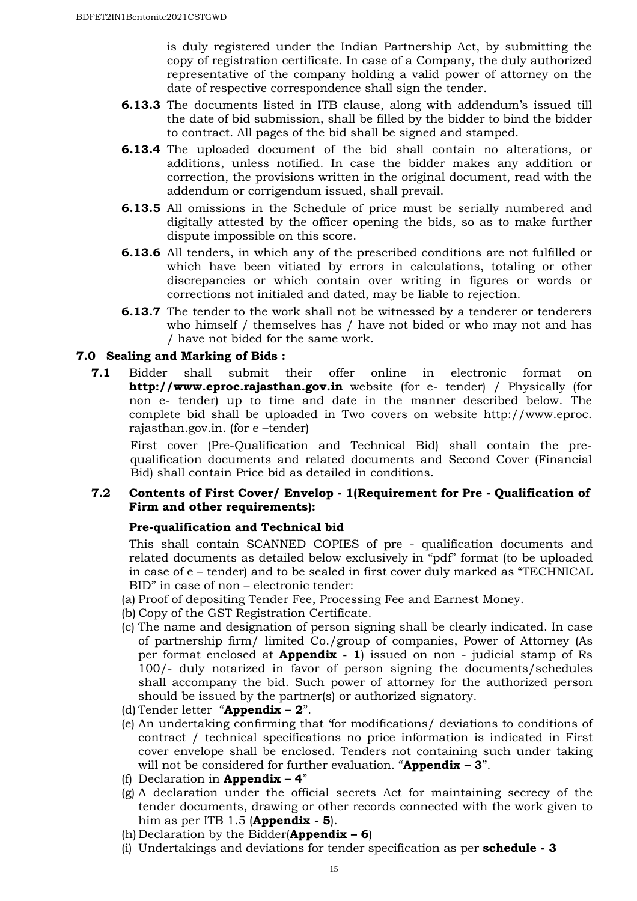is duly registered under the Indian Partnership Act, by submitting the copy of registration certificate. In case of a Company, the duly authorized representative of the company holding a valid power of attorney on the date of respective correspondence shall sign the tender.

- **6.13.3** The documents listed in ITB clause, along with addendum's issued till the date of bid submission, shall be filled by the bidder to bind the bidder to contract. All pages of the bid shall be signed and stamped.
- **6.13.4** The uploaded document of the bid shall contain no alterations, or additions, unless notified. In case the bidder makes any addition or correction, the provisions written in the original document, read with the addendum or corrigendum issued, shall prevail.
- **6.13.5** All omissions in the Schedule of price must be serially numbered and digitally attested by the officer opening the bids, so as to make further dispute impossible on this score.
- **6.13.6** All tenders, in which any of the prescribed conditions are not fulfilled or which have been vitiated by errors in calculations, totaling or other discrepancies or which contain over writing in figures or words or corrections not initialed and dated, may be liable to rejection.
- **6.13.7** The tender to the work shall not be witnessed by a tenderer or tenderers who himself / themselves has / have not bided or who may not and has / have not bided for the same work.

#### **7.0 Sealing and Marking of Bids :**

**7.1** Bidder shall submit their offer online in electronic format on **http://www.eproc.rajasthan.gov.in** website (for e- tender) / Physically (for non e- tender) up to time and date in the manner described below. The complete bid shall be uploaded in Two covers on website http://www.eproc. rajasthan.gov.in. (for e –tender)

First cover (Pre-Qualification and Technical Bid) shall contain the prequalification documents and related documents and Second Cover (Financial Bid) shall contain Price bid as detailed in conditions.

#### **7.2 Contents of First Cover/ Envelop - 1(Requirement for Pre - Qualification of Firm and other requirements):**

#### **Pre-qualification and Technical bid**

This shall contain SCANNED COPIES of pre - qualification documents and related documents as detailed below exclusively in "pdf" format (to be uploaded in case of e – tender) and to be sealed in first cover duly marked as "TECHNICAL BID" in case of non – electronic tender:

- (a) Proof of depositing Tender Fee, Processing Fee and Earnest Money.
- (b) Copy of the GST Registration Certificate.
- (c) The name and designation of person signing shall be clearly indicated. In case of partnership firm/ limited Co./group of companies, Power of Attorney (As per format enclosed at **Appendix - 1**) issued on non - judicial stamp of Rs 100/- duly notarized in favor of person signing the documents/schedules shall accompany the bid. Such power of attorney for the authorized person should be issued by the partner(s) or authorized signatory.
- (d) Tender letter "**Appendix 2**".
- (e) An undertaking confirming that 'for modifications/ deviations to conditions of contract / technical specifications no price information is indicated in First cover envelope shall be enclosed. Tenders not containing such under taking will not be considered for further evaluation. "**Appendix – 3**".
- (f) Declaration in **Appendix 4**"
- (g) A declaration under the official secrets Act for maintaining secrecy of the tender documents, drawing or other records connected with the work given to him as per ITB 1.5 (**Appendix - 5**).
- (h) Declaration by the Bidder(**Appendix 6**)
- (i) Undertakings and deviations for tender specification as per **schedule 3**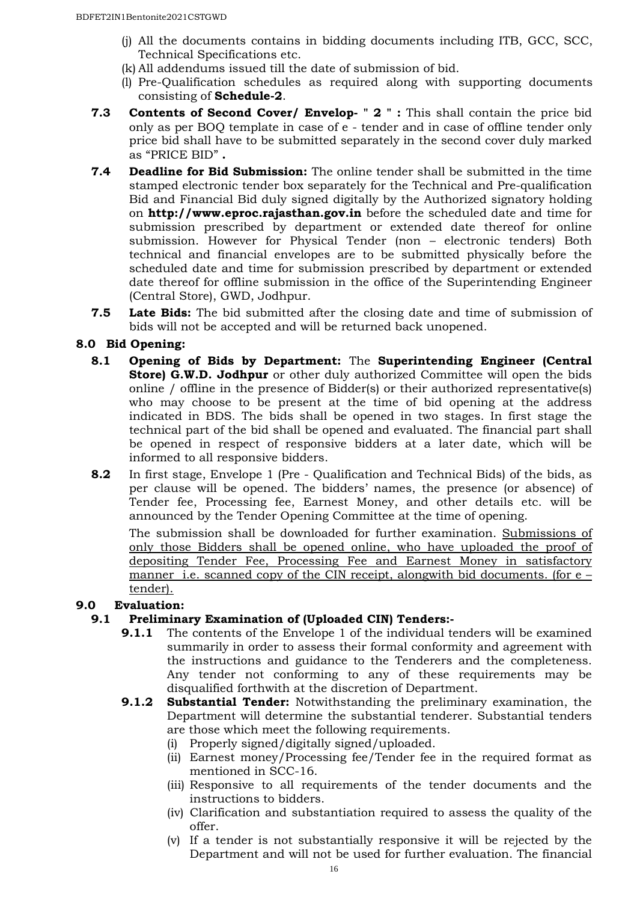- (j) All the documents contains in bidding documents including ITB, GCC, SCC, Technical Specifications etc.
- (k) All addendums issued till the date of submission of bid.
- (l) Pre-Qualification schedules as required along with supporting documents consisting of **Schedule-2**.
- **7.3 Contents of Second Cover/ Envelop- " 2 " :** This shall contain the price bid only as per BOQ template in case of e - tender and in case of offline tender only price bid shall have to be submitted separately in the second cover duly marked as "PRICE BID" **.**
- **7.4 Deadline for Bid Submission:** The online tender shall be submitted in the time stamped electronic tender box separately for the Technical and Pre-qualification Bid and Financial Bid duly signed digitally by the Authorized signatory holding on **http://www.eproc.rajasthan.gov.in** before the scheduled date and time for submission prescribed by department or extended date thereof for online submission. However for Physical Tender (non – electronic tenders) Both technical and financial envelopes are to be submitted physically before the scheduled date and time for submission prescribed by department or extended date thereof for offline submission in the office of the Superintending Engineer (Central Store), GWD, Jodhpur.
- **7.5 Late Bids:** The bid submitted after the closing date and time of submission of bids will not be accepted and will be returned back unopened.

# **8.0 Bid Opening:**

- **8.1 Opening of Bids by Department:** The **Superintending Engineer (Central Store) G.W.D. Jodhpur** or other duly authorized Committee will open the bids online / offline in the presence of Bidder(s) or their authorized representative(s) who may choose to be present at the time of bid opening at the address indicated in BDS. The bids shall be opened in two stages. In first stage the technical part of the bid shall be opened and evaluated. The financial part shall be opened in respect of responsive bidders at a later date, which will be informed to all responsive bidders.
- **8.2** In first stage, Envelope 1 (Pre Qualification and Technical Bids) of the bids, as per clause will be opened. The bidders' names, the presence (or absence) of Tender fee, Processing fee, Earnest Money, and other details etc. will be announced by the Tender Opening Committee at the time of opening.

The submission shall be downloaded for further examination. Submissions of only those Bidders shall be opened online, who have uploaded the proof of depositing Tender Fee, Processing Fee and Earnest Money in satisfactory manner i.e. scanned copy of the CIN receipt, alongwith bid documents. (for e – tender).

# **9.0 Evaluation:**

#### **9.1 Preliminary Examination of (Uploaded CIN) Tenders:-**

- **9.1.1** The contents of the Envelope 1 of the individual tenders will be examined summarily in order to assess their formal conformity and agreement with the instructions and guidance to the Tenderers and the completeness. Any tender not conforming to any of these requirements may be disqualified forthwith at the discretion of Department.
- **9.1.2 Substantial Tender:** Notwithstanding the preliminary examination, the Department will determine the substantial tenderer. Substantial tenders are those which meet the following requirements.
	- (i) Properly signed/digitally signed/uploaded.
	- (ii) Earnest money/Processing fee/Tender fee in the required format as mentioned in SCC-16.
	- (iii) Responsive to all requirements of the tender documents and the instructions to bidders.
	- (iv) Clarification and substantiation required to assess the quality of the offer.
	- (v) If a tender is not substantially responsive it will be rejected by the Department and will not be used for further evaluation. The financial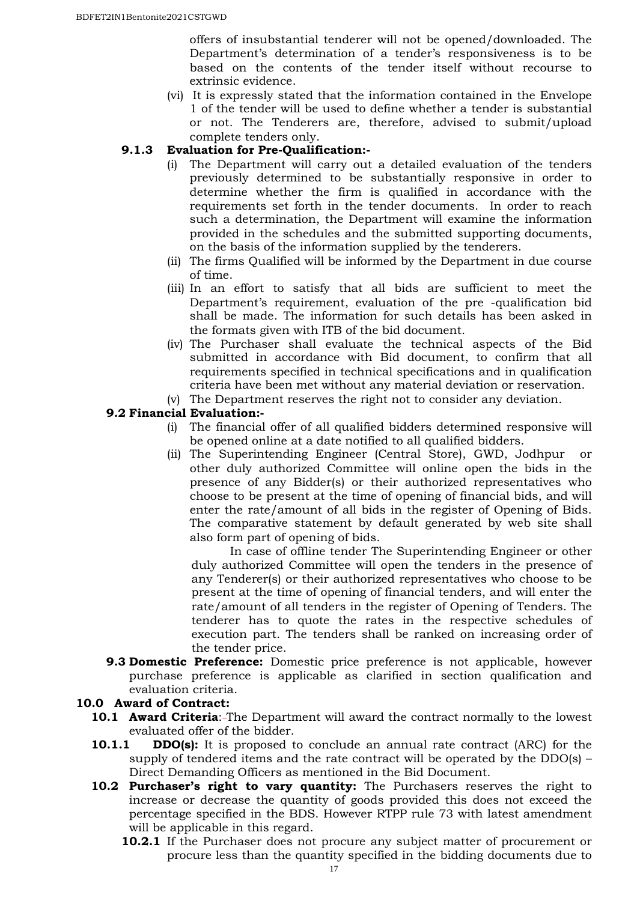offers of insubstantial tenderer will not be opened/downloaded. The Department's determination of a tender's responsiveness is to be based on the contents of the tender itself without recourse to extrinsic evidence.

(vi) It is expressly stated that the information contained in the Envelope 1 of the tender will be used to define whether a tender is substantial or not. The Tenderers are, therefore, advised to submit/upload complete tenders only.

## **9.1.3 Evaluation for Pre-Qualification:-**

- The Department will carry out a detailed evaluation of the tenders previously determined to be substantially responsive in order to determine whether the firm is qualified in accordance with the requirements set forth in the tender documents. In order to reach such a determination, the Department will examine the information provided in the schedules and the submitted supporting documents, on the basis of the information supplied by the tenderers.
- (ii) The firms Qualified will be informed by the Department in due course of time.
- (iii) In an effort to satisfy that all bids are sufficient to meet the Department's requirement, evaluation of the pre -qualification bid shall be made. The information for such details has been asked in the formats given with ITB of the bid document.
- (iv) The Purchaser shall evaluate the technical aspects of the Bid submitted in accordance with Bid document, to confirm that all requirements specified in technical specifications and in qualification criteria have been met without any material deviation or reservation.
- (v) The Department reserves the right not to consider any deviation.

#### **9.2 Financial Evaluation:-**

- (i) The financial offer of all qualified bidders determined responsive will be opened online at a date notified to all qualified bidders.
- (ii) The Superintending Engineer (Central Store), GWD, Jodhpur or other duly authorized Committee will online open the bids in the presence of any Bidder(s) or their authorized representatives who choose to be present at the time of opening of financial bids, and will enter the rate/amount of all bids in the register of Opening of Bids. The comparative statement by default generated by web site shall also form part of opening of bids.

In case of offline tender The Superintending Engineer or other duly authorized Committee will open the tenders in the presence of any Tenderer(s) or their authorized representatives who choose to be present at the time of opening of financial tenders, and will enter the rate/amount of all tenders in the register of Opening of Tenders. The tenderer has to quote the rates in the respective schedules of execution part. The tenders shall be ranked on increasing order of the tender price.

**9.3 Domestic Preference:** Domestic price preference is not applicable, however purchase preference is applicable as clarified in section qualification and evaluation criteria.

#### **10.0 Award of Contract:**

- **10.1 Award Criteria:-The Department will award the contract normally to the lowest** evaluated offer of the bidder.
- **10.1.1 DDO(s):** It is proposed to conclude an annual rate contract (ARC) for the supply of tendered items and the rate contract will be operated by the DDO(s) – Direct Demanding Officers as mentioned in the Bid Document.
- **10.2 Purchaser's right to vary quantity:** The Purchasers reserves the right to increase or decrease the quantity of goods provided this does not exceed the percentage specified in the BDS. However RTPP rule 73 with latest amendment will be applicable in this regard.
	- **10.2.1** If the Purchaser does not procure any subject matter of procurement or procure less than the quantity specified in the bidding documents due to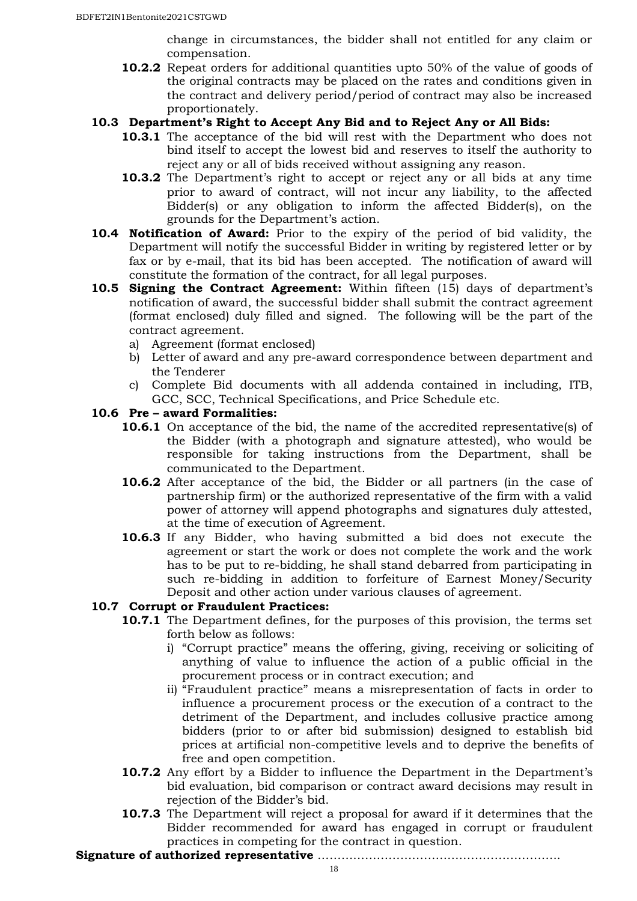change in circumstances, the bidder shall not entitled for any claim or compensation.

**10.2.2** Repeat orders for additional quantities upto 50% of the value of goods of the original contracts may be placed on the rates and conditions given in the contract and delivery period/period of contract may also be increased proportionately.

#### **10.3 Department's Right to Accept Any Bid and to Reject Any or All Bids:**

- **10.3.1** The acceptance of the bid will rest with the Department who does not bind itself to accept the lowest bid and reserves to itself the authority to reject any or all of bids received without assigning any reason.
- **10.3.2** The Department's right to accept or reject any or all bids at any time prior to award of contract, will not incur any liability, to the affected Bidder(s) or any obligation to inform the affected Bidder(s), on the grounds for the Department's action.
- **10.4 Notification of Award:** Prior to the expiry of the period of bid validity, the Department will notify the successful Bidder in writing by registered letter or by fax or by e-mail, that its bid has been accepted. The notification of award will constitute the formation of the contract, for all legal purposes.
- **10.5 Signing the Contract Agreement:** Within fifteen (15) days of department's notification of award, the successful bidder shall submit the contract agreement (format enclosed) duly filled and signed. The following will be the part of the contract agreement.
	- a) Agreement (format enclosed)
	- b) Letter of award and any pre-award correspondence between department and the Tenderer
	- c) Complete Bid documents with all addenda contained in including, ITB, GCC, SCC, Technical Specifications, and Price Schedule etc.

#### **10.6 Pre – award Formalities:**

- **10.6.1** On acceptance of the bid, the name of the accredited representative(s) of the Bidder (with a photograph and signature attested), who would be responsible for taking instructions from the Department, shall be communicated to the Department.
- **10.6.2** After acceptance of the bid, the Bidder or all partners (in the case of partnership firm) or the authorized representative of the firm with a valid power of attorney will append photographs and signatures duly attested, at the time of execution of Agreement.
- **10.6.3** If any Bidder, who having submitted a bid does not execute the agreement or start the work or does not complete the work and the work has to be put to re-bidding, he shall stand debarred from participating in such re-bidding in addition to forfeiture of Earnest Money/Security Deposit and other action under various clauses of agreement.

# **10.7 Corrupt or Fraudulent Practices:**

- **10.7.1** The Department defines, for the purposes of this provision, the terms set forth below as follows:
	- i) "Corrupt practice" means the offering, giving, receiving or soliciting of anything of value to influence the action of a public official in the procurement process or in contract execution; and
	- ii) "Fraudulent practice" means a misrepresentation of facts in order to influence a procurement process or the execution of a contract to the detriment of the Department, and includes collusive practice among bidders (prior to or after bid submission) designed to establish bid prices at artificial non-competitive levels and to deprive the benefits of free and open competition.
- **10.7.2** Any effort by a Bidder to influence the Department in the Department's bid evaluation, bid comparison or contract award decisions may result in rejection of the Bidder's bid.
- **10.7.3** The Department will reject a proposal for award if it determines that the Bidder recommended for award has engaged in corrupt or fraudulent practices in competing for the contract in question.

**Signature of authorized representative** ……………………………………………………..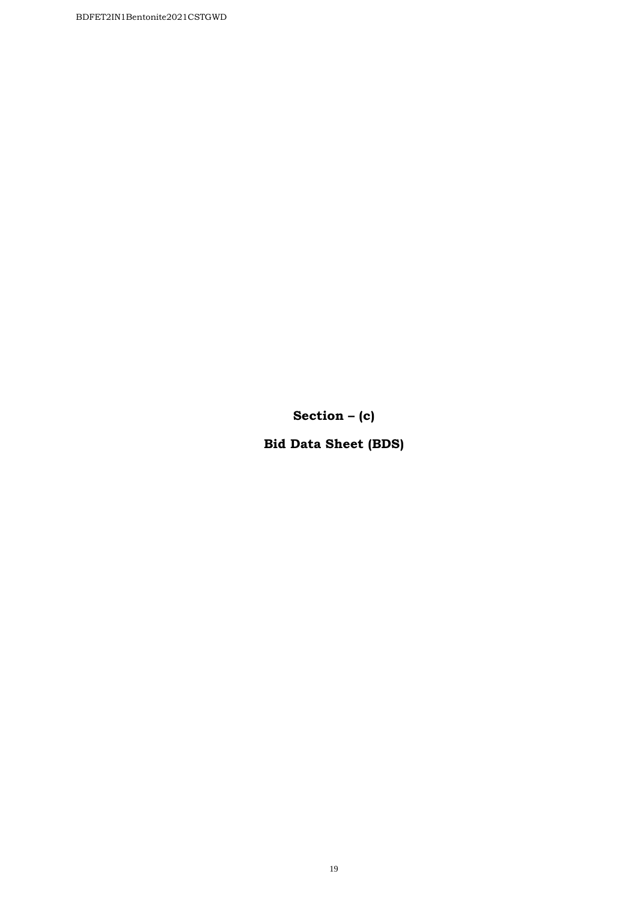**Section – (c)** 

**Bid Data Sheet (BDS)**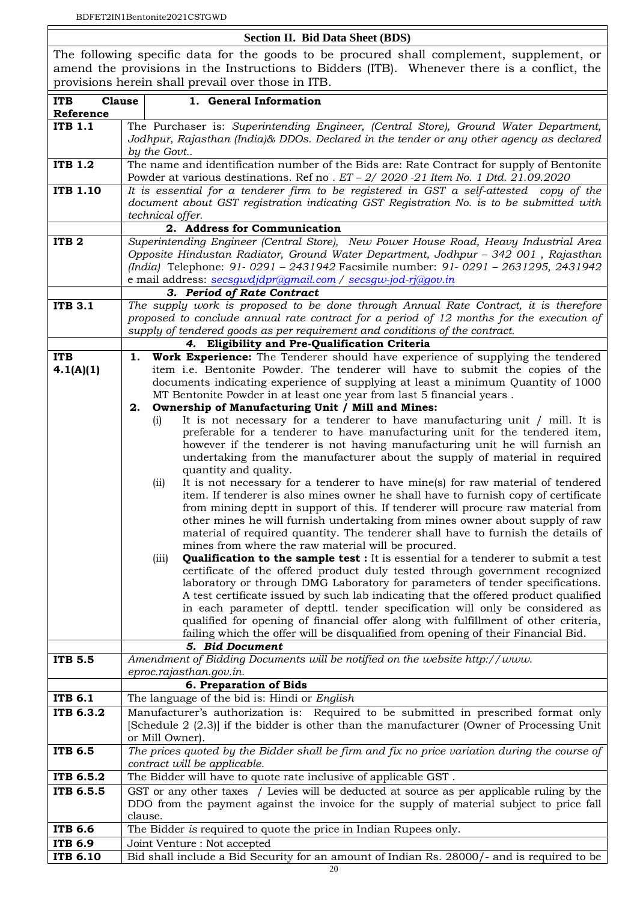#### **Section II. Bid Data Sheet (BDS)**

The following specific data for the goods to be procured shall complement, supplement, or amend the provisions in the Instructions to Bidders (ITB). Whenever there is a conflict, the provisions herein shall prevail over those in ITB.

| <b>ITB</b><br><b>Clause</b> | 1. General Information                                                                                                                                                                                                                                                                                                          |  |
|-----------------------------|---------------------------------------------------------------------------------------------------------------------------------------------------------------------------------------------------------------------------------------------------------------------------------------------------------------------------------|--|
| Reference<br><b>ITB 1.1</b> |                                                                                                                                                                                                                                                                                                                                 |  |
|                             | The Purchaser is: Superintending Engineer, (Central Store), Ground Water Department,<br>Jodhpur, Rajasthan (India)& DDOs. Declared in the tender or any other agency as declared<br>by the Govt                                                                                                                                 |  |
| <b>ITB 1.2</b>              | The name and identification number of the Bids are: Rate Contract for supply of Bentonite<br>Powder at various destinations. Ref no . $ET - 2/2020 - 21$ Item No. 1 Dtd. 21.09.2020                                                                                                                                             |  |
| <b>ITB 1.10</b>             | It is essential for a tenderer firm to be registered in GST a self-attested copy of the                                                                                                                                                                                                                                         |  |
|                             | document about GST registration indicating GST Registration No. is to be submitted with                                                                                                                                                                                                                                         |  |
|                             | technical offer.                                                                                                                                                                                                                                                                                                                |  |
|                             | 2. Address for Communication                                                                                                                                                                                                                                                                                                    |  |
| ITB <sub>2</sub>            | Superintending Engineer (Central Store), New Power House Road, Heavy Industrial Area<br>Opposite Hindustan Radiator, Ground Water Department, Jodhpur - 342 001, Rajasthan<br>(India) Telephone: 91-0291 - 2431942 Facsimile number: 91-0291 - 2631295, 2431942<br>e mail address: secsqwdjdpr@gmail.com / secsqw-jod-rj@gov.in |  |
|                             | 3. Period of Rate Contract                                                                                                                                                                                                                                                                                                      |  |
| <b>ITB 3.1</b>              | The supply work is proposed to be done through Annual Rate Contract, it is therefore                                                                                                                                                                                                                                            |  |
|                             | proposed to conclude annual rate contract for a period of 12 months for the execution of                                                                                                                                                                                                                                        |  |
|                             | supply of tendered goods as per requirement and conditions of the contract.                                                                                                                                                                                                                                                     |  |
|                             | 4. Eligibility and Pre-Qualification Criteria                                                                                                                                                                                                                                                                                   |  |
| <b>ITB</b>                  | <b>Work Experience:</b> The Tenderer should have experience of supplying the tendered<br>ı.                                                                                                                                                                                                                                     |  |
| 4.1(A)(1)                   | item i.e. Bentonite Powder. The tenderer will have to submit the copies of the                                                                                                                                                                                                                                                  |  |
|                             | documents indicating experience of supplying at least a minimum Quantity of 1000                                                                                                                                                                                                                                                |  |
|                             | MT Bentonite Powder in at least one year from last 5 financial years.<br>Ownership of Manufacturing Unit / Mill and Mines:<br>2.                                                                                                                                                                                                |  |
|                             | It is not necessary for a tenderer to have manufacturing unit / mill. It is<br>(i)                                                                                                                                                                                                                                              |  |
|                             | preferable for a tenderer to have manufacturing unit for the tendered item,                                                                                                                                                                                                                                                     |  |
|                             | however if the tenderer is not having manufacturing unit he will furnish an                                                                                                                                                                                                                                                     |  |
|                             | undertaking from the manufacturer about the supply of material in required                                                                                                                                                                                                                                                      |  |
|                             | quantity and quality.                                                                                                                                                                                                                                                                                                           |  |
|                             | It is not necessary for a tenderer to have mine(s) for raw material of tendered<br>(ii)                                                                                                                                                                                                                                         |  |
|                             | item. If tenderer is also mines owner he shall have to furnish copy of certificate                                                                                                                                                                                                                                              |  |
|                             | from mining deptt in support of this. If tenderer will procure raw material from<br>other mines he will furnish undertaking from mines owner about supply of raw                                                                                                                                                                |  |
|                             | material of required quantity. The tenderer shall have to furnish the details of                                                                                                                                                                                                                                                |  |
|                             | mines from where the raw material will be procured.                                                                                                                                                                                                                                                                             |  |
|                             | <b>Qualification to the sample test :</b> It is essential for a tenderer to submit a test<br>(iii)                                                                                                                                                                                                                              |  |
|                             | certificate of the offered product duly tested through government recognized                                                                                                                                                                                                                                                    |  |
|                             | laboratory or through DMG Laboratory for parameters of tender specifications.                                                                                                                                                                                                                                                   |  |
|                             | A test certificate issued by such lab indicating that the offered product qualified                                                                                                                                                                                                                                             |  |
|                             | in each parameter of depttl. tender specification will only be considered as                                                                                                                                                                                                                                                    |  |
|                             | qualified for opening of financial offer along with fulfillment of other criteria,<br>failing which the offer will be disqualified from opening of their Financial Bid.                                                                                                                                                         |  |
|                             | 5. Bid Document                                                                                                                                                                                                                                                                                                                 |  |
| <b>ITB 5.5</b>              | Amendment of Bidding Documents will be notified on the website http://www.                                                                                                                                                                                                                                                      |  |
|                             | eproc.rajasthan.gov.in.                                                                                                                                                                                                                                                                                                         |  |
|                             | 6. Preparation of Bids                                                                                                                                                                                                                                                                                                          |  |
| <b>ITB 6.1</b>              | The language of the bid is: Hindi or English                                                                                                                                                                                                                                                                                    |  |
| ITB 6.3.2                   | Manufacturer's authorization is: Required to be submitted in prescribed format only                                                                                                                                                                                                                                             |  |
|                             | [Schedule 2 (2.3)] if the bidder is other than the manufacturer (Owner of Processing Unit                                                                                                                                                                                                                                       |  |
|                             | or Mill Owner).                                                                                                                                                                                                                                                                                                                 |  |
| <b>ITB 6.5</b>              | The prices quoted by the Bidder shall be firm and fix no price variation during the course of                                                                                                                                                                                                                                   |  |
| ITB 6.5.2                   | contract will be applicable.<br>The Bidder will have to quote rate inclusive of applicable GST.                                                                                                                                                                                                                                 |  |
| ITB 6.5.5                   | GST or any other taxes / Levies will be deducted at source as per applicable ruling by the                                                                                                                                                                                                                                      |  |
|                             | DDO from the payment against the invoice for the supply of material subject to price fall                                                                                                                                                                                                                                       |  |
|                             | clause.                                                                                                                                                                                                                                                                                                                         |  |
| <b>ITB 6.6</b>              | The Bidder is required to quote the price in Indian Rupees only.                                                                                                                                                                                                                                                                |  |
| <b>ITB 6.9</b>              | Joint Venture : Not accepted                                                                                                                                                                                                                                                                                                    |  |
| <b>ITB 6.10</b>             | Bid shall include a Bid Security for an amount of Indian Rs. 28000/- and is required to be                                                                                                                                                                                                                                      |  |
|                             | 20                                                                                                                                                                                                                                                                                                                              |  |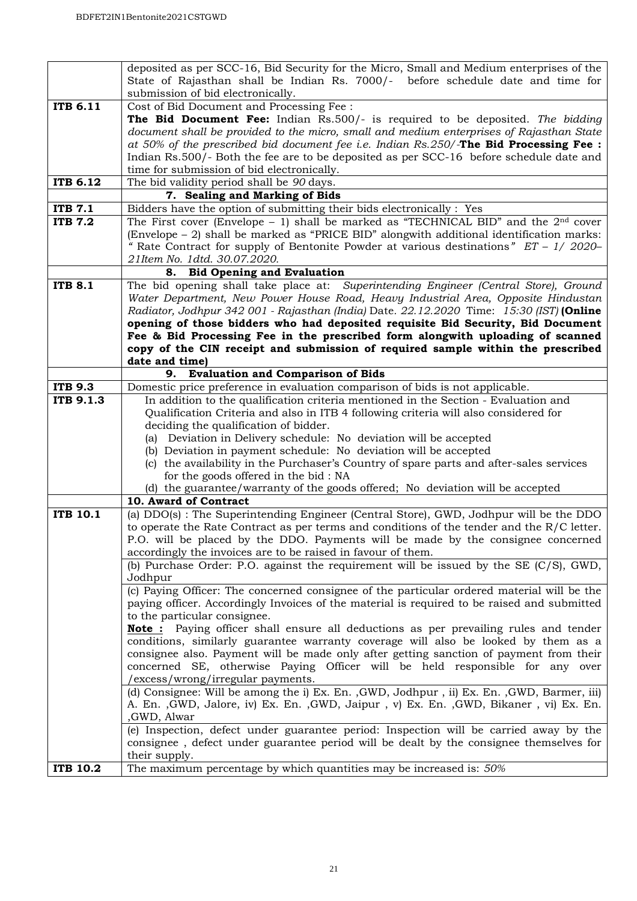|                 | deposited as per SCC-16, Bid Security for the Micro, Small and Medium enterprises of the<br>State of Rajasthan shall be Indian Rs. 7000/- before schedule date and time for |
|-----------------|-----------------------------------------------------------------------------------------------------------------------------------------------------------------------------|
|                 | submission of bid electronically.                                                                                                                                           |
| ITB 6.11        | Cost of Bid Document and Processing Fee:                                                                                                                                    |
|                 | <b>The Bid Document Fee:</b> Indian Rs.500/- is required to be deposited. The bidding                                                                                       |
|                 | document shall be provided to the micro, small and medium enterprises of Rajasthan State                                                                                    |
|                 | at 50% of the prescribed bid document fee i.e. Indian $Rs.250/$ -The Bid Processing Fee :                                                                                   |
|                 | Indian Rs.500/- Both the fee are to be deposited as per SCC-16 before schedule date and                                                                                     |
|                 | time for submission of bid electronically.                                                                                                                                  |
| ITB 6.12        | The bid validity period shall be 90 days.                                                                                                                                   |
|                 | 7. Sealing and Marking of Bids                                                                                                                                              |
| <b>ITB 7.1</b>  | Bidders have the option of submitting their bids electronically : Yes                                                                                                       |
| <b>ITB 7.2</b>  | The First cover (Envelope - 1) shall be marked as "TECHNICAL BID" and the $2nd$ cover                                                                                       |
|                 | (Envelope $-2$ ) shall be marked as "PRICE BID" alongwith additional identification marks:                                                                                  |
|                 | " Rate Contract for supply of Bentonite Powder at various destinations" $ET - 1/2020-$                                                                                      |
|                 | 21Item No. 1dtd. 30.07.2020.                                                                                                                                                |
| <b>ITB 8.1</b>  | <b>Bid Opening and Evaluation</b><br>8.<br>The bid opening shall take place at: Superintending Engineer (Central Store), Ground                                             |
|                 | Water Department, New Power House Road, Heavy Industrial Area, Opposite Hindustan                                                                                           |
|                 | Radiator, Jodhpur 342 001 - Rajasthan (India) Date. 22.12.2020 Time: 15:30 (IST) (Online                                                                                    |
|                 | opening of those bidders who had deposited requisite Bid Security, Bid Document                                                                                             |
|                 | Fee & Bid Processing Fee in the prescribed form alongwith uploading of scanned                                                                                              |
|                 | copy of the CIN receipt and submission of required sample within the prescribed                                                                                             |
|                 | date and time)                                                                                                                                                              |
|                 | <b>Evaluation and Comparison of Bids</b><br>9.                                                                                                                              |
| <b>ITB 9.3</b>  | Domestic price preference in evaluation comparison of bids is not applicable.                                                                                               |
| ITB 9.1.3       | In addition to the qualification criteria mentioned in the Section - Evaluation and                                                                                         |
|                 | Qualification Criteria and also in ITB 4 following criteria will also considered for                                                                                        |
|                 | deciding the qualification of bidder.                                                                                                                                       |
|                 | (a) Deviation in Delivery schedule: No deviation will be accepted                                                                                                           |
|                 | (b) Deviation in payment schedule: No deviation will be accepted                                                                                                            |
|                 | (c) the availability in the Purchaser's Country of spare parts and after-sales services<br>for the goods offered in the bid: NA                                             |
|                 | (d) the guarantee/warranty of the goods offered; No deviation will be accepted                                                                                              |
|                 | 10. Award of Contract                                                                                                                                                       |
| <b>ITB 10.1</b> | (a) DDO(s): The Superintending Engineer (Central Store), GWD, Jodhpur will be the DDO                                                                                       |
|                 | to operate the Rate Contract as per terms and conditions of the tender and the $R/C$ letter.                                                                                |
|                 | P.O. will be placed by the DDO. Payments will be made by the consignee concerned                                                                                            |
|                 | accordingly the invoices are to be raised in favour of them.                                                                                                                |
|                 | (b) Purchase Order: P.O. against the requirement will be issued by the SE (C/S), GWD,                                                                                       |
|                 | Jodhpur                                                                                                                                                                     |
|                 | (c) Paying Officer: The concerned consignee of the particular ordered material will be the                                                                                  |
|                 | paying officer. Accordingly Invoices of the material is required to be raised and submitted                                                                                 |
|                 | to the particular consignee.<br><b>Note</b> : Paying officer shall ensure all deductions as per prevailing rules and tender                                                 |
|                 | conditions, similarly guarantee warranty coverage will also be looked by them as a                                                                                          |
|                 | consignee also. Payment will be made only after getting sanction of payment from their                                                                                      |
|                 | concerned SE, otherwise Paying Officer will be held responsible for any over                                                                                                |
|                 | /excess/wrong/irregular payments.                                                                                                                                           |
|                 | (d) Consignee: Will be among the i) Ex. En., GWD, Jodhpur, ii) Ex. En., GWD, Barmer, iii)                                                                                   |
|                 | A. En., GWD, Jalore, iv) Ex. En., GWD, Jaipur, v) Ex. En., GWD, Bikaner, vi) Ex. En.                                                                                        |
|                 | ,GWD, Alwar                                                                                                                                                                 |
|                 | (e) Inspection, defect under guarantee period: Inspection will be carried away by the                                                                                       |
|                 | consignee, defect under guarantee period will be dealt by the consignee themselves for                                                                                      |
|                 | their supply.                                                                                                                                                               |
| <b>ITB 10.2</b> | The maximum percentage by which quantities may be increased is: 50%                                                                                                         |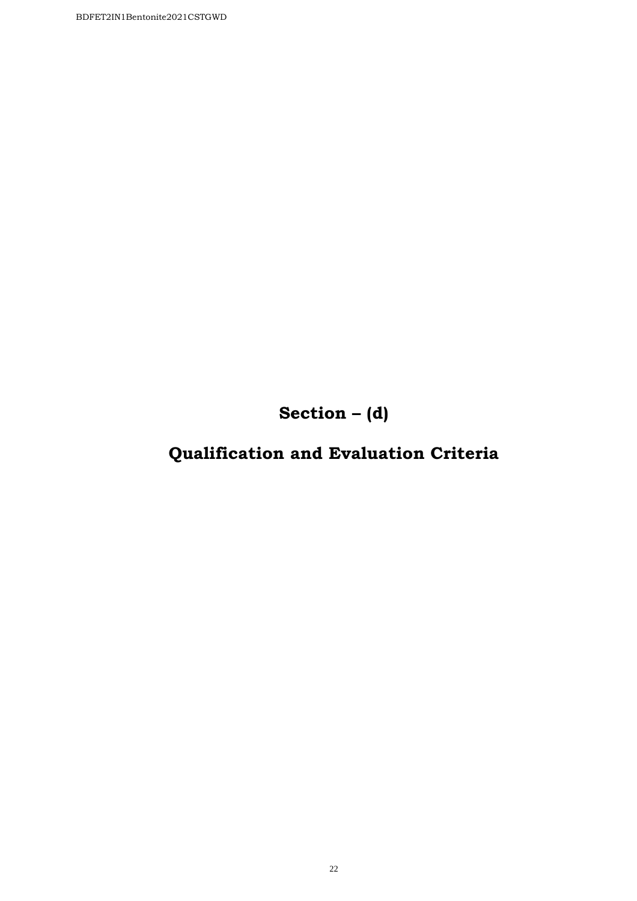**Section – (d)**

# **Qualification and Evaluation Criteria**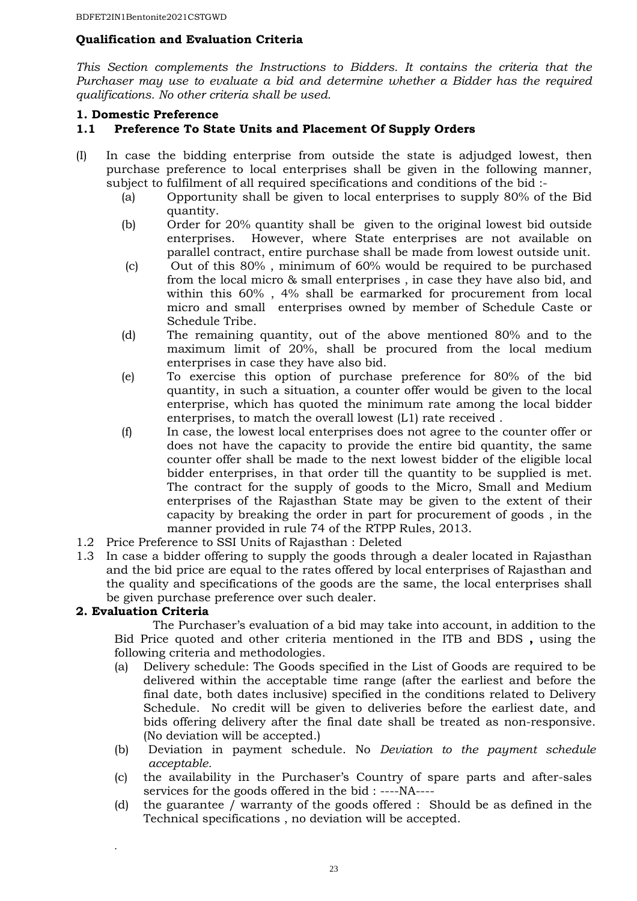## **Qualification and Evaluation Criteria**

*This Section complements the Instructions to Bidders. It contains the criteria that the Purchaser may use to evaluate a bid and determine whether a Bidder has the required qualifications. No other criteria shall be used.* 

#### **1. Domestic Preference**

#### **1.1 Preference To State Units and Placement Of Supply Orders**

- (I) In case the bidding enterprise from outside the state is adjudged lowest, then purchase preference to local enterprises shall be given in the following manner, subject to fulfilment of all required specifications and conditions of the bid :-
	- (a) Opportunity shall be given to local enterprises to supply 80% of the Bid quantity.
	- (b) Order for 20% quantity shall be given to the original lowest bid outside enterprises. However, where State enterprises are not available on parallel contract, entire purchase shall be made from lowest outside unit.
	- (c) Out of this 80% , minimum of 60% would be required to be purchased from the local micro & small enterprises , in case they have also bid, and within this 60% , 4% shall be earmarked for procurement from local micro and small enterprises owned by member of Schedule Caste or Schedule Tribe.
	- (d) The remaining quantity, out of the above mentioned 80% and to the maximum limit of 20%, shall be procured from the local medium enterprises in case they have also bid.
	- (e) To exercise this option of purchase preference for 80% of the bid quantity, in such a situation, a counter offer would be given to the local enterprise, which has quoted the minimum rate among the local bidder enterprises, to match the overall lowest (L1) rate received .
	- (f) In case, the lowest local enterprises does not agree to the counter offer or does not have the capacity to provide the entire bid quantity, the same counter offer shall be made to the next lowest bidder of the eligible local bidder enterprises, in that order till the quantity to be supplied is met. The contract for the supply of goods to the Micro, Small and Medium enterprises of the Rajasthan State may be given to the extent of their capacity by breaking the order in part for procurement of goods , in the manner provided in rule 74 of the RTPP Rules, 2013.
- 1.2 Price Preference to SSI Units of Rajasthan : Deleted
- 1.3 In case a bidder offering to supply the goods through a dealer located in Rajasthan and the bid price are equal to the rates offered by local enterprises of Rajasthan and the quality and specifications of the goods are the same, the local enterprises shall be given purchase preference over such dealer.

#### **2. Evaluation Criteria**

.

The Purchaser's evaluation of a bid may take into account, in addition to the Bid Price quoted and other criteria mentioned in the ITB and BDS **,** using the following criteria and methodologies.

- (a) Delivery schedule: The Goods specified in the List of Goods are required to be delivered within the acceptable time range (after the earliest and before the final date, both dates inclusive) specified in the conditions related to Delivery Schedule. No credit will be given to deliveries before the earliest date, and bids offering delivery after the final date shall be treated as non-responsive. (No deviation will be accepted.)
- (b) Deviation in payment schedule. No *Deviation to the payment schedule acceptable.*
- (c) the availability in the Purchaser's Country of spare parts and after-sales services for the goods offered in the bid : ----NA----
- (d) the guarantee / warranty of the goods offered : Should be as defined in the Technical specifications , no deviation will be accepted.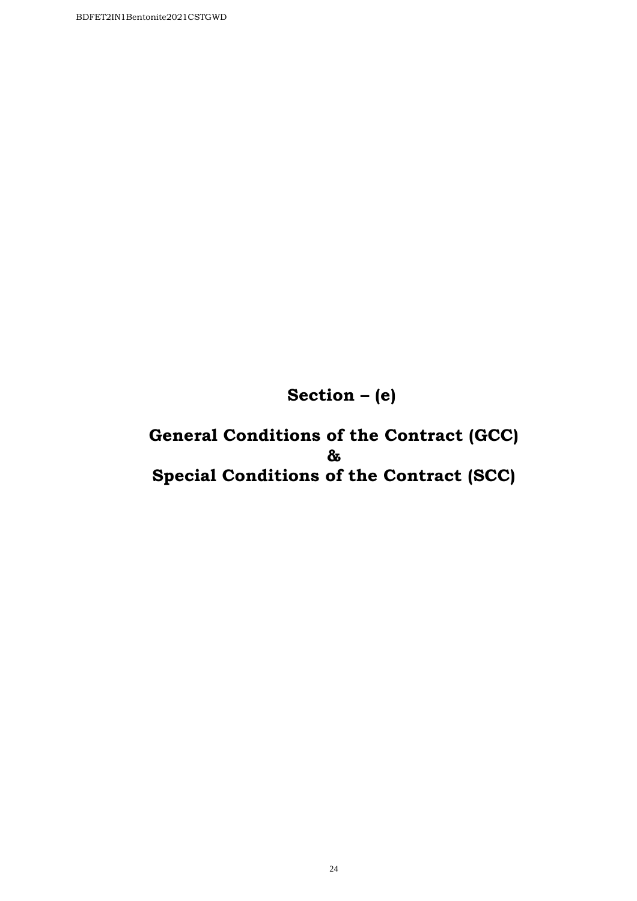**Section – (e)** 

**General Conditions of the Contract (GCC) & Special Conditions of the Contract (SCC)**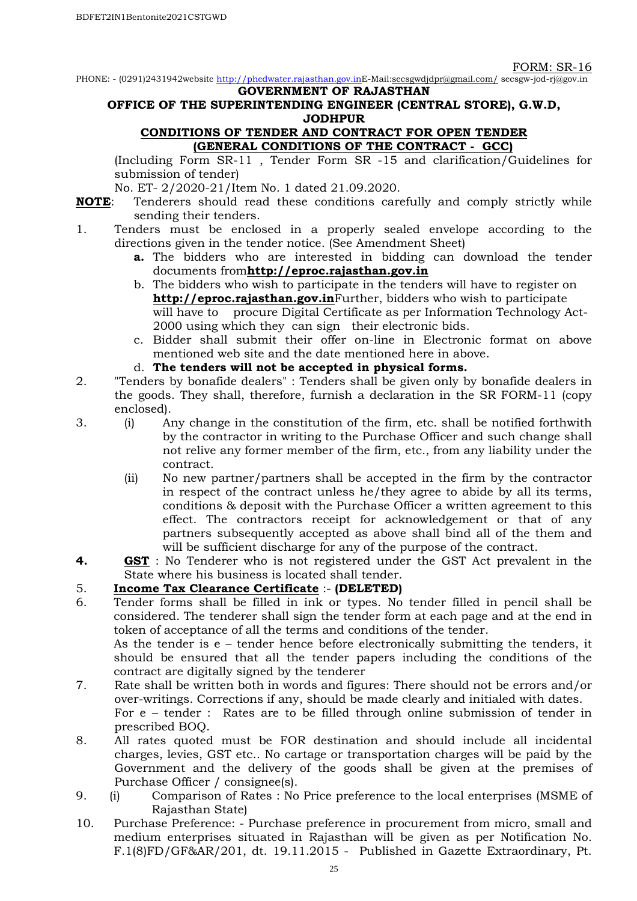PHONE: - (0291)2431942website http://phedwater.rajasthan.gov.inE-Mail:secsgwdjdpr@gmail.com/ secsgw-jod-rj@gov.in **GOVERNMENT OF RAJASTHAN** 

## **OFFICE OF THE SUPERINTENDING ENGINEER (CENTRAL STORE), G.W.D, JODHPUR**

#### **CONDITIONS OF TENDER AND CONTRACT FOR OPEN TENDER (GENERAL CONDITIONS OF THE CONTRACT - GCC)**

(Including Form SR-11 , Tender Form SR -15 and clarification/Guidelines for submission of tender)

No. ET- 2/2020-21/Item No. 1 dated 21.09.2020.

- **NOTE**: Tenderers should read these conditions carefully and comply strictly while sending their tenders.
- 1. Tenders must be enclosed in a properly sealed envelope according to the directions given in the tender notice. (See Amendment Sheet)
	- **a.** The bidders who are interested in bidding can download the tender documents from**http://eproc.rajasthan.gov.in**
	- b. The bidders who wish to participate in the tenders will have to register on **http://eproc.rajasthan.gov.in**Further, bidders who wish to participate will have to procure Digital Certificate as per Information Technology Act-2000 using which they can sign their electronic bids.
	- c. Bidder shall submit their offer on-line in Electronic format on above mentioned web site and the date mentioned here in above.
	- d. **The tenders will not be accepted in physical forms.**
- 2. "Tenders by bonafide dealers" : Tenders shall be given only by bonafide dealers in the goods. They shall, therefore, furnish a declaration in the SR FORM-11 (copy enclosed).
- 3. (i) Any change in the constitution of the firm, etc. shall be notified forthwith by the contractor in writing to the Purchase Officer and such change shall not relive any former member of the firm, etc., from any liability under the contract.
	- (ii) No new partner/partners shall be accepted in the firm by the contractor in respect of the contract unless he/they agree to abide by all its terms, conditions & deposit with the Purchase Officer a written agreement to this effect. The contractors receipt for acknowledgement or that of any partners subsequently accepted as above shall bind all of the them and will be sufficient discharge for any of the purpose of the contract.
- **4. GST** : No Tenderer who is not registered under the GST Act prevalent in the State where his business is located shall tender.

# 5. **Income Tax Clearance Certificate** :- **(DELETED)**

6. Tender forms shall be filled in ink or types. No tender filled in pencil shall be considered. The tenderer shall sign the tender form at each page and at the end in token of acceptance of all the terms and conditions of the tender. As the tender is e – tender hence before electronically submitting the tenders, it

should be ensured that all the tender papers including the conditions of the contract are digitally signed by the tenderer

- 7. Rate shall be written both in words and figures: There should not be errors and/or over-writings. Corrections if any, should be made clearly and initialed with dates. For e – tender : Rates are to be filled through online submission of tender in prescribed BOQ.
- 8. All rates quoted must be FOR destination and should include all incidental charges, levies, GST etc.. No cartage or transportation charges will be paid by the Government and the delivery of the goods shall be given at the premises of Purchase Officer / consignee(s).
- 9. (i) Comparison of Rates : No Price preference to the local enterprises (MSME of Rajasthan State)
- 10. Purchase Preference: Purchase preference in procurement from micro, small and medium enterprises situated in Rajasthan will be given as per Notification No. F.1(8)FD/GF&AR/201, dt. 19.11.2015 - Published in Gazette Extraordinary, Pt.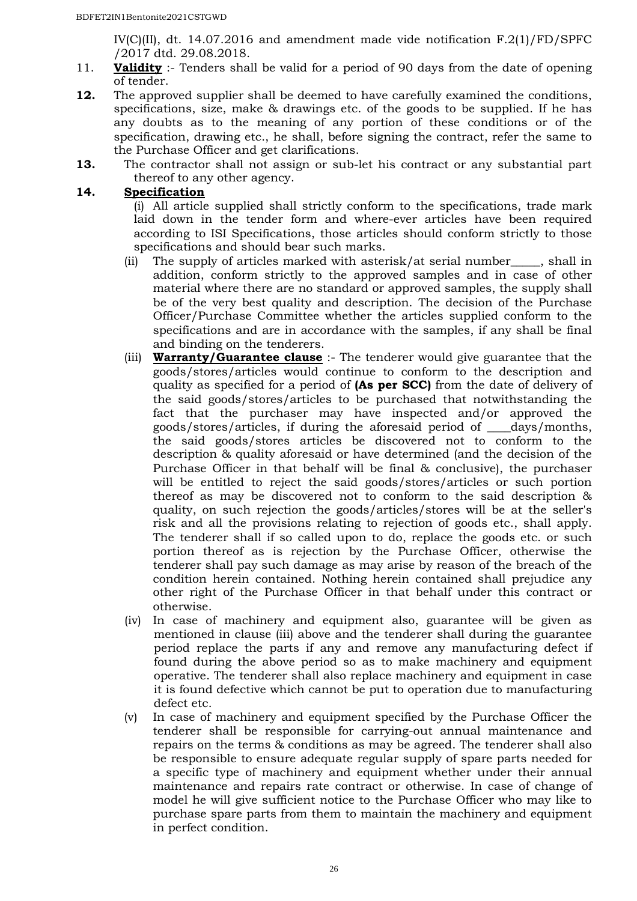IV(C)(II), dt. 14.07.2016 and amendment made vide notification F.2(1)/FD/SPFC /2017 dtd. 29.08.2018.

- 11. **Validity** :- Tenders shall be valid for a period of 90 days from the date of opening of tender.
- **12.** The approved supplier shall be deemed to have carefully examined the conditions, specifications, size, make & drawings etc. of the goods to be supplied. If he has any doubts as to the meaning of any portion of these conditions or of the specification, drawing etc., he shall, before signing the contract, refer the same to the Purchase Officer and get clarifications.
- **13.** The contractor shall not assign or sub-let his contract or any substantial part thereof to any other agency.

#### **14. Specification**

(i) All article supplied shall strictly conform to the specifications, trade mark laid down in the tender form and where-ever articles have been required according to ISI Specifications, those articles should conform strictly to those specifications and should bear such marks.

- (ii) The supply of articles marked with asterisk/at serial number\_\_\_\_\_, shall in addition, conform strictly to the approved samples and in case of other material where there are no standard or approved samples, the supply shall be of the very best quality and description. The decision of the Purchase Officer/Purchase Committee whether the articles supplied conform to the specifications and are in accordance with the samples, if any shall be final and binding on the tenderers.
- (iii) **Warranty/Guarantee clause** :- The tenderer would give guarantee that the goods/stores/articles would continue to conform to the description and quality as specified for a period of **(As per SCC)** from the date of delivery of the said goods/stores/articles to be purchased that notwithstanding the fact that the purchaser may have inspected and/or approved the goods/stores/articles, if during the aforesaid period of \_\_\_\_days/months, the said goods/stores articles be discovered not to conform to the description & quality aforesaid or have determined (and the decision of the Purchase Officer in that behalf will be final & conclusive), the purchaser will be entitled to reject the said goods/stores/articles or such portion thereof as may be discovered not to conform to the said description & quality, on such rejection the goods/articles/stores will be at the seller's risk and all the provisions relating to rejection of goods etc., shall apply. The tenderer shall if so called upon to do, replace the goods etc. or such portion thereof as is rejection by the Purchase Officer, otherwise the tenderer shall pay such damage as may arise by reason of the breach of the condition herein contained. Nothing herein contained shall prejudice any other right of the Purchase Officer in that behalf under this contract or otherwise.
- (iv) In case of machinery and equipment also, guarantee will be given as mentioned in clause (iii) above and the tenderer shall during the guarantee period replace the parts if any and remove any manufacturing defect if found during the above period so as to make machinery and equipment operative. The tenderer shall also replace machinery and equipment in case it is found defective which cannot be put to operation due to manufacturing defect etc.
- (v) In case of machinery and equipment specified by the Purchase Officer the tenderer shall be responsible for carrying-out annual maintenance and repairs on the terms & conditions as may be agreed. The tenderer shall also be responsible to ensure adequate regular supply of spare parts needed for a specific type of machinery and equipment whether under their annual maintenance and repairs rate contract or otherwise. In case of change of model he will give sufficient notice to the Purchase Officer who may like to purchase spare parts from them to maintain the machinery and equipment in perfect condition.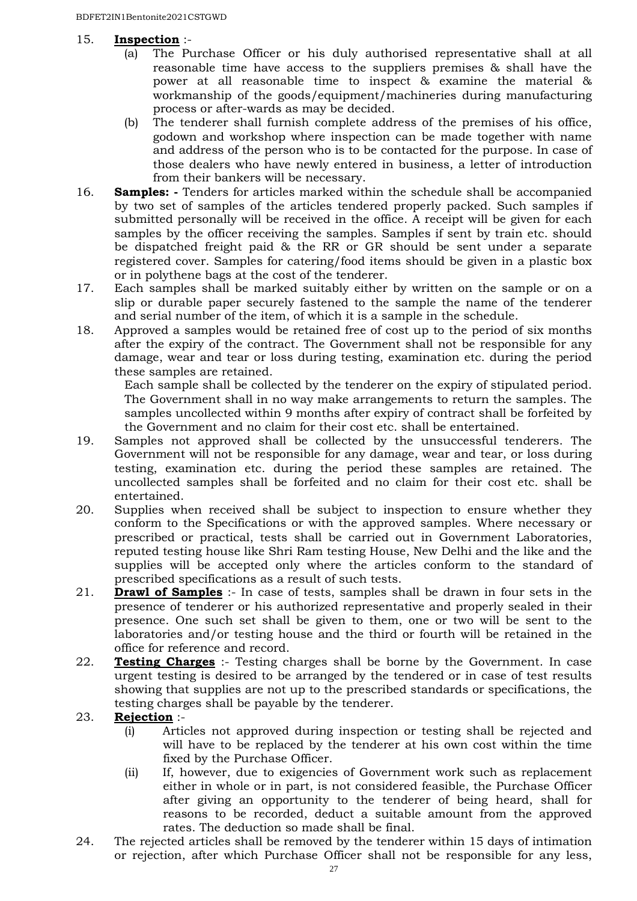# 15. **Inspection** :-

- (a) The Purchase Officer or his duly authorised representative shall at all reasonable time have access to the suppliers premises & shall have the power at all reasonable time to inspect & examine the material & workmanship of the goods/equipment/machineries during manufacturing process or after-wards as may be decided.
- (b) The tenderer shall furnish complete address of the premises of his office, godown and workshop where inspection can be made together with name and address of the person who is to be contacted for the purpose. In case of those dealers who have newly entered in business, a letter of introduction from their bankers will be necessary.
- 16. **Samples: -** Tenders for articles marked within the schedule shall be accompanied by two set of samples of the articles tendered properly packed. Such samples if submitted personally will be received in the office. A receipt will be given for each samples by the officer receiving the samples. Samples if sent by train etc. should be dispatched freight paid & the RR or GR should be sent under a separate registered cover. Samples for catering/food items should be given in a plastic box or in polythene bags at the cost of the tenderer.
- 17. Each samples shall be marked suitably either by written on the sample or on a slip or durable paper securely fastened to the sample the name of the tenderer and serial number of the item, of which it is a sample in the schedule.
- 18. Approved a samples would be retained free of cost up to the period of six months after the expiry of the contract. The Government shall not be responsible for any damage, wear and tear or loss during testing, examination etc. during the period these samples are retained.

Each sample shall be collected by the tenderer on the expiry of stipulated period. The Government shall in no way make arrangements to return the samples. The samples uncollected within 9 months after expiry of contract shall be forfeited by the Government and no claim for their cost etc. shall be entertained.

- 19. Samples not approved shall be collected by the unsuccessful tenderers. The Government will not be responsible for any damage, wear and tear, or loss during testing, examination etc. during the period these samples are retained. The uncollected samples shall be forfeited and no claim for their cost etc. shall be entertained.
- 20. Supplies when received shall be subject to inspection to ensure whether they conform to the Specifications or with the approved samples. Where necessary or prescribed or practical, tests shall be carried out in Government Laboratories, reputed testing house like Shri Ram testing House, New Delhi and the like and the supplies will be accepted only where the articles conform to the standard of prescribed specifications as a result of such tests.
- 21. **Drawl of Samples** :- In case of tests, samples shall be drawn in four sets in the presence of tenderer or his authorized representative and properly sealed in their presence. One such set shall be given to them, one or two will be sent to the laboratories and/or testing house and the third or fourth will be retained in the office for reference and record.
- 22. **Testing Charges** :- Testing charges shall be borne by the Government. In case urgent testing is desired to be arranged by the tendered or in case of test results showing that supplies are not up to the prescribed standards or specifications, the testing charges shall be payable by the tenderer.
- 23. **Rejection** :-
	- (i) Articles not approved during inspection or testing shall be rejected and will have to be replaced by the tenderer at his own cost within the time fixed by the Purchase Officer.
	- (ii) If, however, due to exigencies of Government work such as replacement either in whole or in part, is not considered feasible, the Purchase Officer after giving an opportunity to the tenderer of being heard, shall for reasons to be recorded, deduct a suitable amount from the approved rates. The deduction so made shall be final.
- 24. The rejected articles shall be removed by the tenderer within 15 days of intimation or rejection, after which Purchase Officer shall not be responsible for any less,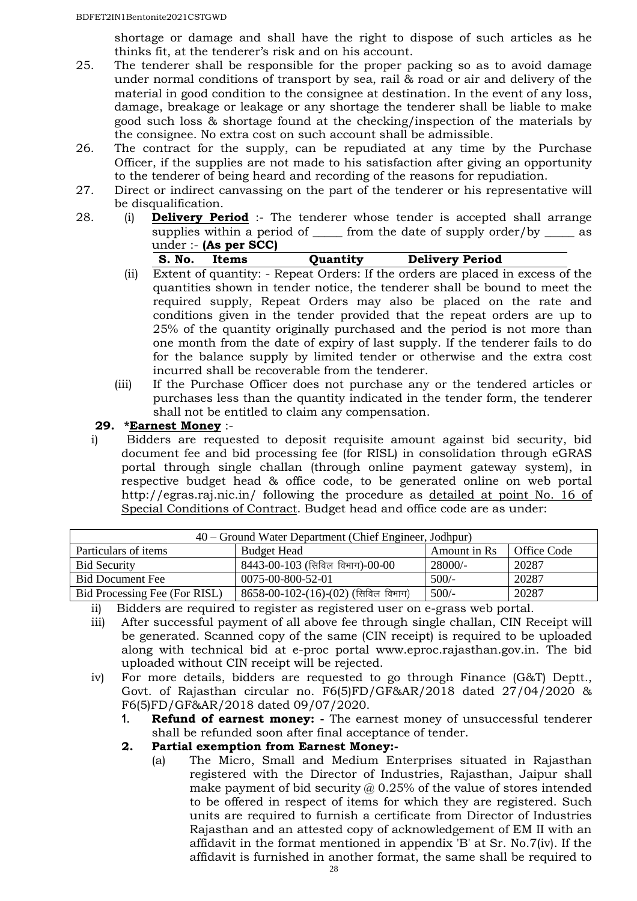shortage or damage and shall have the right to dispose of such articles as he thinks fit, at the tenderer's risk and on his account.

- 25. The tenderer shall be responsible for the proper packing so as to avoid damage under normal conditions of transport by sea, rail & road or air and delivery of the material in good condition to the consignee at destination. In the event of any loss, damage, breakage or leakage or any shortage the tenderer shall be liable to make good such loss & shortage found at the checking/inspection of the materials by the consignee. No extra cost on such account shall be admissible.
- 26. The contract for the supply, can be repudiated at any time by the Purchase Officer, if the supplies are not made to his satisfaction after giving an opportunity to the tenderer of being heard and recording of the reasons for repudiation.
- 27. Direct or indirect canvassing on the part of the tenderer or his representative will be disqualification.
- 28. (i) **Delivery Period** :- The tenderer whose tender is accepted shall arrange supplies within a period of \_\_\_\_\_\_ from the date of supply order/by \_\_\_\_\_\_ as under :- **(As per SCC)**

|--|

- (ii) Extent of quantity: Repeat Orders: If the orders are placed in excess of the quantities shown in tender notice, the tenderer shall be bound to meet the required supply, Repeat Orders may also be placed on the rate and conditions given in the tender provided that the repeat orders are up to 25% of the quantity originally purchased and the period is not more than one month from the date of expiry of last supply. If the tenderer fails to do for the balance supply by limited tender or otherwise and the extra cost incurred shall be recoverable from the tenderer.
- (iii) If the Purchase Officer does not purchase any or the tendered articles or purchases less than the quantity indicated in the tender form, the tenderer shall not be entitled to claim any compensation.

#### **29. \*Earnest Money** :-

i) Bidders are requested to deposit requisite amount against bid security, bid document fee and bid processing fee (for RISL) in consolidation through eGRAS portal through single challan (through online payment gateway system), in respective budget head & office code, to be generated online on web portal http://egras.raj.nic.in/ following the procedure as detailed at point No. 16 of Special Conditions of Contract. Budget head and office code are as under:

| 40 – Ground Water Department (Chief Engineer, Jodhpur) |                                       |              |             |  |
|--------------------------------------------------------|---------------------------------------|--------------|-------------|--|
| Particulars of items                                   | <b>Budget Head</b>                    | Amount in Rs | Office Code |  |
| <b>Bid Security</b>                                    | 8443-00-103 (सिविल विभाग)-00-00       | 28000/-      | 20287       |  |
| <b>Bid Document Fee</b>                                | 0075-00-800-52-01                     | $500/-$      | 20287       |  |
| Bid Processing Fee (For RISL)                          | $8658-00-102-(16)-(02)$ (सिविल विभाग) | $500/-$      | 20287       |  |

ii) Bidders are required to register as registered user on e-grass web portal.

- iii) After successful payment of all above fee through single challan, CIN Receipt will be generated. Scanned copy of the same (CIN receipt) is required to be uploaded along with technical bid at e-proc portal www.eproc.rajasthan.gov.in. The bid uploaded without CIN receipt will be rejected.
- iv) For more details, bidders are requested to go through Finance (G&T) Deptt., Govt. of Rajasthan circular no. F6(5)FD/GF&AR/2018 dated 27/04/2020 & F6(5)FD/GF&AR/2018 dated 09/07/2020.
	- **1. Refund of earnest money: -** The earnest money of unsuccessful tenderer shall be refunded soon after final acceptance of tender.
	- **2. Partial exemption from Earnest Money:-**
		- (a) The Micro, Small and Medium Enterprises situated in Rajasthan registered with the Director of Industries, Rajasthan, Jaipur shall make payment of bid security  $\omega$  0.25% of the value of stores intended to be offered in respect of items for which they are registered. Such units are required to furnish a certificate from Director of Industries Rajasthan and an attested copy of acknowledgement of EM II with an affidavit in the format mentioned in appendix 'B' at Sr. No.7(iv). If the affidavit is furnished in another format, the same shall be required to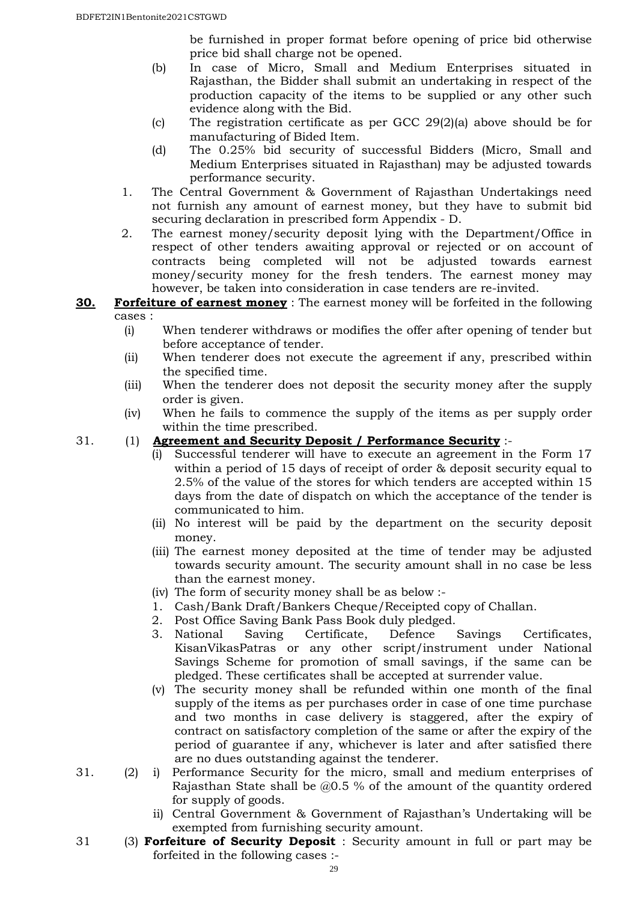be furnished in proper format before opening of price bid otherwise price bid shall charge not be opened.

- (b) In case of Micro, Small and Medium Enterprises situated in Rajasthan, the Bidder shall submit an undertaking in respect of the production capacity of the items to be supplied or any other such evidence along with the Bid.
- (c) The registration certificate as per GCC 29(2)(a) above should be for manufacturing of Bided Item.
- (d) The 0.25% bid security of successful Bidders (Micro, Small and Medium Enterprises situated in Rajasthan) may be adjusted towards performance security.
- 1. The Central Government & Government of Rajasthan Undertakings need not furnish any amount of earnest money, but they have to submit bid securing declaration in prescribed form Appendix - D.
- 2. The earnest money/security deposit lying with the Department/Office in respect of other tenders awaiting approval or rejected or on account of contracts being completed will not be adjusted towards earnest money/security money for the fresh tenders. The earnest money may however, be taken into consideration in case tenders are re-invited.
- **30. Forfeiture of earnest money** : The earnest money will be forfeited in the following cases :
	- (i) When tenderer withdraws or modifies the offer after opening of tender but before acceptance of tender.
	- (ii) When tenderer does not execute the agreement if any, prescribed within the specified time.
	- (iii) When the tenderer does not deposit the security money after the supply order is given.
	- (iv) When he fails to commence the supply of the items as per supply order within the time prescribed.

# 31. (1) **Agreement and Security Deposit / Performance Security** :-

- (i) Successful tenderer will have to execute an agreement in the Form 17 within a period of 15 days of receipt of order & deposit security equal to 2.5% of the value of the stores for which tenders are accepted within 15 days from the date of dispatch on which the acceptance of the tender is communicated to him.
- (ii) No interest will be paid by the department on the security deposit money.
- (iii) The earnest money deposited at the time of tender may be adjusted towards security amount. The security amount shall in no case be less than the earnest money.
- (iv) The form of security money shall be as below :-
- 1. Cash/Bank Draft/Bankers Cheque/Receipted copy of Challan.
- 2. Post Office Saving Bank Pass Book duly pledged.
- 3. National Saving Certificate, Defence Savings Certificates, KisanVikasPatras or any other script/instrument under National Savings Scheme for promotion of small savings, if the same can be pledged. These certificates shall be accepted at surrender value.
- (v) The security money shall be refunded within one month of the final supply of the items as per purchases order in case of one time purchase and two months in case delivery is staggered, after the expiry of contract on satisfactory completion of the same or after the expiry of the period of guarantee if any, whichever is later and after satisfied there are no dues outstanding against the tenderer.
- 31. (2) i) Performance Security for the micro, small and medium enterprises of Rajasthan State shall be @0.5 % of the amount of the quantity ordered for supply of goods.
	- ii) Central Government & Government of Rajasthan's Undertaking will be exempted from furnishing security amount.
- 31 (3) **Forfeiture of Security Deposit** : Security amount in full or part may be forfeited in the following cases :-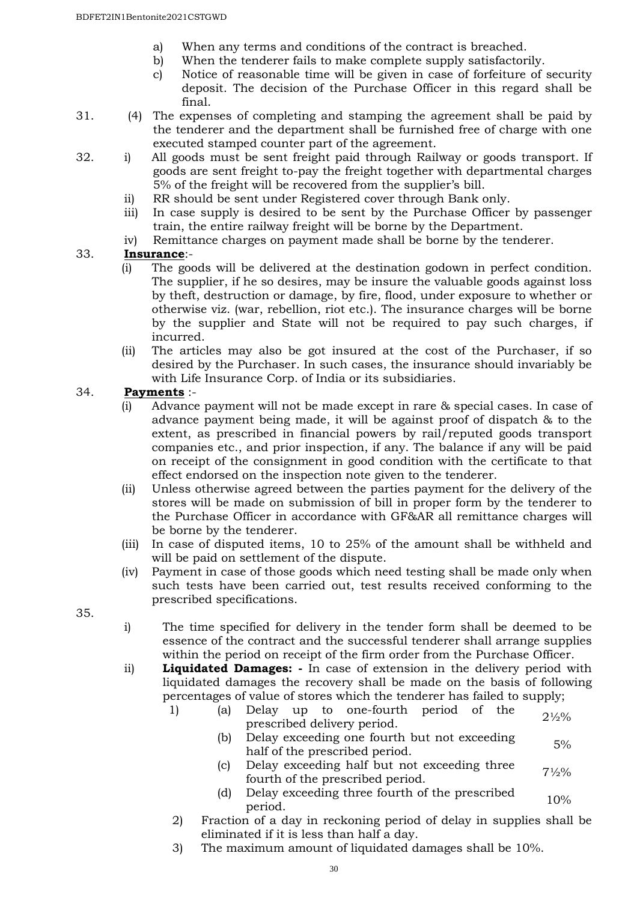- a) When any terms and conditions of the contract is breached.
- b) When the tenderer fails to make complete supply satisfactorily.
- c) Notice of reasonable time will be given in case of forfeiture of security deposit. The decision of the Purchase Officer in this regard shall be final.
- 31. (4) The expenses of completing and stamping the agreement shall be paid by the tenderer and the department shall be furnished free of charge with one executed stamped counter part of the agreement.
- 32. i) All goods must be sent freight paid through Railway or goods transport. If goods are sent freight to-pay the freight together with departmental charges 5% of the freight will be recovered from the supplier's bill.
	- ii) RR should be sent under Registered cover through Bank only.
	- iii) In case supply is desired to be sent by the Purchase Officer by passenger train, the entire railway freight will be borne by the Department.
	- iv) Remittance charges on payment made shall be borne by the tenderer.

#### 33. **Insurance**:-

- (i) The goods will be delivered at the destination godown in perfect condition. The supplier, if he so desires, may be insure the valuable goods against loss by theft, destruction or damage, by fire, flood, under exposure to whether or otherwise viz. (war, rebellion, riot etc.). The insurance charges will be borne by the supplier and State will not be required to pay such charges, if incurred.
- (ii) The articles may also be got insured at the cost of the Purchaser, if so desired by the Purchaser. In such cases, the insurance should invariably be with Life Insurance Corp. of India or its subsidiaries.

#### 34. **Payments** :-

- (i) Advance payment will not be made except in rare & special cases. In case of advance payment being made, it will be against proof of dispatch & to the extent, as prescribed in financial powers by rail/reputed goods transport companies etc., and prior inspection, if any. The balance if any will be paid on receipt of the consignment in good condition with the certificate to that effect endorsed on the inspection note given to the tenderer.
- (ii) Unless otherwise agreed between the parties payment for the delivery of the stores will be made on submission of bill in proper form by the tenderer to the Purchase Officer in accordance with GF&AR all remittance charges will be borne by the tenderer.
- (iii) In case of disputed items, 10 to 25% of the amount shall be withheld and will be paid on settlement of the dispute.
- (iv) Payment in case of those goods which need testing shall be made only when such tests have been carried out, test results received conforming to the prescribed specifications.

35.

- i) The time specified for delivery in the tender form shall be deemed to be essence of the contract and the successful tenderer shall arrange supplies within the period on receipt of the firm order from the Purchase Officer.
- ii) **Liquidated Damages: -** In case of extension in the delivery period with liquidated damages the recovery shall be made on the basis of following percentages of value of stores which the tenderer has failed to supply;
	- 1) (a) Delay up to one-fourth period of the prescribed delivery period.  $2\frac{1}{2}\%$ 
		- (b) Delay exceeding one fourth but not exceeding betay executing one fourth but not executing  $5\%$ <br>half of the prescribed period.
		- (c) Delay exceeding half but not exceeding three  $\frac{1}{2}$  fourth of the prescribed period.  $\frac{7\frac{1}{2}\%}{2}$
		- (d) Delay exceeding three fourth of the prescribed  $10\%$ <br>period.
	- 2) Fraction of a day in reckoning period of delay in supplies shall be eliminated if it is less than half a day.
	- 3) The maximum amount of liquidated damages shall be 10%.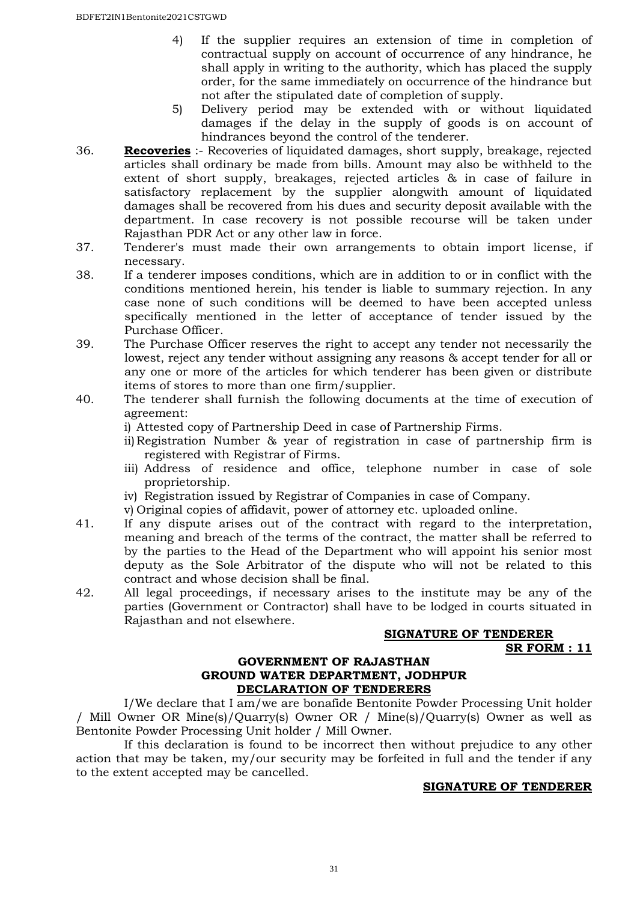- 4) If the supplier requires an extension of time in completion of contractual supply on account of occurrence of any hindrance, he shall apply in writing to the authority, which has placed the supply order, for the same immediately on occurrence of the hindrance but not after the stipulated date of completion of supply.
- 5) Delivery period may be extended with or without liquidated damages if the delay in the supply of goods is on account of hindrances beyond the control of the tenderer.
- 36. **Recoveries** :- Recoveries of liquidated damages, short supply, breakage, rejected articles shall ordinary be made from bills. Amount may also be withheld to the extent of short supply, breakages, rejected articles & in case of failure in satisfactory replacement by the supplier alongwith amount of liquidated damages shall be recovered from his dues and security deposit available with the department. In case recovery is not possible recourse will be taken under Rajasthan PDR Act or any other law in force.
- 37. Tenderer's must made their own arrangements to obtain import license, if necessary.
- 38. If a tenderer imposes conditions, which are in addition to or in conflict with the conditions mentioned herein, his tender is liable to summary rejection. In any case none of such conditions will be deemed to have been accepted unless specifically mentioned in the letter of acceptance of tender issued by the Purchase Officer.
- 39. The Purchase Officer reserves the right to accept any tender not necessarily the lowest, reject any tender without assigning any reasons & accept tender for all or any one or more of the articles for which tenderer has been given or distribute items of stores to more than one firm/supplier.
- 40. The tenderer shall furnish the following documents at the time of execution of agreement:
	- i) Attested copy of Partnership Deed in case of Partnership Firms.
	- ii) Registration Number & year of registration in case of partnership firm is registered with Registrar of Firms.
	- iii) Address of residence and office, telephone number in case of sole proprietorship.
	- iv) Registration issued by Registrar of Companies in case of Company.
	- v) Original copies of affidavit, power of attorney etc. uploaded online.
- 41. If any dispute arises out of the contract with regard to the interpretation, meaning and breach of the terms of the contract, the matter shall be referred to by the parties to the Head of the Department who will appoint his senior most deputy as the Sole Arbitrator of the dispute who will not be related to this contract and whose decision shall be final.
- 42. All legal proceedings, if necessary arises to the institute may be any of the parties (Government or Contractor) shall have to be lodged in courts situated in Rajasthan and not elsewhere.

#### **SIGNATURE OF TENDERER SR FORM : 11**

#### **GOVERNMENT OF RAJASTHAN GROUND WATER DEPARTMENT, JODHPUR DECLARATION OF TENDERERS**

 I/We declare that I am/we are bonafide Bentonite Powder Processing Unit holder / Mill Owner OR Mine(s)/Quarry(s) Owner OR / Mine(s)/Quarry(s) Owner as well as Bentonite Powder Processing Unit holder / Mill Owner.

 If this declaration is found to be incorrect then without prejudice to any other action that may be taken, my/our security may be forfeited in full and the tender if any to the extent accepted may be cancelled.

#### **SIGNATURE OF TENDERER**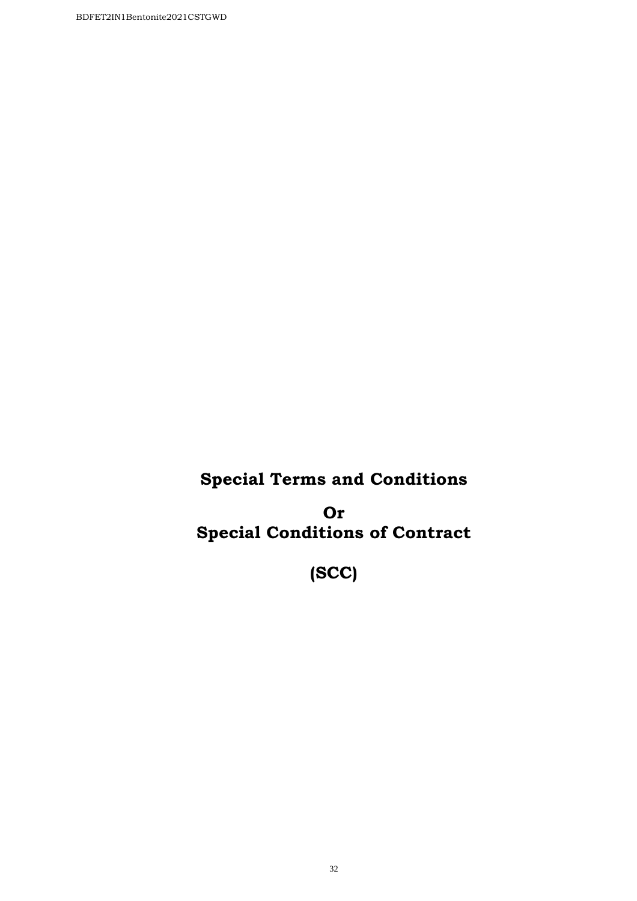# **Special Terms and Conditions**

**Or Special Conditions of Contract** 

**(SCC)**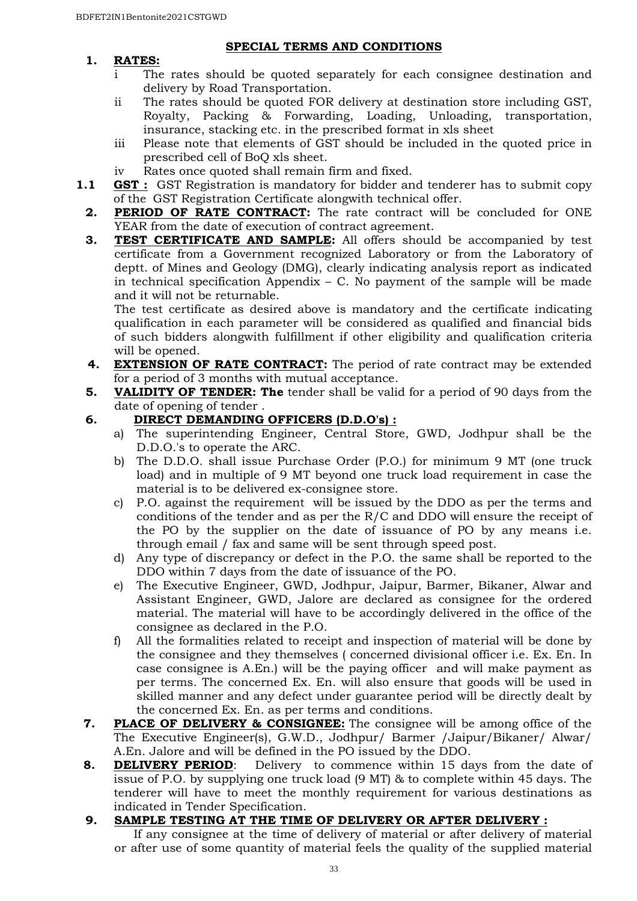### **1. RATES:**

#### **SPECIAL TERMS AND CONDITIONS**

- i The rates should be quoted separately for each consignee destination and delivery by Road Transportation.
- ii The rates should be quoted FOR delivery at destination store including GST, Royalty, Packing & Forwarding, Loading, Unloading, transportation, insurance, stacking etc. in the prescribed format in xls sheet
- iii Please note that elements of GST should be included in the quoted price in prescribed cell of BoQ xls sheet.
- iv Rates once quoted shall remain firm and fixed.
- **1.1 GST :** GST Registration is mandatory for bidder and tenderer has to submit copy of the GST Registration Certificate alongwith technical offer.
	- **2. PERIOD OF RATE CONTRACT:** The rate contract will be concluded for ONE YEAR from the date of execution of contract agreement.
	- **3. TEST CERTIFICATE AND SAMPLE:** All offers should be accompanied by test certificate from a Government recognized Laboratory or from the Laboratory of deptt. of Mines and Geology (DMG), clearly indicating analysis report as indicated in technical specification Appendix  $-$  C. No payment of the sample will be made and it will not be returnable.

The test certificate as desired above is mandatory and the certificate indicating qualification in each parameter will be considered as qualified and financial bids of such bidders alongwith fulfillment if other eligibility and qualification criteria will be opened.

- **4. EXTENSION OF RATE CONTRACT:** The period of rate contract may be extended for a period of 3 months with mutual acceptance.
- **5. VALIDITY OF TENDER: The** tender shall be valid for a period of 90 days from the date of opening of tender .
- **6. DIRECT DEMANDING OFFICERS (D.D.O's) :**
	- a) The superintending Engineer, Central Store, GWD, Jodhpur shall be the D.D.O.'s to operate the ARC.
	- b) The D.D.O. shall issue Purchase Order (P.O.) for minimum 9 MT (one truck load) and in multiple of 9 MT beyond one truck load requirement in case the material is to be delivered ex-consignee store.
	- c) P.O. against the requirement will be issued by the DDO as per the terms and conditions of the tender and as per the R/C and DDO will ensure the receipt of the PO by the supplier on the date of issuance of PO by any means i.e. through email / fax and same will be sent through speed post.
	- d) Any type of discrepancy or defect in the P.O. the same shall be reported to the DDO within 7 days from the date of issuance of the PO.
	- e) The Executive Engineer, GWD, Jodhpur, Jaipur, Barmer, Bikaner, Alwar and Assistant Engineer, GWD, Jalore are declared as consignee for the ordered material. The material will have to be accordingly delivered in the office of the consignee as declared in the P.O.
	- f) All the formalities related to receipt and inspection of material will be done by the consignee and they themselves ( concerned divisional officer i.e. Ex. En. In case consignee is A.En.) will be the paying officer and will make payment as per terms. The concerned Ex. En. will also ensure that goods will be used in skilled manner and any defect under guarantee period will be directly dealt by the concerned Ex. En. as per terms and conditions.
- **7. PLACE OF DELIVERY & CONSIGNEE:** The consignee will be among office of the The Executive Engineer(s), G.W.D., Jodhpur/ Barmer /Jaipur/Bikaner/ Alwar/ A.En. Jalore and will be defined in the PO issued by the DDO.
- **8. DELIVERY PERIOD:** Delivery to commence within 15 days from the date of issue of P.O. by supplying one truck load (9 MT) & to complete within 45 days. The tenderer will have to meet the monthly requirement for various destinations as indicated in Tender Specification.

# **9. SAMPLE TESTING AT THE TIME OF DELIVERY OR AFTER DELIVERY :**

If any consignee at the time of delivery of material or after delivery of material or after use of some quantity of material feels the quality of the supplied material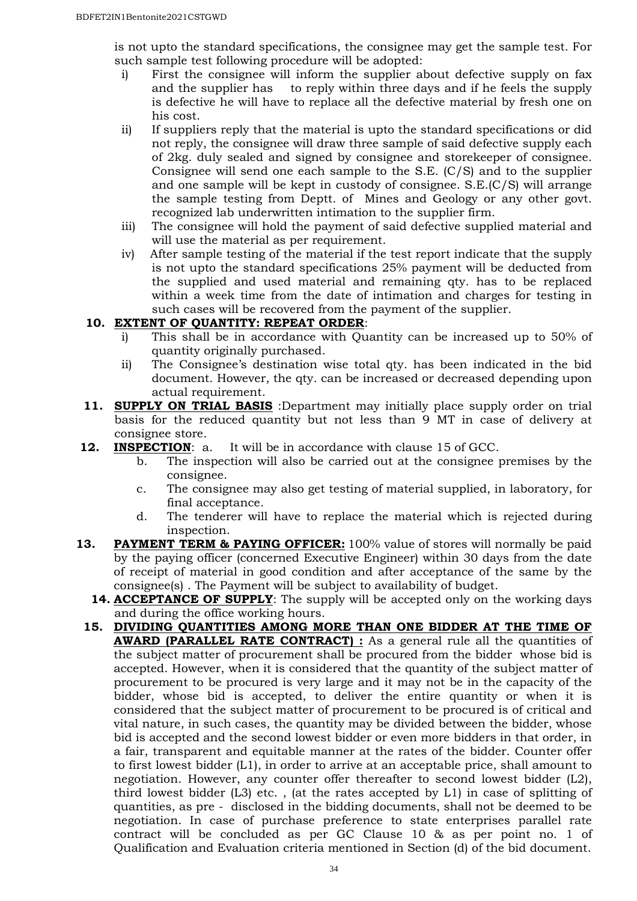is not upto the standard specifications, the consignee may get the sample test. For such sample test following procedure will be adopted:

- i) First the consignee will inform the supplier about defective supply on fax and the supplier has to reply within three days and if he feels the supply is defective he will have to replace all the defective material by fresh one on his cost.
- ii) If suppliers reply that the material is upto the standard specifications or did not reply, the consignee will draw three sample of said defective supply each of 2kg. duly sealed and signed by consignee and storekeeper of consignee. Consignee will send one each sample to the S.E. (C/S) and to the supplier and one sample will be kept in custody of consignee. S.E.(C/S) will arrange the sample testing from Deptt. of Mines and Geology or any other govt. recognized lab underwritten intimation to the supplier firm.
- iii) The consignee will hold the payment of said defective supplied material and will use the material as per requirement.
- iv) After sample testing of the material if the test report indicate that the supply is not upto the standard specifications 25% payment will be deducted from the supplied and used material and remaining qty. has to be replaced within a week time from the date of intimation and charges for testing in such cases will be recovered from the payment of the supplier.

# **10. EXTENT OF QUANTITY: REPEAT ORDER**:

- i) This shall be in accordance with Quantity can be increased up to 50% of quantity originally purchased.
- ii) The Consignee's destination wise total qty. has been indicated in the bid document. However, the qty. can be increased or decreased depending upon actual requirement.
- **11. SUPPLY ON TRIAL BASIS** :Department may initially place supply order on trial basis for the reduced quantity but not less than 9 MT in case of delivery at consignee store.
- **12. INSPECTION:** a. It will be in accordance with clause 15 of GCC.
	- b. The inspection will also be carried out at the consignee premises by the consignee.
	- c. The consignee may also get testing of material supplied, in laboratory, for final acceptance.
	- d. The tenderer will have to replace the material which is rejected during inspection.
- **13. PAYMENT TERM & PAYING OFFICER:** 100% value of stores will normally be paid by the paying officer (concerned Executive Engineer) within 30 days from the date of receipt of material in good condition and after acceptance of the same by the consignee(s) . The Payment will be subject to availability of budget.
	- **14. ACCEPTANCE OF SUPPLY**: The supply will be accepted only on the working days and during the office working hours.
	- **15. DIVIDING QUANTITIES AMONG MORE THAN ONE BIDDER AT THE TIME OF AWARD (PARALLEL RATE CONTRACT)** : As a general rule all the quantities of the subject matter of procurement shall be procured from the bidder whose bid is accepted. However, when it is considered that the quantity of the subject matter of procurement to be procured is very large and it may not be in the capacity of the bidder, whose bid is accepted, to deliver the entire quantity or when it is considered that the subject matter of procurement to be procured is of critical and vital nature, in such cases, the quantity may be divided between the bidder, whose bid is accepted and the second lowest bidder or even more bidders in that order, in a fair, transparent and equitable manner at the rates of the bidder. Counter offer to first lowest bidder (L1), in order to arrive at an acceptable price, shall amount to negotiation. However, any counter offer thereafter to second lowest bidder (L2), third lowest bidder (L3) etc. , (at the rates accepted by L1) in case of splitting of quantities, as pre - disclosed in the bidding documents, shall not be deemed to be negotiation. In case of purchase preference to state enterprises parallel rate contract will be concluded as per GC Clause 10 & as per point no. 1 of Qualification and Evaluation criteria mentioned in Section (d) of the bid document.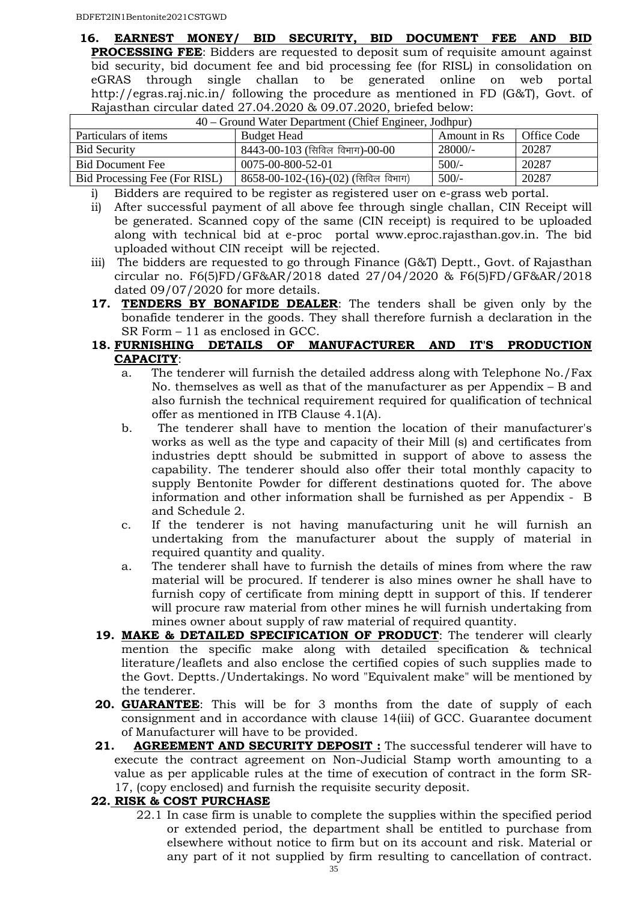**16. EARNEST MONEY/ BID SECURITY, BID DOCUMENT FEE AND BID PROCESSING FEE:** Bidders are requested to deposit sum of requisite amount against bid security, bid document fee and bid processing fee (for RISL) in consolidation on eGRAS through single challan to be generated online on web portal http://egras.raj.nic.in/ following the procedure as mentioned in FD (G&T), Govt. of Rajasthan circular dated 27.04.2020 & 09.07.2020, briefed below:

| 40 – Ground Water Department (Chief Engineer, Jodhpur) |                                       |              |             |  |
|--------------------------------------------------------|---------------------------------------|--------------|-------------|--|
| Particulars of items                                   | <b>Budget Head</b>                    | Amount in Rs | Office Code |  |
| <b>Bid Security</b>                                    | 8443-00-103 (सिविल विभाग)-00-00       | 28000/-      | 20287       |  |
| <b>Bid Document Fee</b>                                | 0075-00-800-52-01                     | $500/-$      | 20287       |  |
| Bid Processing Fee (For RISL)                          | $8658-00-102-(16)-(02)$ (सिविल विभाग) | $500/-$      | 20287       |  |

i) Bidders are required to be register as registered user on e-grass web portal.

- ii) After successful payment of all above fee through single challan, CIN Receipt will be generated. Scanned copy of the same (CIN receipt) is required to be uploaded along with technical bid at e-proc portal www.eproc.rajasthan.gov.in. The bid uploaded without CIN receipt will be rejected.
- iii) The bidders are requested to go through Finance (G&T) Deptt., Govt. of Rajasthan circular no. F6(5)FD/GF&AR/2018 dated 27/04/2020 & F6(5)FD/GF&AR/2018 dated 09/07/2020 for more details.
- **17. TENDERS BY BONAFIDE DEALER**: The tenders shall be given only by the bonafide tenderer in the goods. They shall therefore furnish a declaration in the SR Form – 11 as enclosed in GCC.

#### **18. FURNISHING DETAILS OF MANUFACTURER AND IT'S PRODUCTION CAPACITY**:

- a. The tenderer will furnish the detailed address along with Telephone No./Fax No. themselves as well as that of the manufacturer as per Appendix – B and also furnish the technical requirement required for qualification of technical offer as mentioned in ITB Clause 4.1(A).
- b. The tenderer shall have to mention the location of their manufacturer's works as well as the type and capacity of their Mill (s) and certificates from industries deptt should be submitted in support of above to assess the capability. The tenderer should also offer their total monthly capacity to supply Bentonite Powder for different destinations quoted for. The above information and other information shall be furnished as per Appendix - B and Schedule 2.
- c. If the tenderer is not having manufacturing unit he will furnish an undertaking from the manufacturer about the supply of material in required quantity and quality.
- a. The tenderer shall have to furnish the details of mines from where the raw material will be procured. If tenderer is also mines owner he shall have to furnish copy of certificate from mining deptt in support of this. If tenderer will procure raw material from other mines he will furnish undertaking from mines owner about supply of raw material of required quantity.
- **19. MAKE & DETAILED SPECIFICATION OF PRODUCT**: The tenderer will clearly mention the specific make along with detailed specification & technical literature/leaflets and also enclose the certified copies of such supplies made to the Govt. Deptts./Undertakings. No word "Equivalent make" will be mentioned by the tenderer.
- **20. GUARANTEE**: This will be for 3 months from the date of supply of each consignment and in accordance with clause 14(iii) of GCC. Guarantee document of Manufacturer will have to be provided.
- **21. AGREEMENT AND SECURITY DEPOSIT :** The successful tenderer will have to execute the contract agreement on Non-Judicial Stamp worth amounting to a value as per applicable rules at the time of execution of contract in the form SR-17, (copy enclosed) and furnish the requisite security deposit.

#### **22. RISK & COST PURCHASE**

22.1 In case firm is unable to complete the supplies within the specified period or extended period, the department shall be entitled to purchase from elsewhere without notice to firm but on its account and risk. Material or any part of it not supplied by firm resulting to cancellation of contract.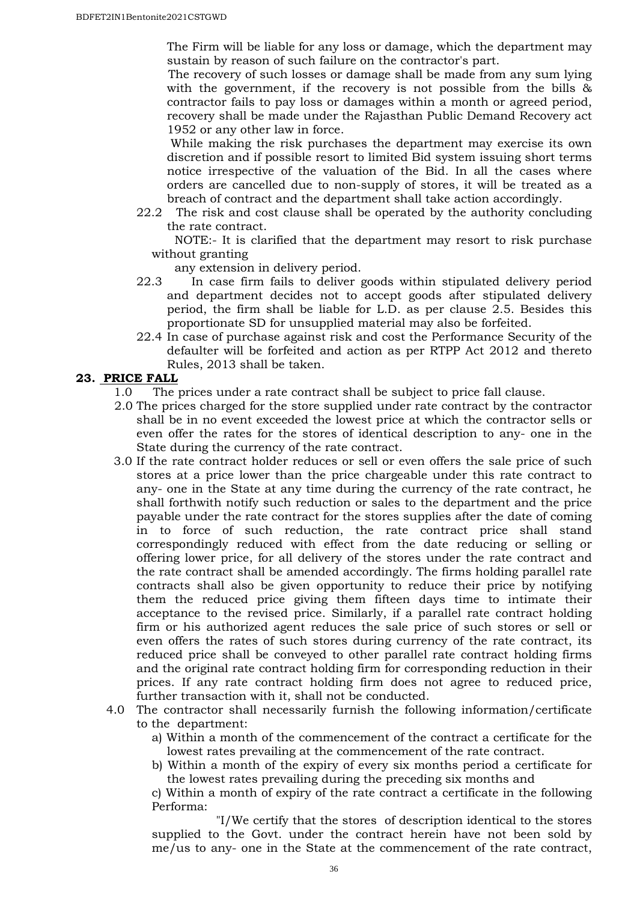The Firm will be liable for any loss or damage, which the department may sustain by reason of such failure on the contractor's part.

The recovery of such losses or damage shall be made from any sum lying with the government, if the recovery is not possible from the bills & contractor fails to pay loss or damages within a month or agreed period, recovery shall be made under the Rajasthan Public Demand Recovery act 1952 or any other law in force.

 While making the risk purchases the department may exercise its own discretion and if possible resort to limited Bid system issuing short terms notice irrespective of the valuation of the Bid. In all the cases where orders are cancelled due to non-supply of stores, it will be treated as a breach of contract and the department shall take action accordingly.

22.2 The risk and cost clause shall be operated by the authority concluding the rate contract.

 NOTE:- It is clarified that the department may resort to risk purchase without granting

any extension in delivery period.

- 22.3 In case firm fails to deliver goods within stipulated delivery period and department decides not to accept goods after stipulated delivery period, the firm shall be liable for L.D. as per clause 2.5. Besides this proportionate SD for unsupplied material may also be forfeited.
- 22.4 In case of purchase against risk and cost the Performance Security of the defaulter will be forfeited and action as per RTPP Act 2012 and thereto Rules, 2013 shall be taken.

#### **23. PRICE FALL**

- 1.0 The prices under a rate contract shall be subject to price fall clause.
- 2.0 The prices charged for the store supplied under rate contract by the contractor shall be in no event exceeded the lowest price at which the contractor sells or even offer the rates for the stores of identical description to any- one in the State during the currency of the rate contract.
- 3.0 If the rate contract holder reduces or sell or even offers the sale price of such stores at a price lower than the price chargeable under this rate contract to any- one in the State at any time during the currency of the rate contract, he shall forthwith notify such reduction or sales to the department and the price payable under the rate contract for the stores supplies after the date of coming in to force of such reduction, the rate contract price shall stand correspondingly reduced with effect from the date reducing or selling or offering lower price, for all delivery of the stores under the rate contract and the rate contract shall be amended accordingly. The firms holding parallel rate contracts shall also be given opportunity to reduce their price by notifying them the reduced price giving them fifteen days time to intimate their acceptance to the revised price. Similarly, if a parallel rate contract holding firm or his authorized agent reduces the sale price of such stores or sell or even offers the rates of such stores during currency of the rate contract, its reduced price shall be conveyed to other parallel rate contract holding firms and the original rate contract holding firm for corresponding reduction in their prices. If any rate contract holding firm does not agree to reduced price, further transaction with it, shall not be conducted.
- 4.0 The contractor shall necessarily furnish the following information/certificate to the department:

a) Within a month of the commencement of the contract a certificate for the lowest rates prevailing at the commencement of the rate contract.

b) Within a month of the expiry of every six months period a certificate for the lowest rates prevailing during the preceding six months and

c) Within a month of expiry of the rate contract a certificate in the following Performa:

"I/We certify that the stores of description identical to the stores supplied to the Govt. under the contract herein have not been sold by me/us to any- one in the State at the commencement of the rate contract,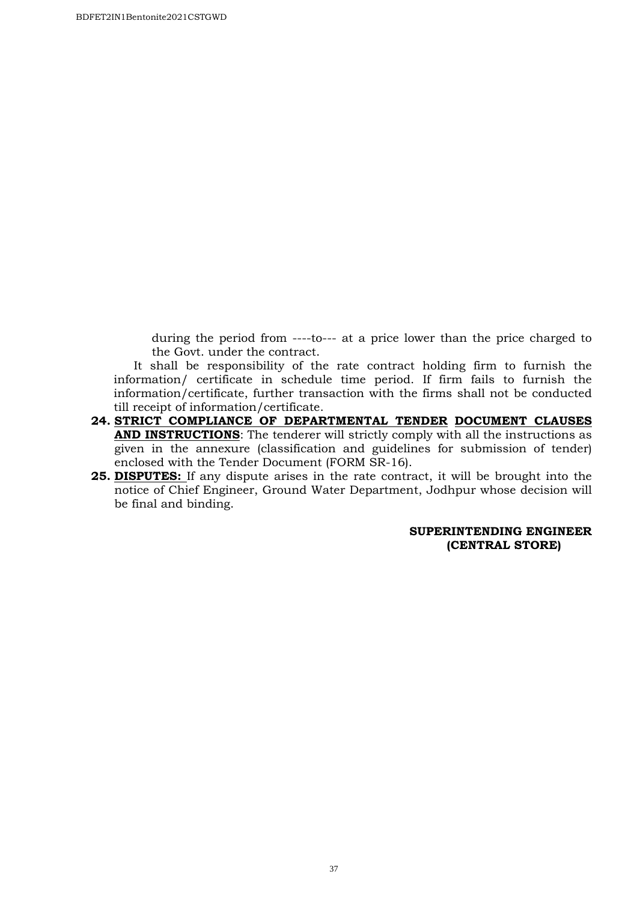during the period from ----to--- at a price lower than the price charged to the Govt. under the contract.

 It shall be responsibility of the rate contract holding firm to furnish the information/ certificate in schedule time period. If firm fails to furnish the information/certificate, further transaction with the firms shall not be conducted till receipt of information/certificate.

- **24. STRICT COMPLIANCE OF DEPARTMENTAL TENDER DOCUMENT CLAUSES AND INSTRUCTIONS**: The tenderer will strictly comply with all the instructions as given in the annexure (classification and guidelines for submission of tender) enclosed with the Tender Document (FORM SR-16).
- **25. DISPUTES:** If any dispute arises in the rate contract, it will be brought into the notice of Chief Engineer, Ground Water Department, Jodhpur whose decision will be final and binding.

#### **SUPERINTENDING ENGINEER (CENTRAL STORE)**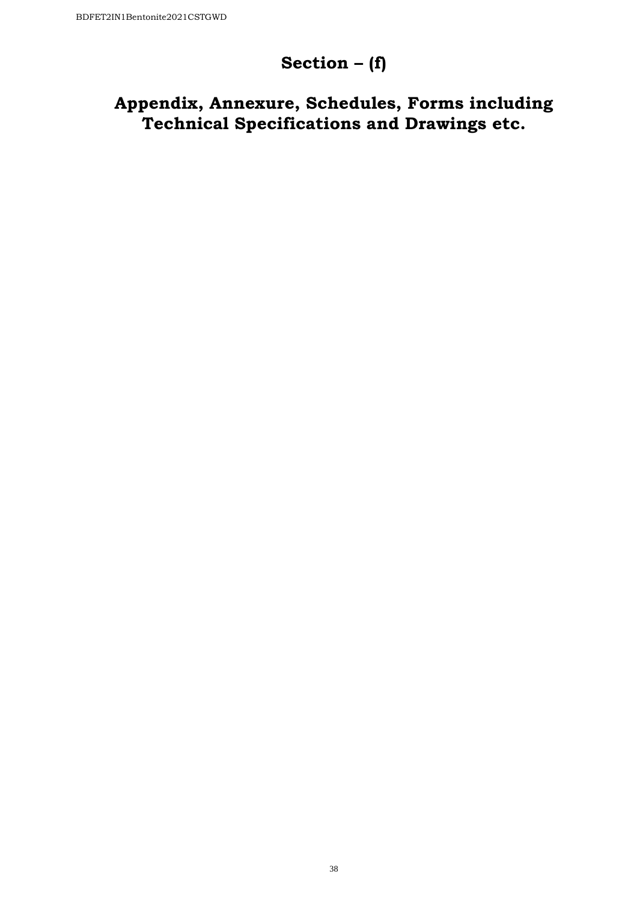# **Section – (f)**

# **Appendix, Annexure, Schedules, Forms including Technical Specifications and Drawings etc.**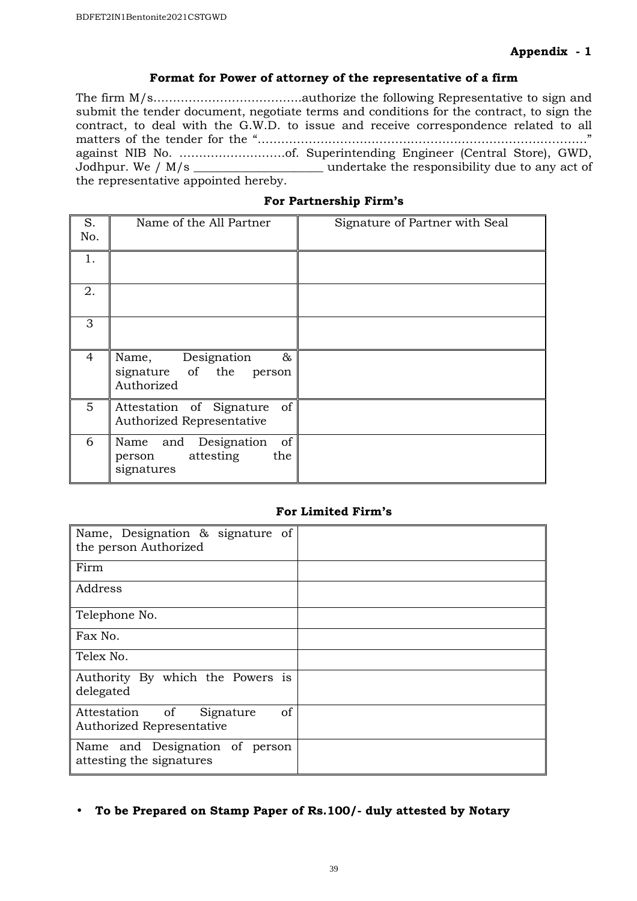#### **Format for Power of attorney of the representative of a firm**

The firm M/s………………………………..authorize the following Representative to sign and submit the tender document, negotiate terms and conditions for the contract, to sign the contract, to deal with the G.W.D. to issue and receive correspondence related to all matters of the tender for the "…………………………………………………………………………" against NIB No. ………………………of. Superintending Engineer (Central Store), GWD, Jodhpur. We / M/s \_\_\_\_\_\_\_\_\_\_\_\_\_\_\_\_\_\_\_\_\_\_ undertake the responsibility due to any act of the representative appointed hereby.

|  |  |  | For Partnership Firm's |
|--|--|--|------------------------|
|--|--|--|------------------------|

| S.<br>No.      | Name of the All Partner                                                | Signature of Partner with Seal |
|----------------|------------------------------------------------------------------------|--------------------------------|
| 1.             |                                                                        |                                |
| 2.             |                                                                        |                                |
| 3              |                                                                        |                                |
| $\overline{4}$ | Name, Designation<br>&<br>signature of the<br>person<br>Authorized     |                                |
| $5^{\circ}$    | Attestation of Signature of<br>Authorized Representative               |                                |
| 6              | of<br>Name and Designation<br>attesting<br>the<br>person<br>signatures |                                |

#### **For Limited Firm's**

| Name, Designation & signature of<br>the person Authorized                        |  |
|----------------------------------------------------------------------------------|--|
| Firm                                                                             |  |
| Address                                                                          |  |
| Telephone No.                                                                    |  |
| Fax No.                                                                          |  |
| Telex No.                                                                        |  |
| Authority By which the Powers is<br>delegated                                    |  |
| Attestation of<br><sub>of</sub><br>Signature<br><b>Authorized Representative</b> |  |
| Name and Designation of person<br>attesting the signatures                       |  |

• **To be Prepared on Stamp Paper of Rs.100/- duly attested by Notary**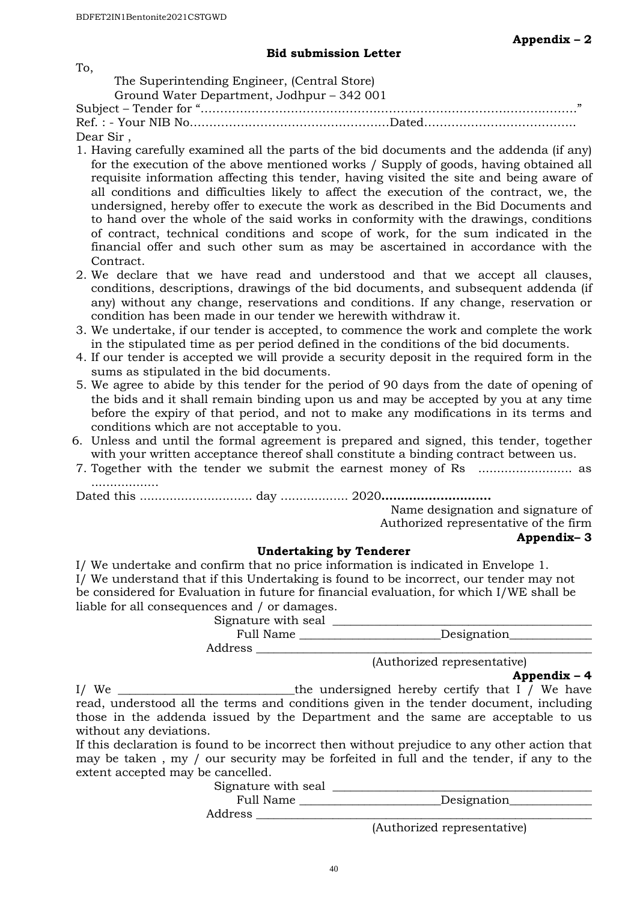#### **Bid submission Letter**

To,

 The Superintending Engineer, (Central Store) Ground Water Department, Jodhpur – 342 001

| Ground water Department, Joanpur – 342 001 |    |
|--------------------------------------------|----|
|                                            | 22 |
|                                            |    |
| Dear Sir,                                  |    |

- 1. Having carefully examined all the parts of the bid documents and the addenda (if any) for the execution of the above mentioned works / Supply of goods, having obtained all requisite information affecting this tender, having visited the site and being aware of all conditions and difficulties likely to affect the execution of the contract, we, the undersigned, hereby offer to execute the work as described in the Bid Documents and to hand over the whole of the said works in conformity with the drawings, conditions of contract, technical conditions and scope of work, for the sum indicated in the financial offer and such other sum as may be ascertained in accordance with the Contract.
- 2. We declare that we have read and understood and that we accept all clauses, conditions, descriptions, drawings of the bid documents, and subsequent addenda (if any) without any change, reservations and conditions. If any change, reservation or condition has been made in our tender we herewith withdraw it.
- 3. We undertake, if our tender is accepted, to commence the work and complete the work in the stipulated time as per period defined in the conditions of the bid documents.
- 4. If our tender is accepted we will provide a security deposit in the required form in the sums as stipulated in the bid documents.
- 5. We agree to abide by this tender for the period of 90 days from the date of opening of the bids and it shall remain binding upon us and may be accepted by you at any time before the expiry of that period, and not to make any modifications in its terms and conditions which are not acceptable to you.
- 6. Unless and until the formal agreement is prepared and signed, this tender, together with your written acceptance thereof shall constitute a binding contract between us.
- 7. Together with the tender we submit the earnest money of Rs ......................... as ..................

Dated this .............................. day .................. 2020**……………………….**

Name designation and signature of

Authorized representative of the firm

#### **Appendix– 3**

#### **Undertaking by Tenderer**

I/ We undertake and confirm that no price information is indicated in Envelope 1. I/ We understand that if this Undertaking is found to be incorrect, our tender may not be considered for Evaluation in future for financial evaluation, for which I/WE shall be liable for all consequences and / or damages.

Signature with seal

| Full Name | Designation |
|-----------|-------------|
| Address   |             |

(Authorized representative)

**Appendix – 4** 

I/ We \_\_\_\_\_\_\_\_\_\_\_\_\_\_\_\_\_\_\_\_\_\_\_\_\_\_\_\_\_\_the undersigned hereby certify that I / We have read, understood all the terms and conditions given in the tender document, including those in the addenda issued by the Department and the same are acceptable to us without any deviations.

If this declaration is found to be incorrect then without prejudice to any other action that may be taken , my / our security may be forfeited in full and the tender, if any to the extent accepted may be cancelled.

Signature with seal \_\_\_\_\_\_\_\_\_\_\_\_\_\_\_\_\_\_\_\_\_\_\_\_\_\_\_\_\_\_\_\_\_\_\_\_\_\_\_\_\_\_\_\_

Full Name \_\_\_\_\_\_\_\_\_\_\_\_\_\_\_\_\_\_\_\_\_\_\_\_Designation\_\_\_\_\_\_\_\_\_\_\_\_\_\_

Address \_\_\_\_\_\_\_\_\_\_\_\_\_\_\_\_\_\_\_\_\_\_\_\_\_\_\_\_\_\_\_\_\_\_\_\_\_\_\_\_\_\_\_\_\_\_\_\_\_\_\_\_\_\_\_\_\_

(Authorized representative)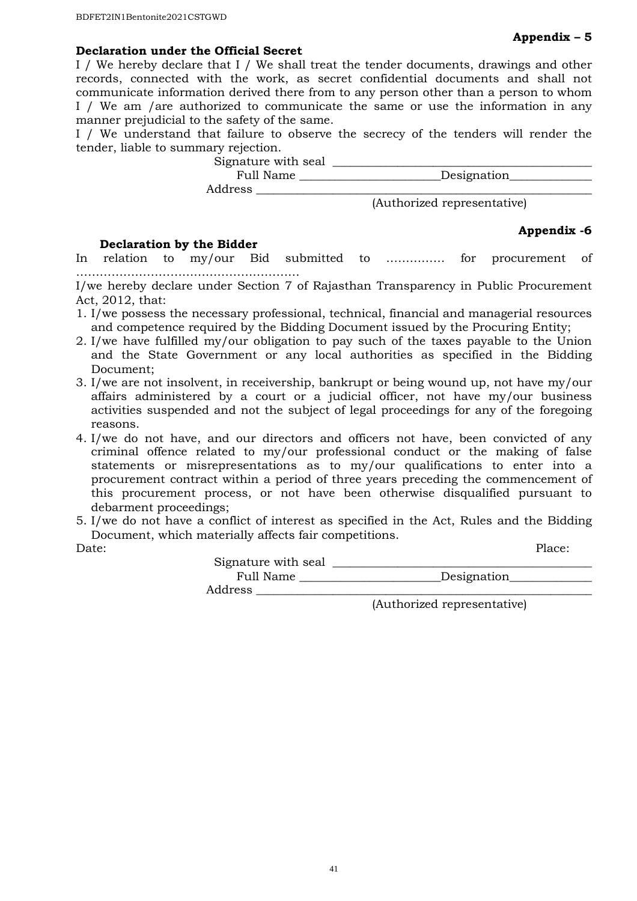#### **Declaration under the Official Secret**

I / We hereby declare that I / We shall treat the tender documents, drawings and other records, connected with the work, as secret confidential documents and shall not communicate information derived there from to any person other than a person to whom I / We am /are authorized to communicate the same or use the information in any manner prejudicial to the safety of the same.

I / We understand that failure to observe the secrecy of the tenders will render the tender, liable to summary rejection.

Signature with seal \_\_\_\_\_\_\_\_\_\_\_\_\_\_\_\_\_\_\_\_\_\_\_\_\_\_\_\_\_\_\_\_\_\_\_\_\_\_\_\_\_\_\_\_

Full Name \_\_\_\_\_\_\_\_\_\_\_\_\_\_\_\_\_\_\_\_\_\_\_\_Designation\_\_\_\_\_\_\_\_\_\_\_\_\_\_

Address \_\_\_\_\_\_\_\_\_\_\_\_\_\_\_\_\_\_\_\_\_\_\_\_\_\_\_\_\_\_\_\_\_\_\_\_\_\_\_\_\_\_\_\_\_\_\_\_\_\_\_\_\_\_\_\_\_

(Authorized representative)

#### **Declaration by the Bidder**

#### **Appendix -6**

In relation to my/our Bid submitted to …………… for procurement of …………………………………………………

I/we hereby declare under Section 7 of Rajasthan Transparency in Public Procurement Act, 2012, that:

- 1. I/we possess the necessary professional, technical, financial and managerial resources and competence required by the Bidding Document issued by the Procuring Entity;
- 2. I/we have fulfilled my/our obligation to pay such of the taxes payable to the Union and the State Government or any local authorities as specified in the Bidding Document;
- 3. I/we are not insolvent, in receivership, bankrupt or being wound up, not have my/our affairs administered by a court or a judicial officer, not have my/our business activities suspended and not the subject of legal proceedings for any of the foregoing reasons.
- 4. I/we do not have, and our directors and officers not have, been convicted of any criminal offence related to my/our professional conduct or the making of false statements or misrepresentations as to my/our qualifications to enter into a procurement contract within a period of three years preceding the commencement of this procurement process, or not have been otherwise disqualified pursuant to debarment proceedings;
- 5. I/we do not have a conflict of interest as specified in the Act, Rules and the Bidding Document, which materially affects fair competitions.

| Date: |                     |             | Place: |
|-------|---------------------|-------------|--------|
|       | Signature with seal |             |        |
|       | Full Name           | Designation |        |
|       | Address             |             |        |
|       |                     |             |        |

(Authorized representative)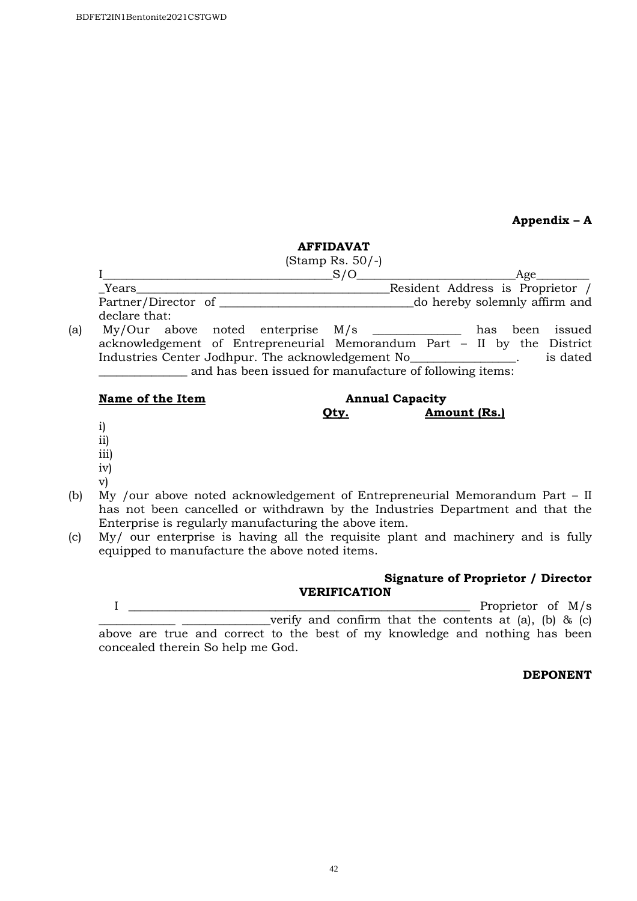**Appendix – A** 

#### **AFFIDAVAT**

|     |                                   | (Stamp Rs. $50/-$ ) |                                  |     |      |        |
|-----|-----------------------------------|---------------------|----------------------------------|-----|------|--------|
|     |                                   |                     |                                  |     | Age  |        |
|     | Years                             |                     | Resident Address is Proprietor / |     |      |        |
|     | Partner/Director of               |                     | do hereby solemnly affirm and    |     |      |        |
|     | declare that:                     |                     |                                  |     |      |        |
| (a) | My/Our above noted enterprise M/s |                     |                                  | has | been | issued |

acknowledgement of Entrepreneurial Memorandum Part – II by the District Industries Center Jodhpur. The acknowledgement No\_\_\_\_\_\_\_\_\_\_\_\_\_\_\_\_\_\_. is dated and has been issued for manufacture of following items:

#### Name of the Item **Annual Capacity**

# **Qty. Amount (Rs.)**

- i)
- ii)
- iii)
- iv)
- v)
- (b) My /our above noted acknowledgement of Entrepreneurial Memorandum Part II has not been cancelled or withdrawn by the Industries Department and that the Enterprise is regularly manufacturing the above item.
- (c) My/ our enterprise is having all the requisite plant and machinery and is fully equipped to manufacture the above noted items.

#### **Signature of Proprietor / Director VERIFICATION**

I \_\_\_\_\_\_\_\_\_\_\_\_\_\_\_\_\_\_\_\_\_\_\_\_\_\_\_\_\_\_\_\_\_\_\_\_\_\_\_\_\_\_\_\_\_\_\_\_\_\_\_\_\_\_\_\_\_\_ Proprietor of M/s

verify and confirm that the contents at (a), (b)  $\&$  (c) above are true and correct to the best of my knowledge and nothing has been concealed therein So help me God.

 **DEPONENT**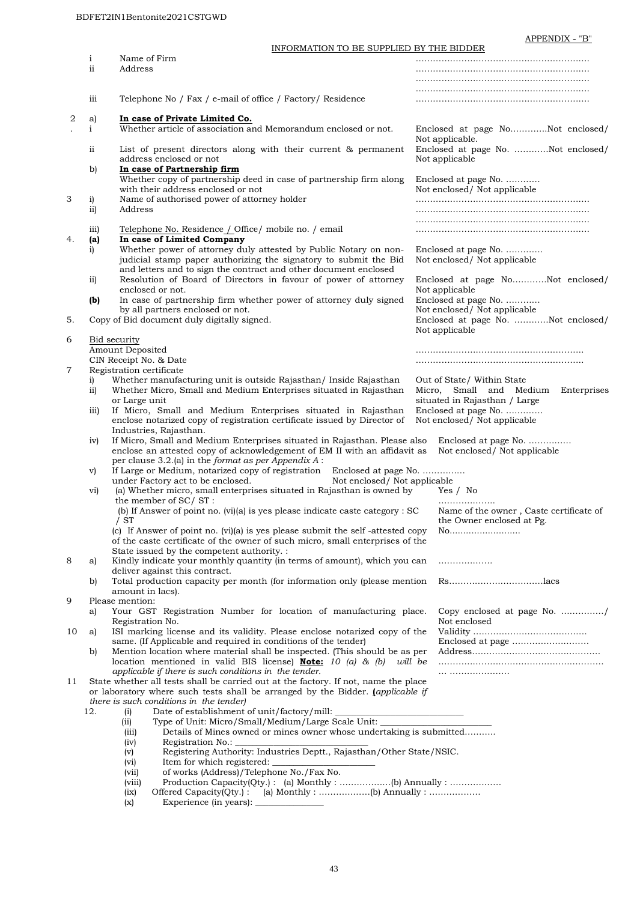APPENDIX - "B"

|                  |                         | INFORMATION TO BE SUPPLIED BY THE BIDDER                                                                                                                                                                      |                                                                      |                                                      |  |
|------------------|-------------------------|---------------------------------------------------------------------------------------------------------------------------------------------------------------------------------------------------------------|----------------------------------------------------------------------|------------------------------------------------------|--|
|                  | $\mathbf{i}$            | Name of Firm                                                                                                                                                                                                  |                                                                      |                                                      |  |
|                  | ii                      | Address                                                                                                                                                                                                       |                                                                      |                                                      |  |
|                  |                         |                                                                                                                                                                                                               |                                                                      |                                                      |  |
|                  |                         |                                                                                                                                                                                                               |                                                                      |                                                      |  |
|                  | iii                     | Telephone No / Fax / e-mail of office / Factory/ Residence                                                                                                                                                    |                                                                      |                                                      |  |
| 2                | a)                      | In case of Private Limited Co.                                                                                                                                                                                |                                                                      |                                                      |  |
|                  | $\mathbf{i}$            | Whether article of association and Memorandum enclosed or not.                                                                                                                                                |                                                                      | Enclosed at page NoNot enclosed/<br>Not applicable.  |  |
|                  | ii                      | List of present directors along with their current & permanent<br>address enclosed or not                                                                                                                     |                                                                      | Enclosed at page No. Not enclosed/<br>Not applicable |  |
|                  | b)                      | In case of Partnership firm<br>Whether copy of partnership deed in case of partnership firm along                                                                                                             |                                                                      | Enclosed at page No.                                 |  |
| 3                | i)                      | with their address enclosed or not<br>Name of authorised power of attorney holder                                                                                                                             |                                                                      | Not enclosed/ Not applicable                         |  |
|                  | $\overline{ii}$         | Address                                                                                                                                                                                                       |                                                                      |                                                      |  |
|                  |                         |                                                                                                                                                                                                               |                                                                      |                                                      |  |
| 4.               | $\overline{111}$<br>(a) | Telephone No. Residence / Office/ mobile no. / email<br>In case of Limited Company                                                                                                                            |                                                                      |                                                      |  |
| i)               |                         | Whether power of attorney duly attested by Public Notary on non-                                                                                                                                              |                                                                      | Enclosed at page No.                                 |  |
|                  |                         | judicial stamp paper authorizing the signatory to submit the Bid<br>and letters and to sign the contract and other document enclosed                                                                          |                                                                      | Not enclosed/ Not applicable                         |  |
|                  | $\overline{ii}$         | Resolution of Board of Directors in favour of power of attorney<br>enclosed or not.                                                                                                                           |                                                                      | Enclosed at page NoNot enclosed/<br>Not applicable   |  |
|                  | (b)                     | In case of partnership firm whether power of attorney duly signed<br>by all partners enclosed or not.                                                                                                         |                                                                      | Enclosed at page No.<br>Not enclosed/ Not applicable |  |
| 5.               |                         | Copy of Bid document duly digitally signed.                                                                                                                                                                   |                                                                      | Enclosed at page No. Not enclosed/<br>Not applicable |  |
| 6                |                         | <b>Bid security</b>                                                                                                                                                                                           |                                                                      |                                                      |  |
|                  |                         | Amount Deposited                                                                                                                                                                                              |                                                                      |                                                      |  |
|                  |                         | CIN Receipt No. & Date                                                                                                                                                                                        |                                                                      |                                                      |  |
| 7                | i)                      | Registration certificate<br>Whether manufacturing unit is outside Rajasthan/Inside Rajasthan                                                                                                                  |                                                                      | Out of State/ Within State                           |  |
|                  | $\overline{11}$         | Whether Micro, Small and Medium Enterprises situated in Rajasthan                                                                                                                                             |                                                                      | Micro, Small and Medium<br>Enterprises               |  |
| $\overline{111}$ |                         | or Large unit                                                                                                                                                                                                 |                                                                      | situated in Rajasthan / Large                        |  |
|                  |                         | If Micro, Small and Medium Enterprises situated in Rajasthan                                                                                                                                                  | Enclosed at page No.                                                 |                                                      |  |
|                  |                         | enclose notarized copy of registration certificate issued by Director of                                                                                                                                      |                                                                      | Not enclosed/ Not applicable                         |  |
|                  |                         | Industries, Rajasthan.                                                                                                                                                                                        |                                                                      |                                                      |  |
|                  | iv)                     | If Micro, Small and Medium Enterprises situated in Rajasthan. Please also<br>enclose an attested copy of acknowledgement of EM II with an affidavit as<br>per clause 3.2.(a) in the format as per Appendix A: |                                                                      | Enclosed at page No.<br>Not enclosed/ Not applicable |  |
|                  | V)                      | If Large or Medium, notarized copy of registration<br>Enclosed at page No.                                                                                                                                    |                                                                      |                                                      |  |
|                  |                         | under Factory act to be enclosed.<br>Not enclosed/ Not applicable                                                                                                                                             |                                                                      |                                                      |  |
|                  | vi)                     | (a) Whether micro, small enterprises situated in Rajasthan is owned by                                                                                                                                        |                                                                      | Yes / No                                             |  |
|                  |                         | the member of SC/ST:                                                                                                                                                                                          |                                                                      |                                                      |  |
|                  |                         | (b) If Answer of point no. (vi)(a) is yes please indicate caste category : SC<br>/ ST                                                                                                                         | Name of the owner, Caste certificate of<br>the Owner enclosed at Pg. |                                                      |  |
|                  |                         | (c) If Answer of point no. (vi)(a) is yes please submit the self-attested copy<br>of the caste certificate of the owner of such micro, small enterprises of the                                               | No                                                                   |                                                      |  |
|                  |                         | State issued by the competent authority. :                                                                                                                                                                    |                                                                      |                                                      |  |
| 8                | a)                      | Kindly indicate your monthly quantity (in terms of amount), which you can<br>deliver against this contract.                                                                                                   |                                                                      |                                                      |  |
|                  | b)                      | Total production capacity per month (for information only (please mention                                                                                                                                     |                                                                      |                                                      |  |
|                  |                         | amount in lacs).                                                                                                                                                                                              |                                                                      |                                                      |  |
| 9                |                         | Please mention:                                                                                                                                                                                               |                                                                      |                                                      |  |
|                  | a)                      | Your GST Registration Number for location of manufacturing place.<br>Registration No.                                                                                                                         |                                                                      | Copy enclosed at page No. /<br>Not enclosed          |  |
| 10               | a)                      | ISI marking license and its validity. Please enclose notarized copy of the                                                                                                                                    |                                                                      |                                                      |  |
|                  |                         | same. (If Applicable and required in conditions of the tender)                                                                                                                                                |                                                                      |                                                      |  |
|                  | b)                      | Mention location where material shall be inspected. (This should be as per                                                                                                                                    |                                                                      |                                                      |  |
|                  |                         | location mentioned in valid BIS license) <b>Note:</b> 10 (a) & (b)                                                                                                                                            | will be                                                              |                                                      |  |
|                  |                         | applicable if there is such conditions in the tender.                                                                                                                                                         |                                                                      |                                                      |  |
| 11               |                         | State whether all tests shall be carried out at the factory. If not, name the place<br>or laboratory where such tests shall be arranged by the Bidder. <i>(applicable if</i>                                  |                                                                      |                                                      |  |
|                  |                         | there is such conditions in the tender)                                                                                                                                                                       |                                                                      |                                                      |  |
|                  | 12.                     | Date of establishment of unit/factory/mill:<br>(i)                                                                                                                                                            |                                                                      |                                                      |  |
|                  |                         | Type of Unit: Micro/Small/Medium/Large Scale Unit: _______<br>(ii)                                                                                                                                            |                                                                      |                                                      |  |
|                  |                         | Details of Mines owned or mines owner whose undertaking is submitted<br>(iii)                                                                                                                                 |                                                                      |                                                      |  |
|                  |                         | Registration No.: _<br>(iv)                                                                                                                                                                                   |                                                                      |                                                      |  |
|                  |                         | Registering Authority: Industries Deptt., Rajasthan/Other State/NSIC.<br>(v)                                                                                                                                  |                                                                      |                                                      |  |
|                  |                         | Item for which registered:<br>(vi)<br>of works (Address)/Telephone No./Fax No.<br>(vii)                                                                                                                       |                                                                      |                                                      |  |
|                  |                         | (viii)                                                                                                                                                                                                        |                                                                      |                                                      |  |
|                  |                         | (ix)                                                                                                                                                                                                          |                                                                      |                                                      |  |
|                  |                         | (x)                                                                                                                                                                                                           |                                                                      |                                                      |  |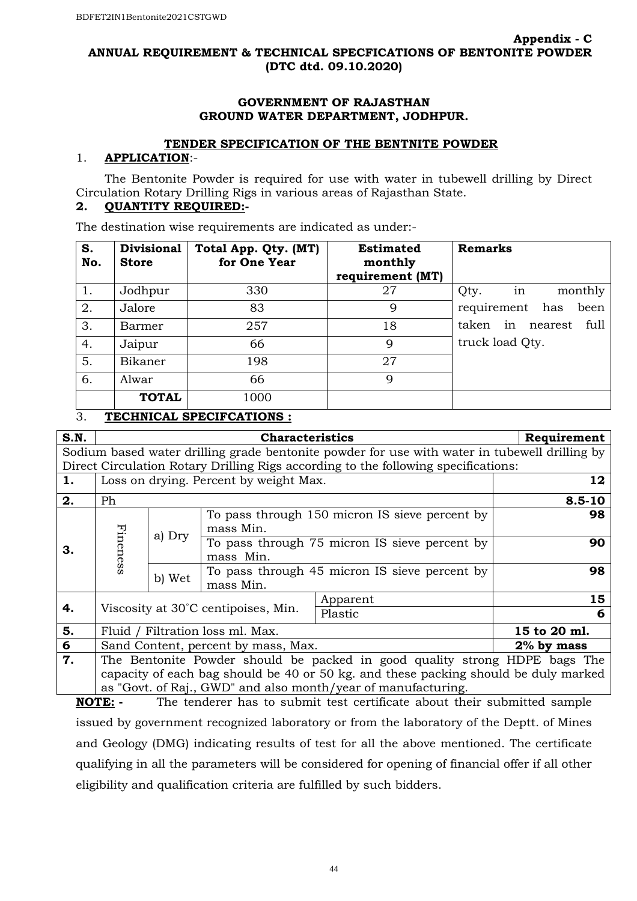#### **ANNUAL REQUIREMENT & TECHNICAL SPECFICATIONS OF BENTONITE POWDER (DTC dtd. 09.10.2020)**

#### **GOVERNMENT OF RAJASTHAN GROUND WATER DEPARTMENT, JODHPUR.**

#### **TENDER SPECIFICATION OF THE BENTNITE POWDER**

#### 1. **APPLICATION**:-

 The Bentonite Powder is required for use with water in tubewell drilling by Direct Circulation Rotary Drilling Rigs in various areas of Rajasthan State.

# **2. QUANTITY REQUIRED:-**

The destination wise requirements are indicated as under:-

| S.<br>No. | <b>Divisional</b><br><b>Store</b> | Total App. Qty. (MT)<br>for One Year            | <b>Estimated</b><br>monthly<br>requirement (MT) | <b>Remarks</b>                 |
|-----------|-----------------------------------|-------------------------------------------------|-------------------------------------------------|--------------------------------|
| 1.        | Jodhpur                           | 330                                             | 27                                              | in<br>monthly<br>Qty.          |
| 2.        | Jalore                            | 83                                              | 9                                               | requirement has<br>been        |
| 3.        | Barmer                            | 257                                             | 18                                              | in<br>taken<br>full<br>nearest |
| 4.        | Jaipur                            | 66                                              | $\mathbf Q$                                     | truck load Qty.                |
| 5.        | Bikaner                           | 198                                             | 27                                              |                                |
| 6.        | Alwar                             | 66                                              | 9                                               |                                |
| $\sim$    | <b>TOTAL</b>                      | 1000<br><b><i>MRAILLEALL ARRAIRALMIANIA</i></b> |                                                 |                                |

#### 3. **TECHNICAL SPECIFCATIONS :**

| S.N. |                                                                                    |                                        | <b>Characteristics</b>                                     |                                                                                               | Requirement                                                |            |  |    |  |
|------|------------------------------------------------------------------------------------|----------------------------------------|------------------------------------------------------------|-----------------------------------------------------------------------------------------------|------------------------------------------------------------|------------|--|----|--|
|      |                                                                                    |                                        |                                                            | Sodium based water drilling grade bentonite powder for use with water in tubewell drilling by |                                                            |            |  |    |  |
|      | Direct Circulation Rotary Drilling Rigs according to the following specifications: |                                        |                                                            |                                                                                               |                                                            |            |  |    |  |
| 1.   |                                                                                    | Loss on drying. Percent by weight Max. |                                                            |                                                                                               | 12                                                         |            |  |    |  |
| 2.   | Ph                                                                                 |                                        |                                                            |                                                                                               |                                                            | $8.5 - 10$ |  |    |  |
|      |                                                                                    |                                        | mass Min.                                                  | To pass through 150 micron IS sieve percent by                                                |                                                            | 98         |  |    |  |
| З.   | Fineness                                                                           | a) Dry                                 | To pass through 75 micron IS sieve percent by<br>mass Min. |                                                                                               |                                                            | 90         |  |    |  |
|      |                                                                                    |                                        |                                                            | b) Wet                                                                                        | To pass through 45 micron IS sieve percent by<br>mass Min. |            |  | 98 |  |
|      |                                                                                    |                                        | Apparent                                                   |                                                                                               | 15                                                         |            |  |    |  |
| 4.   | Viscosity at 30°C centipoises, Min.                                                |                                        |                                                            | Plastic                                                                                       |                                                            | 6          |  |    |  |
| 5.   | Fluid / Filtration loss ml. Max.                                                   |                                        |                                                            | 15 to 20 ml.                                                                                  |                                                            |            |  |    |  |
| 6    | Sand Content, percent by mass, Max.                                                |                                        | $2\%$ by mass                                              |                                                                                               |                                                            |            |  |    |  |
| 7.   | The Bentonite Powder should be packed in good quality strong HDPE bags The         |                                        |                                                            |                                                                                               |                                                            |            |  |    |  |
|      |                                                                                    |                                        |                                                            | capacity of each bag should be 40 or 50 kg. and these packing should be duly marked           |                                                            |            |  |    |  |
|      |                                                                                    |                                        |                                                            | as "Govt. of Raj., GWD" and also month/year of manufacturing.                                 |                                                            |            |  |    |  |

**NOTE: -** The tenderer has to submit test certificate about their submitted sample issued by government recognized laboratory or from the laboratory of the Deptt. of Mines and Geology (DMG) indicating results of test for all the above mentioned. The certificate qualifying in all the parameters will be considered for opening of financial offer if all other eligibility and qualification criteria are fulfilled by such bidders.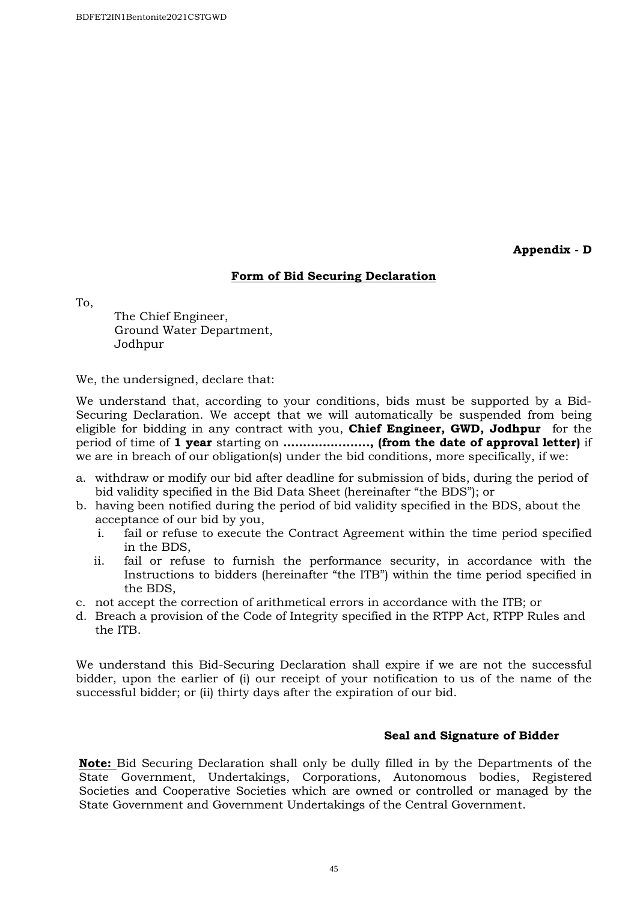**Appendix - D** 

#### **Form of Bid Securing Declaration**

To,

 The Chief Engineer, Ground Water Department, Jodhpur

We, the undersigned, declare that:

We understand that, according to your conditions, bids must be supported by a Bid-Securing Declaration. We accept that we will automatically be suspended from being eligible for bidding in any contract with you, **Chief Engineer, GWD, Jodhpur** for the period of time of **1 year** starting on **......................, (from the date of approval letter)** if we are in breach of our obligation(s) under the bid conditions, more specifically, if we:

- a. withdraw or modify our bid after deadline for submission of bids, during the period of bid validity specified in the Bid Data Sheet (hereinafter "the BDS"); or
- b. having been notified during the period of bid validity specified in the BDS, about the acceptance of our bid by you,
	- i. fail or refuse to execute the Contract Agreement within the time period specified in the BDS,
	- ii. fail or refuse to furnish the performance security, in accordance with the Instructions to bidders (hereinafter "the ITB") within the time period specified in the BDS,
- c. not accept the correction of arithmetical errors in accordance with the ITB; or
- d. Breach a provision of the Code of Integrity specified in the RTPP Act, RTPP Rules and the ITB.

We understand this Bid-Securing Declaration shall expire if we are not the successful bidder, upon the earlier of (i) our receipt of your notification to us of the name of the successful bidder; or (ii) thirty days after the expiration of our bid.

#### **Seal and Signature of Bidder**

**Note:** Bid Securing Declaration shall only be dully filled in by the Departments of the State Government, Undertakings, Corporations, Autonomous bodies, Registered Societies and Cooperative Societies which are owned or controlled or managed by the State Government and Government Undertakings of the Central Government.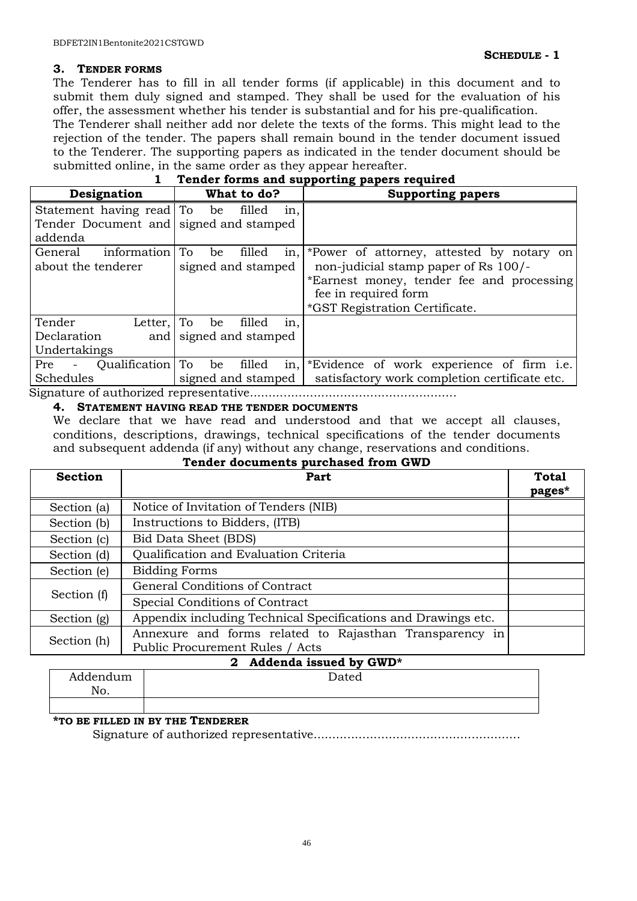#### **3. TENDER FORMS**

The Tenderer has to fill in all tender forms (if applicable) in this document and to submit them duly signed and stamped. They shall be used for the evaluation of his offer, the assessment whether his tender is substantial and for his pre-qualification. The Tenderer shall neither add nor delete the texts of the forms. This might lead to the rejection of the tender. The papers shall remain bound in the tender document issued

to the Tenderer. The supporting papers as indicated in the tender document should be submitted online, in the same order as they appear hereafter.

| Designation                                      | What to do?                             | <b>Supporting papers</b>                      |  |  |  |  |  |  |  |  |
|--------------------------------------------------|-----------------------------------------|-----------------------------------------------|--|--|--|--|--|--|--|--|
| Statement having read To                         | filled<br>be<br>in,                     |                                               |  |  |  |  |  |  |  |  |
| Tender Document and signed and stamped           |                                         |                                               |  |  |  |  |  |  |  |  |
| addenda                                          |                                         |                                               |  |  |  |  |  |  |  |  |
| information<br>General                           | filled<br>Тo<br>in,<br>be               | *Power of attorney, attested by notary on     |  |  |  |  |  |  |  |  |
| about the tenderer                               | signed and stamped                      | non-judicial stamp paper of Rs 100/-          |  |  |  |  |  |  |  |  |
|                                                  |                                         | *Earnest money, tender fee and processing     |  |  |  |  |  |  |  |  |
|                                                  |                                         | fee in required form                          |  |  |  |  |  |  |  |  |
|                                                  |                                         | *GST Registration Certificate.                |  |  |  |  |  |  |  |  |
| Tender<br>Letter,                                | filled<br>in,<br>To<br>be               |                                               |  |  |  |  |  |  |  |  |
| Declaration<br>and                               | signed and stamped                      |                                               |  |  |  |  |  |  |  |  |
| Undertakings                                     |                                         |                                               |  |  |  |  |  |  |  |  |
| Qualification<br>Pre<br>$\overline{\phantom{a}}$ | To<br>filled<br>in,<br>be               | *Evidence of work experience of firm i.e.     |  |  |  |  |  |  |  |  |
| Schedules                                        | signed and stamped                      | satisfactory work completion certificate etc. |  |  |  |  |  |  |  |  |
|                                                  | Signature of authorized representative. |                                               |  |  |  |  |  |  |  |  |

# **1 Tender forms and supporting papers required**

**4. STATEMENT HAVING READ THE TENDER DOCUMENTS**

We declare that we have read and understood and that we accept all clauses, conditions, descriptions, drawings, technical specifications of the tender documents and subsequent addenda (if any) without any change, reservations and conditions.

#### **Tender documents purchased from GWD**

| <b>Section</b> | Part                                                                                       | <b>Total</b><br>pages* |
|----------------|--------------------------------------------------------------------------------------------|------------------------|
| Section (a)    | Notice of Invitation of Tenders (NIB)                                                      |                        |
| Section (b)    | Instructions to Bidders, (ITB)                                                             |                        |
| Section (c)    | <b>Bid Data Sheet (BDS)</b>                                                                |                        |
| Section (d)    | Qualification and Evaluation Criteria                                                      |                        |
| Section (e)    | <b>Bidding Forms</b>                                                                       |                        |
|                | General Conditions of Contract                                                             |                        |
| Section (f)    | Special Conditions of Contract                                                             |                        |
| Section (g)    | Appendix including Technical Specifications and Drawings etc.                              |                        |
| Section (h)    | Annexure and forms related to Rajasthan Transparency in<br>Public Procurement Rules / Acts |                        |

# **2 Addenda issued by GWD\***

| Addendum<br>No. | Dated |
|-----------------|-------|
|                 |       |

#### **\*TO BE FILLED IN BY THE TENDERER**

Signature of authorized representative.......................................................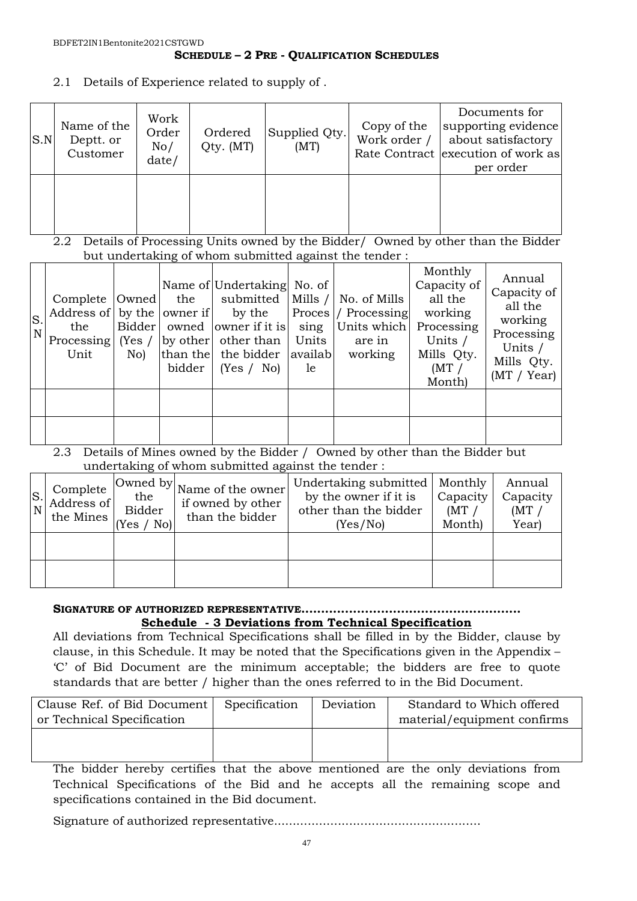#### **SCHEDULE – 2 PRE - QUALIFICATION SCHEDULES**

2.1 Details of Experience related to supply of .

| S.N | Name of the<br>Deptt. or<br>Customer | Work<br>Order<br>No/<br>date/ | Ordered<br>Qty. (MT) | Supplied Qty.<br>(MT) | Copy of the<br>Work order / | Documents for<br>supporting evidence<br>about satisfactory<br>Rate Contract execution of work as<br>per order |
|-----|--------------------------------------|-------------------------------|----------------------|-----------------------|-----------------------------|---------------------------------------------------------------------------------------------------------------|
|     |                                      |                               |                      |                       |                             |                                                                                                               |

2.2 Details of Processing Units owned by the Bidder/ Owned by other than the Bidder but undertaking of whom submitted against the tender :

| S.<br>$\overline{\mathbf{N}}$ | the<br>Unit | No) | bidder | Name of Undertaking No. of<br>Complete $\vert$ Owned the submitted $\vert$ Mills $\vert$ No. of Mills<br>Address of by the owner if by the<br>Processing Yes / by other   other than<br>than the the bidder availab<br>(Yes / No) | Units<br>le. | <b>Proces</b> / Processing<br>Bidder   owned   owner if it is   sing   Units which  <br>are in<br>working | Monthly<br>Capacity of<br>all the<br>working<br>Processing<br>Units /<br>Mills Qty.<br>(MT)<br>Month) | Annual<br>Capacity of<br>all the<br>working<br>Processing<br>Units /<br>Mills Qty.<br>(MT / Year) |
|-------------------------------|-------------|-----|--------|-----------------------------------------------------------------------------------------------------------------------------------------------------------------------------------------------------------------------------------|--------------|-----------------------------------------------------------------------------------------------------------|-------------------------------------------------------------------------------------------------------|---------------------------------------------------------------------------------------------------|
|                               |             |     |        |                                                                                                                                                                                                                                   |              |                                                                                                           |                                                                                                       |                                                                                                   |
|                               |             |     |        |                                                                                                                                                                                                                                   |              |                                                                                                           |                                                                                                       |                                                                                                   |

2.3 Details of Mines owned by the Bidder / Owned by other than the Bidder but undertaking of whom submitted against the tender :

| $\begin{vmatrix} S \\ N \end{vmatrix}$ | Complete<br>Address of<br>the Mines | Owned by<br>the<br><b>Bidder</b><br>$'$ No) $\vdash$<br>(Yes | Name of the owner<br>if owned by other<br>than the bidder | Undertaking submitted<br>by the owner if it is<br>other than the bidder<br>(Yes/No) | Monthly<br>Capacity<br>(MT)<br>Month) | Annual<br>Capacity<br>(MT)<br>Year) |
|----------------------------------------|-------------------------------------|--------------------------------------------------------------|-----------------------------------------------------------|-------------------------------------------------------------------------------------|---------------------------------------|-------------------------------------|
|                                        |                                     |                                                              |                                                           |                                                                                     |                                       |                                     |
|                                        |                                     |                                                              |                                                           |                                                                                     |                                       |                                     |

#### **SIGNATURE OF AUTHORIZED REPRESENTATIVE....................................................... Schedule - 3 Deviations from Technical Specification**

All deviations from Technical Specifications shall be filled in by the Bidder, clause by clause, in this Schedule. It may be noted that the Specifications given in the Appendix – 'C' of Bid Document are the minimum acceptable; the bidders are free to quote standards that are better / higher than the ones referred to in the Bid Document.

| Clause Ref. of Bid Document | Specification | Deviation | Standard to Which offered   |
|-----------------------------|---------------|-----------|-----------------------------|
| or Technical Specification  |               |           | material/equipment confirms |
|                             |               |           |                             |
|                             |               |           |                             |

The bidder hereby certifies that the above mentioned are the only deviations from Technical Specifications of the Bid and he accepts all the remaining scope and specifications contained in the Bid document.

Signature of authorized representative.......................................................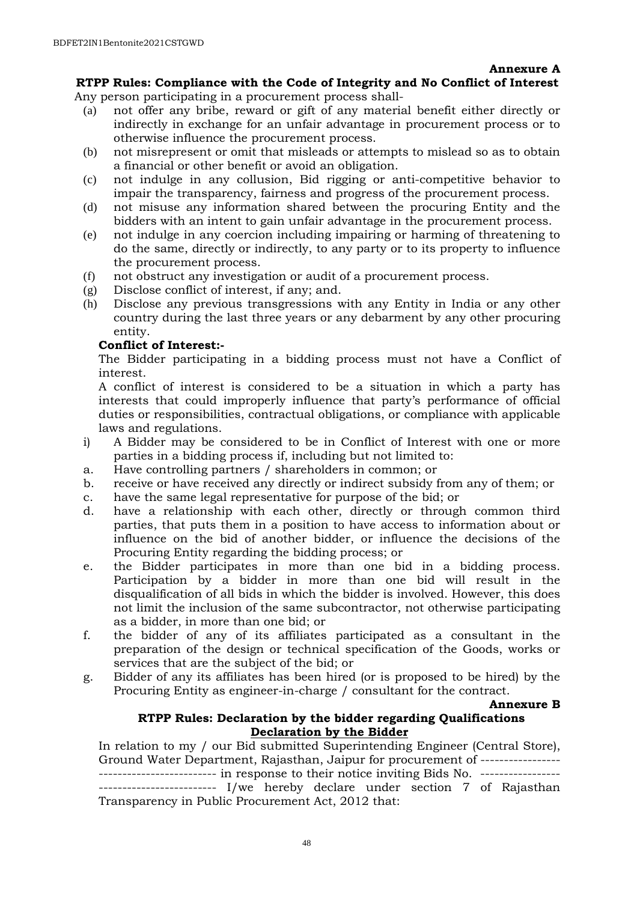#### **Annexure A**

## **RTPP Rules: Compliance with the Code of Integrity and No Conflict of Interest**

Any person participating in a procurement process shall-

- (a) not offer any bribe, reward or gift of any material benefit either directly or indirectly in exchange for an unfair advantage in procurement process or to otherwise influence the procurement process.
- (b) not misrepresent or omit that misleads or attempts to mislead so as to obtain a financial or other benefit or avoid an obligation.
- (c) not indulge in any collusion, Bid rigging or anti-competitive behavior to impair the transparency, fairness and progress of the procurement process.
- (d) not misuse any information shared between the procuring Entity and the bidders with an intent to gain unfair advantage in the procurement process.
- (e) not indulge in any coercion including impairing or harming of threatening to do the same, directly or indirectly, to any party or to its property to influence the procurement process.
- (f) not obstruct any investigation or audit of a procurement process.
- (g) Disclose conflict of interest, if any; and.
- (h) Disclose any previous transgressions with any Entity in India or any other country during the last three years or any debarment by any other procuring entity.

#### **Conflict of Interest:-**

The Bidder participating in a bidding process must not have a Conflict of interest.

A conflict of interest is considered to be a situation in which a party has interests that could improperly influence that party's performance of official duties or responsibilities, contractual obligations, or compliance with applicable laws and regulations.

- i) A Bidder may be considered to be in Conflict of Interest with one or more parties in a bidding process if, including but not limited to:
- a. Have controlling partners / shareholders in common; or
- b. receive or have received any directly or indirect subsidy from any of them; or
- c. have the same legal representative for purpose of the bid; or
- d. have a relationship with each other, directly or through common third parties, that puts them in a position to have access to information about or influence on the bid of another bidder, or influence the decisions of the Procuring Entity regarding the bidding process; or
- e. the Bidder participates in more than one bid in a bidding process. Participation by a bidder in more than one bid will result in the disqualification of all bids in which the bidder is involved. However, this does not limit the inclusion of the same subcontractor, not otherwise participating as a bidder, in more than one bid; or
- f. the bidder of any of its affiliates participated as a consultant in the preparation of the design or technical specification of the Goods, works or services that are the subject of the bid; or
- g. Bidder of any its affiliates has been hired (or is proposed to be hired) by the Procuring Entity as engineer-in-charge / consultant for the contract.

# **Annexure B**

#### **RTPP Rules: Declaration by the bidder regarding Qualifications Declaration by the Bidder**

In relation to my / our Bid submitted Superintending Engineer (Central Store), Ground Water Department, Rajasthan, Jaipur for procurement of ----------------- ------------------------- in response to their notice inviting Bids No. ----------------- ------------------------- I/we hereby declare under section 7 of Rajasthan Transparency in Public Procurement Act, 2012 that: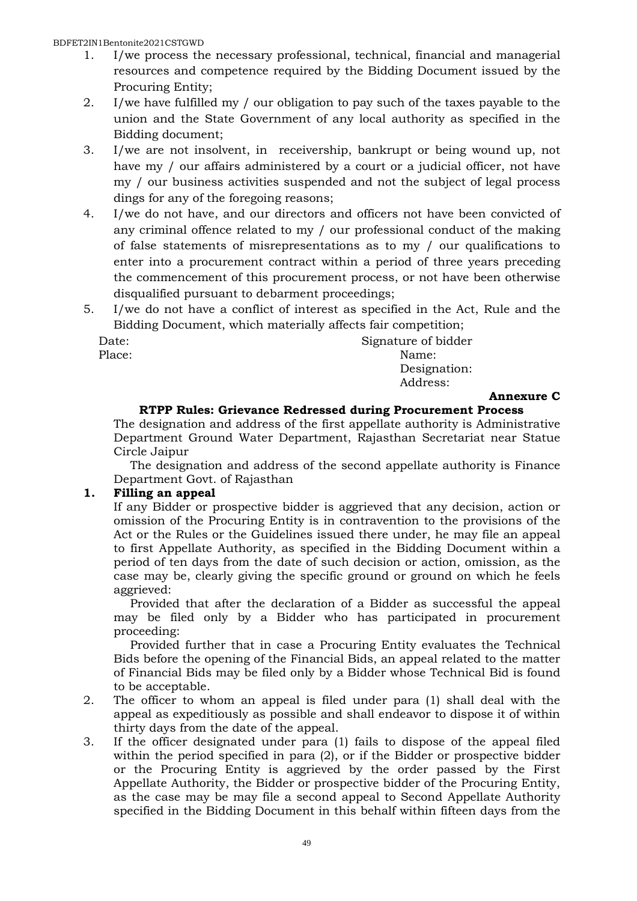#### BDFET2IN1Bentonite2021CSTGWD

- 1. I/we process the necessary professional, technical, financial and managerial resources and competence required by the Bidding Document issued by the Procuring Entity;
- 2. I/we have fulfilled my / our obligation to pay such of the taxes payable to the union and the State Government of any local authority as specified in the Bidding document;
- 3. I/we are not insolvent, in receivership, bankrupt or being wound up, not have my / our affairs administered by a court or a judicial officer, not have my / our business activities suspended and not the subject of legal process dings for any of the foregoing reasons;
- 4. I/we do not have, and our directors and officers not have been convicted of any criminal offence related to my / our professional conduct of the making of false statements of misrepresentations as to my / our qualifications to enter into a procurement contract within a period of three years preceding the commencement of this procurement process, or not have been otherwise disqualified pursuant to debarment proceedings;
- 5. I/we do not have a conflict of interest as specified in the Act, Rule and the Bidding Document, which materially affects fair competition;

Date: Signature of bidder Place: Name: Name: Name: Name: Name: Name: Name: Name: Name: Name: Name: Name: Name: Name: Name: Name: Name: Name:  $\mathbb{N}$  Designation: Address:

#### **Annexure C**

#### **RTPP Rules: Grievance Redressed during Procurement Process**

The designation and address of the first appellate authority is Administrative Department Ground Water Department, Rajasthan Secretariat near Statue Circle Jaipur

The designation and address of the second appellate authority is Finance Department Govt. of Rajasthan

# **1. Filling an appeal**

If any Bidder or prospective bidder is aggrieved that any decision, action or omission of the Procuring Entity is in contravention to the provisions of the Act or the Rules or the Guidelines issued there under, he may file an appeal to first Appellate Authority, as specified in the Bidding Document within a period of ten days from the date of such decision or action, omission, as the case may be, clearly giving the specific ground or ground on which he feels aggrieved:

Provided that after the declaration of a Bidder as successful the appeal may be filed only by a Bidder who has participated in procurement proceeding:

Provided further that in case a Procuring Entity evaluates the Technical Bids before the opening of the Financial Bids, an appeal related to the matter of Financial Bids may be filed only by a Bidder whose Technical Bid is found to be acceptable.

- 2. The officer to whom an appeal is filed under para (1) shall deal with the appeal as expeditiously as possible and shall endeavor to dispose it of within thirty days from the date of the appeal.
- 3. If the officer designated under para (1) fails to dispose of the appeal filed within the period specified in para (2), or if the Bidder or prospective bidder or the Procuring Entity is aggrieved by the order passed by the First Appellate Authority, the Bidder or prospective bidder of the Procuring Entity, as the case may be may file a second appeal to Second Appellate Authority specified in the Bidding Document in this behalf within fifteen days from the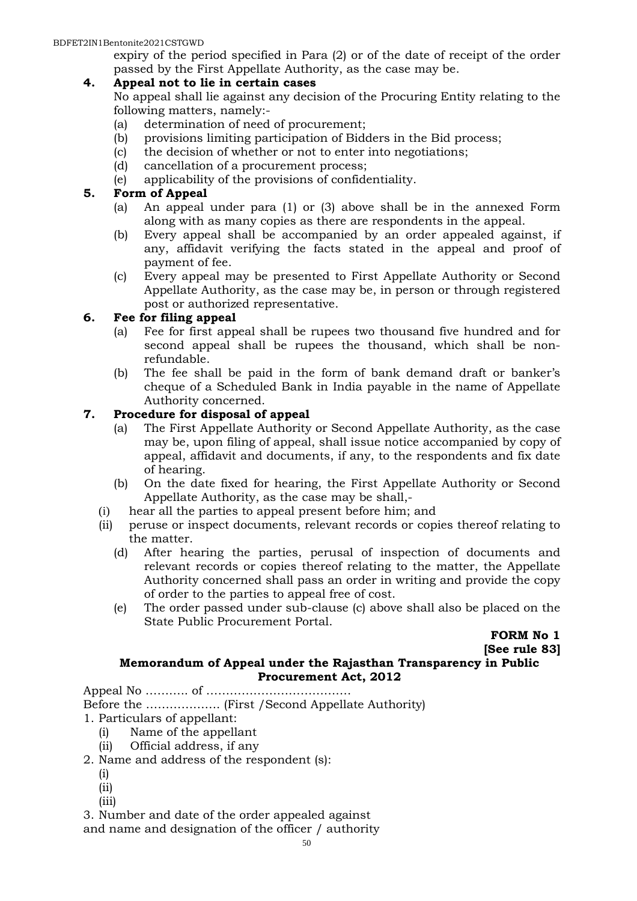#### BDFET2IN1Bentonite2021CSTGWD

expiry of the period specified in Para (2) or of the date of receipt of the order passed by the First Appellate Authority, as the case may be.

#### **4. Appeal not to lie in certain cases**

No appeal shall lie against any decision of the Procuring Entity relating to the following matters, namely:-

- (a) determination of need of procurement;
- (b) provisions limiting participation of Bidders in the Bid process;
- (c) the decision of whether or not to enter into negotiations;
- (d) cancellation of a procurement process;
- (e) applicability of the provisions of confidentiality.

## **5. Form of Appeal**

- (a) An appeal under para (1) or (3) above shall be in the annexed Form along with as many copies as there are respondents in the appeal.
- (b) Every appeal shall be accompanied by an order appealed against, if any, affidavit verifying the facts stated in the appeal and proof of payment of fee.
- (c) Every appeal may be presented to First Appellate Authority or Second Appellate Authority, as the case may be, in person or through registered post or authorized representative.

#### **6. Fee for filing appeal**

- (a) Fee for first appeal shall be rupees two thousand five hundred and for second appeal shall be rupees the thousand, which shall be nonrefundable.
- (b) The fee shall be paid in the form of bank demand draft or banker's cheque of a Scheduled Bank in India payable in the name of Appellate Authority concerned.

#### **7. Procedure for disposal of appeal**

- (a) The First Appellate Authority or Second Appellate Authority, as the case may be, upon filing of appeal, shall issue notice accompanied by copy of appeal, affidavit and documents, if any, to the respondents and fix date of hearing.
- (b) On the date fixed for hearing, the First Appellate Authority or Second Appellate Authority, as the case may be shall,-
- (i) hear all the parties to appeal present before him; and
- (ii) peruse or inspect documents, relevant records or copies thereof relating to the matter.
	- (d) After hearing the parties, perusal of inspection of documents and relevant records or copies thereof relating to the matter, the Appellate Authority concerned shall pass an order in writing and provide the copy of order to the parties to appeal free of cost.
	- (e) The order passed under sub-clause (c) above shall also be placed on the State Public Procurement Portal.

**FORM No 1** 

**[See rule 83]** 

#### **Memorandum of Appeal under the Rajasthan Transparency in Public Procurement Act, 2012**

Appeal No ……….. of ……………………………….

Before the ………………. (First /Second Appellate Authority)

- 1. Particulars of appellant:
	- (i) Name of the appellant
	- (ii) Official address, if any
- 2. Name and address of the respondent (s):
	- (i)
	- (ii)
	- (iii)

3. Number and date of the order appealed against and name and designation of the officer / authority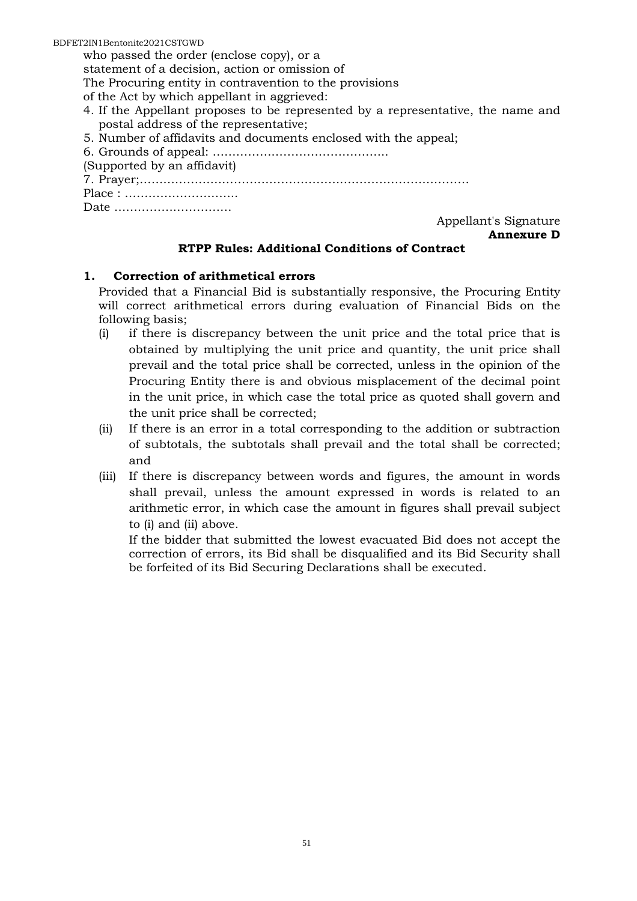BDFET2IN1Bentonite2021CSTGWD

who passed the order (enclose copy), or a

statement of a decision, action or omission of

The Procuring entity in contravention to the provisions

of the Act by which appellant in aggrieved:

- 4. If the Appellant proposes to be represented by a representative, the name and postal address of the representative;
- 5. Number of affidavits and documents enclosed with the appeal;
- 6. Grounds of appeal: ……………………………………...
- (Supported by an affidavit)
- 7. Prayer;…………………………………………………………………………
- Place : ………………………..

Date …………………………

Appellant's Signature **Annexure D** 

#### **RTPP Rules: Additional Conditions of Contract**

# **1. Correction of arithmetical errors**

Provided that a Financial Bid is substantially responsive, the Procuring Entity will correct arithmetical errors during evaluation of Financial Bids on the following basis;

- (i) if there is discrepancy between the unit price and the total price that is obtained by multiplying the unit price and quantity, the unit price shall prevail and the total price shall be corrected, unless in the opinion of the Procuring Entity there is and obvious misplacement of the decimal point in the unit price, in which case the total price as quoted shall govern and the unit price shall be corrected;
- (ii) If there is an error in a total corresponding to the addition or subtraction of subtotals, the subtotals shall prevail and the total shall be corrected; and
- (iii) If there is discrepancy between words and figures, the amount in words shall prevail, unless the amount expressed in words is related to an arithmetic error, in which case the amount in figures shall prevail subject to (i) and (ii) above.

If the bidder that submitted the lowest evacuated Bid does not accept the correction of errors, its Bid shall be disqualified and its Bid Security shall be forfeited of its Bid Securing Declarations shall be executed.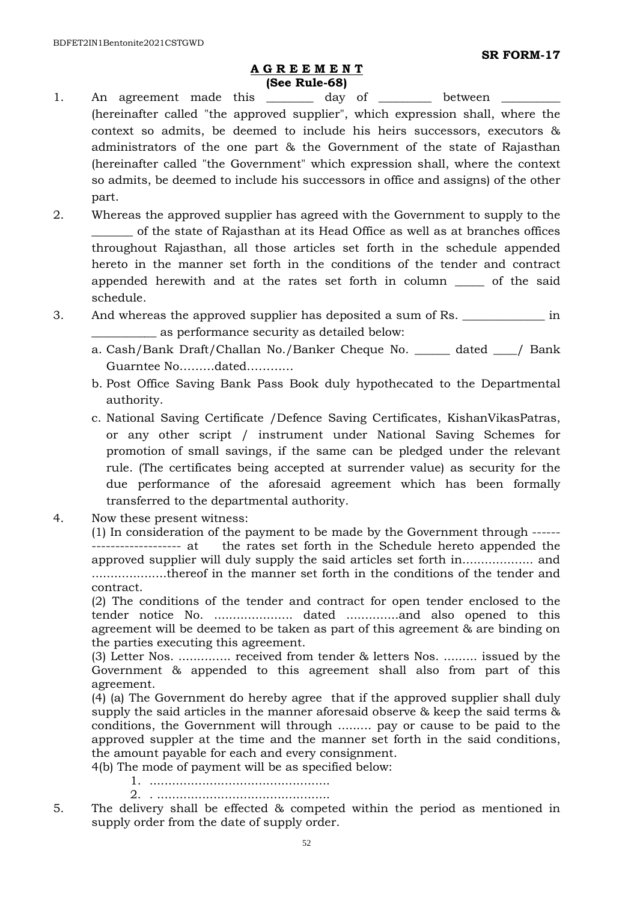#### **A G R E E M E N T (See Rule-68)**

- 1. An agreement made this day of between (hereinafter called "the approved supplier", which expression shall, where the context so admits, be deemed to include his heirs successors, executors & administrators of the one part & the Government of the state of Rajasthan (hereinafter called "the Government" which expression shall, where the context so admits, be deemed to include his successors in office and assigns) of the other part.
- 2. Whereas the approved supplier has agreed with the Government to supply to the \_\_\_\_\_\_\_ of the state of Rajasthan at its Head Office as well as at branches offices throughout Rajasthan, all those articles set forth in the schedule appended hereto in the manner set forth in the conditions of the tender and contract appended herewith and at the rates set forth in column \_\_\_\_\_ of the said schedule.
- 3. And whereas the approved supplier has deposited a sum of Rs. \_\_\_\_\_\_\_\_\_\_\_\_\_\_\_ in \_\_\_\_\_\_\_\_\_\_\_ as performance security as detailed below:
	- a. Cash/Bank Draft/Challan No./Banker Cheque No. \_\_\_\_\_\_ dated \_\_\_\_/ Bank Guarntee No………dated…………
	- b. Post Office Saving Bank Pass Book duly hypothecated to the Departmental authority.
	- c. National Saving Certificate /Defence Saving Certificates, KishanVikasPatras, or any other script / instrument under National Saving Schemes for promotion of small savings, if the same can be pledged under the relevant rule. (The certificates being accepted at surrender value) as security for the due performance of the aforesaid agreement which has been formally transferred to the departmental authority.
- 4. Now these present witness:

(1) In consideration of the payment to be made by the Government through ------ ------------------- at the rates set forth in the Schedule hereto appended the approved supplier will duly supply the said articles set forth in................... and ....................thereof in the manner set forth in the conditions of the tender and contract.

(2) The conditions of the tender and contract for open tender enclosed to the tender notice No. ..................... dated ..............and also opened to this agreement will be deemed to be taken as part of this agreement & are binding on the parties executing this agreement.

(3) Letter Nos. .............. received from tender & letters Nos. ......... issued by the Government & appended to this agreement shall also from part of this agreement.

(4) (a) The Government do hereby agree that if the approved supplier shall duly supply the said articles in the manner aforesaid observe & keep the said terms & conditions, the Government will through ......... pay or cause to be paid to the approved suppler at the time and the manner set forth in the said conditions, the amount payable for each and every consignment.

- 4(b) The mode of payment will be as specified below:
	- 1. ................................................
	- 2. . ..............................................
- 5. The delivery shall be effected & competed within the period as mentioned in supply order from the date of supply order.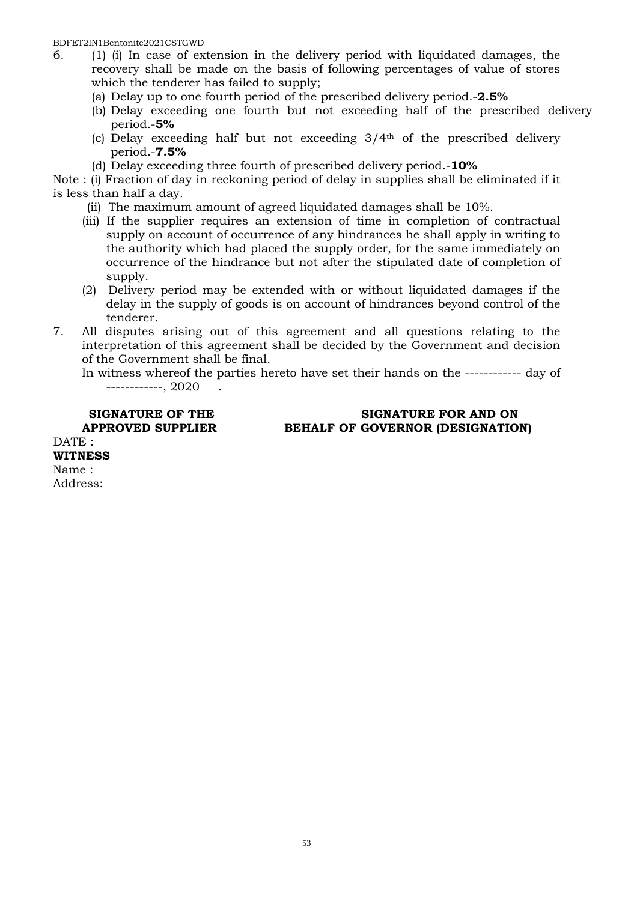- 6. (1) (i) In case of extension in the delivery period with liquidated damages, the recovery shall be made on the basis of following percentages of value of stores which the tenderer has failed to supply;
	- (a) Delay up to one fourth period of the prescribed delivery period.-**2.5%**
	- (b) Delay exceeding one fourth but not exceeding half of the prescribed delivery period.-**5%**
	- (c) Delay exceeding half but not exceeding  $3/4<sup>th</sup>$  of the prescribed delivery period.-**7.5%**
	- (d) Delay exceeding three fourth of prescribed delivery period.-**10%**

Note : (i) Fraction of day in reckoning period of delay in supplies shall be eliminated if it is less than half a day.

- (ii) The maximum amount of agreed liquidated damages shall be 10%.
- (iii) If the supplier requires an extension of time in completion of contractual supply on account of occurrence of any hindrances he shall apply in writing to the authority which had placed the supply order, for the same immediately on occurrence of the hindrance but not after the stipulated date of completion of supply.
- (2) Delivery period may be extended with or without liquidated damages if the delay in the supply of goods is on account of hindrances beyond control of the tenderer.
- 7. All disputes arising out of this agreement and all questions relating to the interpretation of this agreement shall be decided by the Government and decision of the Government shall be final.
	- In witness whereof the parties hereto have set their hands on the ------------ day of ------------, 2020 .

DATE: **WITNESS**  Name :

Address:

#### **SIGNATURE OF THE SIGNATURE FOR AND ON APPROVED SUPPLIER BEHALF OF GOVERNOR (DESIGNATION)**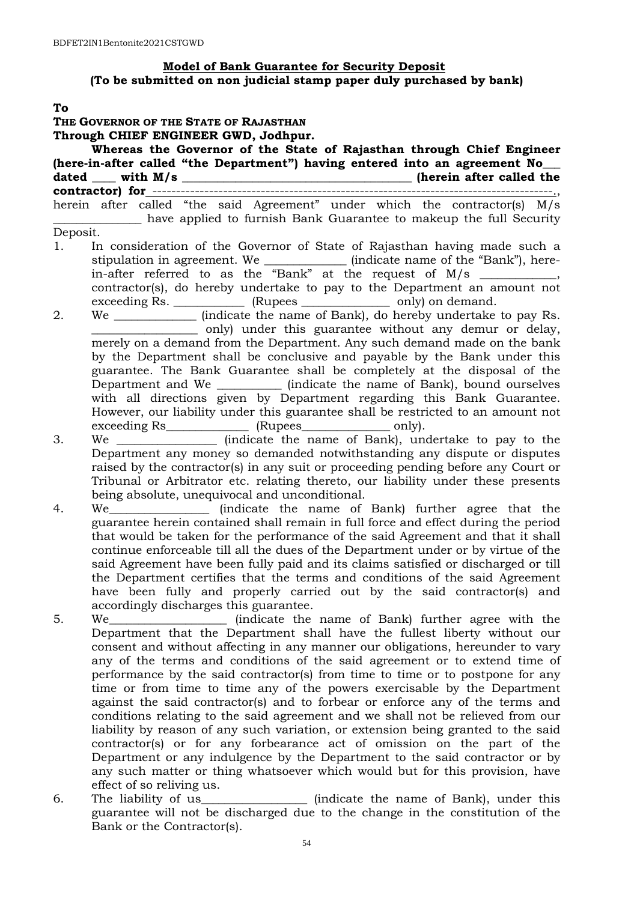# **Model of Bank Guarantee for Security Deposit (To be submitted on non judicial stamp paper duly purchased by bank)**

#### **To**

**THE GOVERNOR OF THE STATE OF RAJASTHAN Through CHIEF ENGINEER GWD, Jodhpur. Whereas the Governor of the State of Rajasthan through Chief Engineer (here-in-after called "the Department") having entered into an agreement No\_\_\_ dated \_\_\_\_ with M/s \_\_\_\_\_\_\_\_\_\_\_\_\_\_\_\_\_\_\_\_\_\_\_\_\_\_\_\_\_\_\_\_\_\_\_\_\_\_\_ (herein after called the contractor) for** -------------------------------------------------------------------------------------., herein after called "the said Agreement" under which the contractor(s) M/s have applied to furnish Bank Guarantee to makeup the full Security Deposit. 1. In consideration of the Governor of State of Rajasthan having made such a stipulation in agreement. We \_\_\_\_\_\_\_\_\_\_\_\_\_\_ (indicate name of the "Bank"), herein-after referred to as the "Bank" at the request of  $M/s$  \_\_\_\_\_\_\_\_\_, contractor(s), do hereby undertake to pay to the Department an amount not exceeding Rs. \_\_\_\_\_\_\_\_\_\_\_\_\_\_ (Rupees \_\_\_\_\_\_\_\_\_\_\_\_\_\_\_\_\_\_\_\_ only) on demand. 2. We \_\_\_\_\_\_\_\_\_\_\_\_\_\_ (indicate the name of Bank), do hereby undertake to pay Rs. \_\_\_\_\_\_\_\_\_\_\_\_\_\_\_\_\_\_ only) under this guarantee without any demur or delay, merely on a demand from the Department. Any such demand made on the bank by the Department shall be conclusive and payable by the Bank under this guarantee. The Bank Guarantee shall be completely at the disposal of the Department and We \_\_\_\_\_\_\_\_\_\_\_ (indicate the name of Bank), bound ourselves with all directions given by Department regarding this Bank Guarantee. However, our liability under this guarantee shall be restricted to an amount not exceeding Rs\_\_\_\_\_\_\_\_\_\_\_\_\_\_\_\_ (Rupees\_\_\_\_\_\_\_\_\_\_\_\_\_\_\_\_ only). 3. We **Example 2.** (indicate the name of Bank), undertake to pay to the Department any money so demanded notwithstanding any dispute or disputes raised by the contractor(s) in any suit or proceeding pending before any Court or Tribunal or Arbitrator etc. relating thereto, our liability under these presents being absolute, unequivocal and unconditional. 4. We\_\_\_\_\_\_\_\_\_\_\_\_\_\_\_\_\_ (indicate the name of Bank) further agree that the guarantee herein contained shall remain in full force and effect during the period that would be taken for the performance of the said Agreement and that it shall

- continue enforceable till all the dues of the Department under or by virtue of the said Agreement have been fully paid and its claims satisfied or discharged or till the Department certifies that the terms and conditions of the said Agreement have been fully and properly carried out by the said contractor(s) and accordingly discharges this guarantee.
- 5. We\_\_\_\_\_\_\_\_\_\_\_\_\_\_\_\_\_\_\_\_ (indicate the name of Bank) further agree with the Department that the Department shall have the fullest liberty without our consent and without affecting in any manner our obligations, hereunder to vary any of the terms and conditions of the said agreement or to extend time of performance by the said contractor(s) from time to time or to postpone for any time or from time to time any of the powers exercisable by the Department against the said contractor(s) and to forbear or enforce any of the terms and conditions relating to the said agreement and we shall not be relieved from our liability by reason of any such variation, or extension being granted to the said contractor(s) or for any forbearance act of omission on the part of the Department or any indulgence by the Department to the said contractor or by any such matter or thing whatsoever which would but for this provision, have effect of so reliving us.
- 6. The liability of us\_\_\_\_\_\_\_\_\_\_\_\_\_\_\_\_\_\_\_\_\_ (indicate the name of Bank), under this guarantee will not be discharged due to the change in the constitution of the Bank or the Contractor(s).